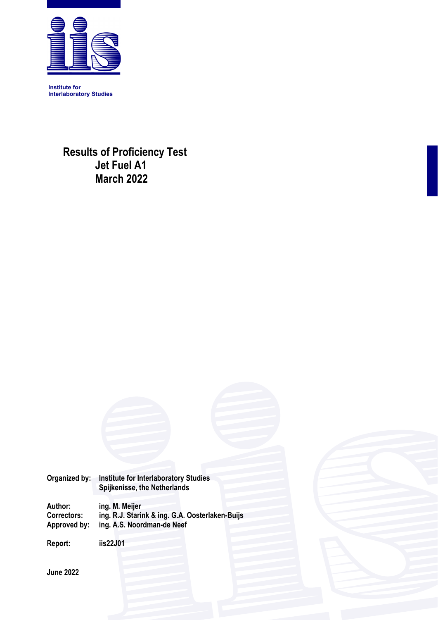

**Institute for Interlaboratory Studies** 

 **Results of Proficiency Test Jet Fuel A1 March 2022**

| Organized by:                      | <b>Institute for Interlaboratory Studies</b><br>Spijkenisse, the Netherlands  |
|------------------------------------|-------------------------------------------------------------------------------|
|                                    |                                                                               |
| Author:                            | ing. M. Meijer                                                                |
| <b>Correctors:</b><br>Approved by: | ing. R.J. Starink & ing. G.A. Oosterlaken-Buijs<br>ing. A.S. Noordman-de Neef |
|                                    |                                                                               |
| Report:                            | iis22J01                                                                      |
|                                    |                                                                               |
| <b>June 2022</b>                   |                                                                               |
|                                    |                                                                               |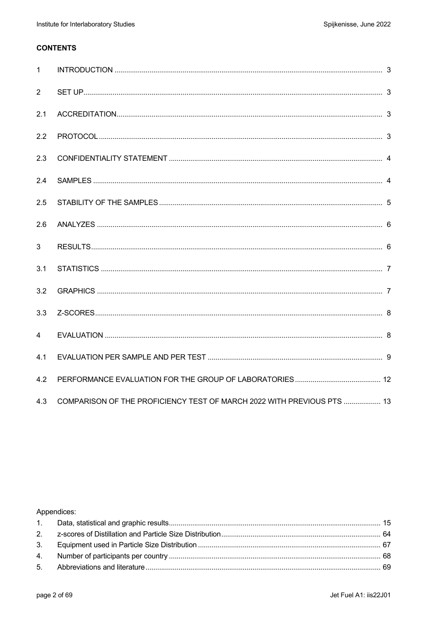### **CONTENTS**

| $\mathbf{1}$   |                                                                        |  |
|----------------|------------------------------------------------------------------------|--|
| 2              |                                                                        |  |
| 2.1            |                                                                        |  |
| 2.2            |                                                                        |  |
| 2.3            |                                                                        |  |
| 2.4            |                                                                        |  |
| 2.5            |                                                                        |  |
| 2.6            |                                                                        |  |
| 3              |                                                                        |  |
| 3.1            |                                                                        |  |
| 3.2            |                                                                        |  |
| 3.3            |                                                                        |  |
| $\overline{4}$ |                                                                        |  |
| 4.1            |                                                                        |  |
| 4.2            |                                                                        |  |
| 4.3            | COMPARISON OF THE PROFICIENCY TEST OF MARCH 2022 WITH PREVIOUS PTS  13 |  |

### Appendices: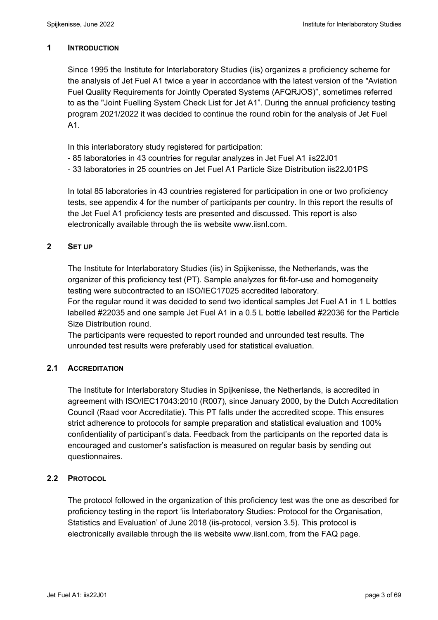### **1 INTRODUCTION**

Since 1995 the Institute for Interlaboratory Studies (iis) organizes a proficiency scheme for the analysis of Jet Fuel A1 twice a year in accordance with the latest version of the "Aviation Fuel Quality Requirements for Jointly Operated Systems (AFQRJOS)", sometimes referred to as the "Joint Fuelling System Check List for Jet A1". During the annual proficiency testing program 2021/2022 it was decided to continue the round robin for the analysis of Jet Fuel A1.

In this interlaboratory study registered for participation:

- 85 laboratories in 43 countries for regular analyzes in Jet Fuel A1 iis22J01
- 33 laboratories in 25 countries on Jet Fuel A1 Particle Size Distribution iis22J01PS

In total 85 laboratories in 43 countries registered for participation in one or two proficiency tests, see appendix 4 for the number of participants per country. In this report the results of the Jet Fuel A1 proficiency tests are presented and discussed. This report is also electronically available through the iis website www.iisnl.com.

### **2 SET UP**

The Institute for Interlaboratory Studies (iis) in Spijkenisse, the Netherlands, was the organizer of this proficiency test (PT). Sample analyzes for fit-for-use and homogeneity testing were subcontracted to an ISO/IEC17025 accredited laboratory.

For the regular round it was decided to send two identical samples Jet Fuel A1 in 1 L bottles labelled #22035 and one sample Jet Fuel A1 in a 0.5 L bottle labelled #22036 for the Particle Size Distribution round.

The participants were requested to report rounded and unrounded test results. The unrounded test results were preferably used for statistical evaluation.

### **2.1 ACCREDITATION**

The Institute for Interlaboratory Studies in Spijkenisse, the Netherlands, is accredited in agreement with ISO/IEC17043:2010 (R007), since January 2000, by the Dutch Accreditation Council (Raad voor Accreditatie). This PT falls under the accredited scope. This ensures strict adherence to protocols for sample preparation and statistical evaluation and 100% confidentiality of participant's data. Feedback from the participants on the reported data is encouraged and customer's satisfaction is measured on regular basis by sending out questionnaires.

### **2.2 PROTOCOL**

The protocol followed in the organization of this proficiency test was the one as described for proficiency testing in the report 'iis Interlaboratory Studies: Protocol for the Organisation, Statistics and Evaluation' of June 2018 (iis-protocol, version 3.5). This protocol is electronically available through the iis website www.iisnl.com, from the FAQ page.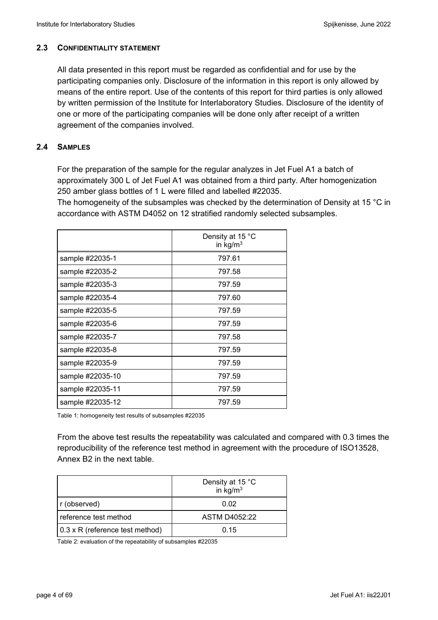### **2.3 CONFIDENTIALITY STATEMENT**

All data presented in this report must be regarded as confidential and for use by the participating companies only. Disclosure of the information in this report is only allowed by means of the entire report. Use of the contents of this report for third parties is only allowed by written permission of the Institute for Interlaboratory Studies. Disclosure of the identity of one or more of the participating companies will be done only after receipt of a written agreement of the companies involved.

### **2.4 SAMPLES**

For the preparation of the sample for the regular analyzes in Jet Fuel A1 a batch of approximately 300 L of Jet Fuel A1 was obtained from a third party. After homogenization 250 amber glass bottles of 1 L were filled and labelled #22035.

The homogeneity of the subsamples was checked by the determination of Density at 15 °C in accordance with ASTM D4052 on 12 stratified randomly selected subsamples.

|                  | Density at 15 °C<br>in $kg/m3$ |
|------------------|--------------------------------|
| sample #22035-1  | 797.61                         |
| sample #22035-2  | 797.58                         |
| sample #22035-3  | 797.59                         |
| sample #22035-4  | 797.60                         |
| sample #22035-5  | 797.59                         |
| sample #22035-6  | 797.59                         |
| sample #22035-7  | 797.58                         |
| sample #22035-8  | 797.59                         |
| sample #22035-9  | 797.59                         |
| sample #22035-10 | 797.59                         |
| sample #22035-11 | 797.59                         |
| sample #22035-12 | 797.59                         |

Table 1: homogeneity test results of subsamples #22035

From the above test results the repeatability was calculated and compared with 0.3 times the reproducibility of the reference test method in agreement with the procedure of ISO13528, Annex B2 in the next table.

|                                 | Density at 15 °C<br>in $\text{kg/m}^3$ |
|---------------------------------|----------------------------------------|
| r (observed)                    | 0.02                                   |
| reference test method           | ASTM D4052:22                          |
| 0.3 x R (reference test method) | 0.15                                   |

Table 2: evaluation of the repeatability of subsamples #22035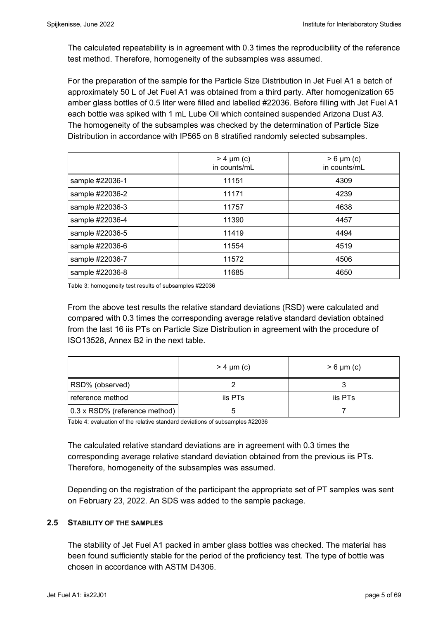The calculated repeatability is in agreement with 0.3 times the reproducibility of the reference test method. Therefore, homogeneity of the subsamples was assumed.

For the preparation of the sample for the Particle Size Distribution in Jet Fuel A1 a batch of approximately 50 L of Jet Fuel A1 was obtained from a third party. After homogenization 65 amber glass bottles of 0.5 liter were filled and labelled #22036. Before filling with Jet Fuel A1 each bottle was spiked with 1 mL Lube Oil which contained suspended Arizona Dust A3. The homogeneity of the subsamples was checked by the determination of Particle Size Distribution in accordance with IP565 on 8 stratified randomly selected subsamples.

|                 | $> 4 \mu m$ (c)<br>in counts/mL | $> 6 \mu m$ (c)<br>in counts/mL |  |  |
|-----------------|---------------------------------|---------------------------------|--|--|
| sample #22036-1 | 11151                           | 4309                            |  |  |
| sample #22036-2 | 11171                           | 4239                            |  |  |
| sample #22036-3 | 11757                           | 4638                            |  |  |
| sample #22036-4 | 11390                           | 4457                            |  |  |
| sample #22036-5 | 11419                           | 4494                            |  |  |
| sample #22036-6 | 11554                           | 4519                            |  |  |
| sample #22036-7 | 11572                           | 4506                            |  |  |
| sample #22036-8 | 11685                           | 4650                            |  |  |

Table 3: homogeneity test results of subsamples #22036

From the above test results the relative standard deviations (RSD) were calculated and compared with 0.3 times the corresponding average relative standard deviation obtained from the last 16 iis PTs on Particle Size Distribution in agreement with the procedure of ISO13528, Annex B2 in the next table.

|                               | $> 4 \mu m$ (c) | $> 6 \mu m$ (c) |
|-------------------------------|-----------------|-----------------|
| RSD% (observed)               |                 |                 |
| reference method              | iis PTs         | iis PTs         |
| 0.3 x RSD% (reference method) |                 |                 |

Table 4: evaluation of the relative standard deviations of subsamples #22036

The calculated relative standard deviations are in agreement with 0.3 times the corresponding average relative standard deviation obtained from the previous iis PTs. Therefore, homogeneity of the subsamples was assumed.

Depending on the registration of the participant the appropriate set of PT samples was sent on February 23, 2022. An SDS was added to the sample package.

#### **2.5 STABILITY OF THE SAMPLES**

The stability of Jet Fuel A1 packed in amber glass bottles was checked. The material has been found sufficiently stable for the period of the proficiency test. The type of bottle was chosen in accordance with ASTM D4306.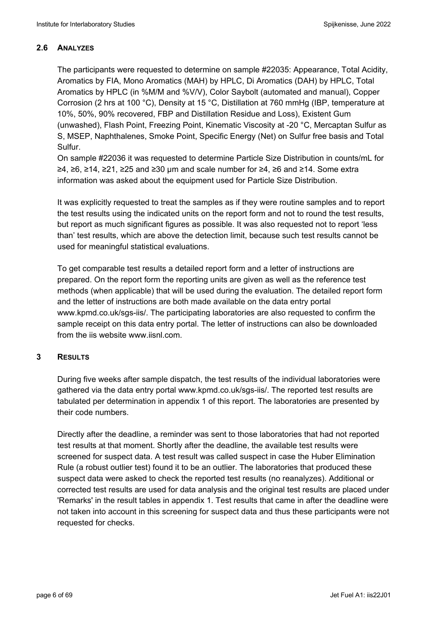### **2.6 ANALYZES**

The participants were requested to determine on sample #22035: Appearance, Total Acidity, Aromatics by FIA, Mono Aromatics (MAH) by HPLC, Di Aromatics (DAH) by HPLC, Total Aromatics by HPLC (in %M/M and %V/V), Color Saybolt (automated and manual), Copper Corrosion (2 hrs at 100 °C), Density at 15 °C, Distillation at 760 mmHg (IBP, temperature at 10%, 50%, 90% recovered, FBP and Distillation Residue and Loss), Existent Gum (unwashed), Flash Point, Freezing Point, Kinematic Viscosity at -20 °C, Mercaptan Sulfur as S, MSEP, Naphthalenes, Smoke Point, Specific Energy (Net) on Sulfur free basis and Total Sulfur.

On sample #22036 it was requested to determine Particle Size Distribution in counts/mL for ≥4, ≥6, ≥14, ≥21, ≥25 and ≥30 µm and scale number for ≥4, ≥6 and ≥14. Some extra information was asked about the equipment used for Particle Size Distribution.

It was explicitly requested to treat the samples as if they were routine samples and to report the test results using the indicated units on the report form and not to round the test results, but report as much significant figures as possible. It was also requested not to report 'less than' test results, which are above the detection limit, because such test results cannot be used for meaningful statistical evaluations.

To get comparable test results a detailed report form and a letter of instructions are prepared. On the report form the reporting units are given as well as the reference test methods (when applicable) that will be used during the evaluation. The detailed report form and the letter of instructions are both made available on the data entry portal www.kpmd.co.uk/sgs-iis/. The participating laboratories are also requested to confirm the sample receipt on this data entry portal. The letter of instructions can also be downloaded from the iis website www.iisnl.com.

### **3 RESULTS**

During five weeks after sample dispatch, the test results of the individual laboratories were gathered via the data entry portal www.kpmd.co.uk/sgs-iis/. The reported test results are tabulated per determination in appendix 1 of this report. The laboratories are presented by their code numbers.

Directly after the deadline, a reminder was sent to those laboratories that had not reported test results at that moment. Shortly after the deadline, the available test results were screened for suspect data. A test result was called suspect in case the Huber Elimination Rule (a robust outlier test) found it to be an outlier. The laboratories that produced these suspect data were asked to check the reported test results (no reanalyzes). Additional or corrected test results are used for data analysis and the original test results are placed under 'Remarks' in the result tables in appendix 1. Test results that came in after the deadline were not taken into account in this screening for suspect data and thus these participants were not requested for checks.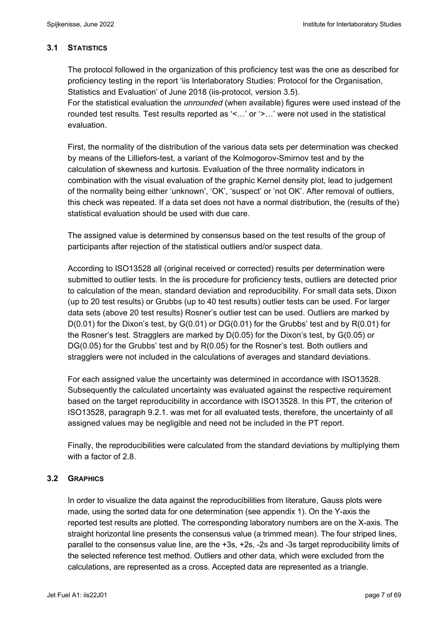### **3.1 STATISTICS**

The protocol followed in the organization of this proficiency test was the one as described for proficiency testing in the report 'iis Interlaboratory Studies: Protocol for the Organisation, Statistics and Evaluation' of June 2018 (iis-protocol, version 3.5).

For the statistical evaluation the *unrounded* (when available) figures were used instead of the rounded test results. Test results reported as '<…' or '>…' were not used in the statistical evaluation.

First, the normality of the distribution of the various data sets per determination was checked by means of the Lilliefors-test, a variant of the Kolmogorov-Smirnov test and by the calculation of skewness and kurtosis. Evaluation of the three normality indicators in combination with the visual evaluation of the graphic Kernel density plot, lead to judgement of the normality being either 'unknown', 'OK', 'suspect' or 'not OK'. After removal of outliers, this check was repeated. If a data set does not have a normal distribution, the (results of the) statistical evaluation should be used with due care.

The assigned value is determined by consensus based on the test results of the group of participants after rejection of the statistical outliers and/or suspect data.

According to ISO13528 all (original received or corrected) results per determination were submitted to outlier tests. In the iis procedure for proficiency tests, outliers are detected prior to calculation of the mean, standard deviation and reproducibility. For small data sets, Dixon (up to 20 test results) or Grubbs (up to 40 test results) outlier tests can be used. For larger data sets (above 20 test results) Rosner's outlier test can be used. Outliers are marked by  $D(0.01)$  for the Dixon's test, by  $G(0.01)$  or  $DG(0.01)$  for the Grubbs' test and by  $R(0.01)$  for the Rosner's test. Stragglers are marked by D(0.05) for the Dixon's test, by G(0.05) or DG(0.05) for the Grubbs' test and by R(0.05) for the Rosner's test. Both outliers and stragglers were not included in the calculations of averages and standard deviations.

For each assigned value the uncertainty was determined in accordance with ISO13528. Subsequently the calculated uncertainty was evaluated against the respective requirement based on the target reproducibility in accordance with ISO13528. In this PT, the criterion of ISO13528, paragraph 9.2.1. was met for all evaluated tests, therefore, the uncertainty of all assigned values may be negligible and need not be included in the PT report.

Finally, the reproducibilities were calculated from the standard deviations by multiplying them with a factor of 2.8

### **3.2 GRAPHICS**

In order to visualize the data against the reproducibilities from literature, Gauss plots were made, using the sorted data for one determination (see appendix 1). On the Y-axis the reported test results are plotted. The corresponding laboratory numbers are on the X-axis. The straight horizontal line presents the consensus value (a trimmed mean). The four striped lines, parallel to the consensus value line, are the +3s, +2s, -2s and -3s target reproducibility limits of the selected reference test method. Outliers and other data, which were excluded from the calculations, are represented as a cross. Accepted data are represented as a triangle.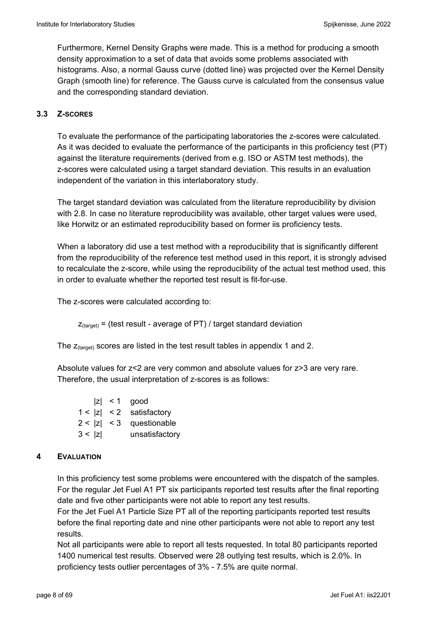Furthermore, Kernel Density Graphs were made. This is a method for producing a smooth density approximation to a set of data that avoids some problems associated with histograms. Also, a normal Gauss curve (dotted line) was projected over the Kernel Density Graph (smooth line) for reference. The Gauss curve is calculated from the consensus value and the corresponding standard deviation.

### **3.3 Z-SCORES**

To evaluate the performance of the participating laboratories the z-scores were calculated. As it was decided to evaluate the performance of the participants in this proficiency test (PT) against the literature requirements (derived from e.g. ISO or ASTM test methods), the z-scores were calculated using a target standard deviation. This results in an evaluation independent of the variation in this interlaboratory study.

The target standard deviation was calculated from the literature reproducibility by division with 2.8. In case no literature reproducibility was available, other target values were used, like Horwitz or an estimated reproducibility based on former iis proficiency tests.

When a laboratory did use a test method with a reproducibility that is significantly different from the reproducibility of the reference test method used in this report, it is strongly advised to recalculate the z-score, while using the reproducibility of the actual test method used, this in order to evaluate whether the reported test result is fit-for-use.

The z-scores were calculated according to:

 $Z_{\text{target}}$  = (test result - average of PT) / target standard deviation

The  $z$ <sub>(target)</sub> scores are listed in the test result tables in appendix 1 and 2.

Absolute values for z<2 are very common and absolute values for z>3 are very rare. Therefore, the usual interpretation of z-scores is as follows:

|        | $ z  < 1$ good             |
|--------|----------------------------|
|        | $1 <  z  < 2$ satisfactory |
|        | $2 <  z  < 3$ questionable |
| 3 <  z | unsatisfactory             |

#### **4 EVALUATION**

In this proficiency test some problems were encountered with the dispatch of the samples. For the regular Jet Fuel A1 PT six participants reported test results after the final reporting date and five other participants were not able to report any test results.

For the Jet Fuel A1 Particle Size PT all of the reporting participants reported test results before the final reporting date and nine other participants were not able to report any test results.

Not all participants were able to report all tests requested. In total 80 participants reported 1400 numerical test results. Observed were 28 outlying test results, which is 2.0%. In proficiency tests outlier percentages of 3% - 7.5% are quite normal.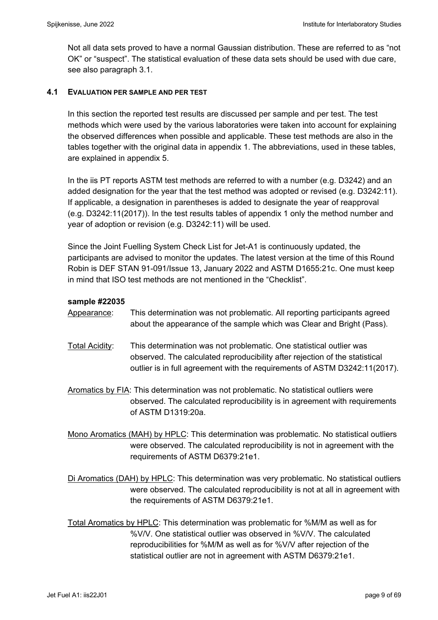Not all data sets proved to have a normal Gaussian distribution. These are referred to as "not OK" or "suspect". The statistical evaluation of these data sets should be used with due care, see also paragraph 3.1.

### **4.1 EVALUATION PER SAMPLE AND PER TEST**

In this section the reported test results are discussed per sample and per test. The test methods which were used by the various laboratories were taken into account for explaining the observed differences when possible and applicable. These test methods are also in the tables together with the original data in appendix 1. The abbreviations, used in these tables, are explained in appendix 5.

In the iis PT reports ASTM test methods are referred to with a number (e.g. D3242) and an added designation for the year that the test method was adopted or revised (e.g. D3242:11). If applicable, a designation in parentheses is added to designate the year of reapproval (e.g. D3242:11(2017)). In the test results tables of appendix 1 only the method number and year of adoption or revision (e.g. D3242:11) will be used.

Since the Joint Fuelling System Check List for Jet-A1 is continuously updated, the participants are advised to monitor the updates. The latest version at the time of this Round Robin is DEF STAN 91-091/Issue 13, January 2022 and ASTM D1655:21c. One must keep in mind that ISO test methods are not mentioned in the "Checklist".

### **sample #22035**

- Appearance: This determination was not problematic. All reporting participants agreed about the appearance of the sample which was Clear and Bright (Pass).
- Total Acidity: This determination was not problematic. One statistical outlier was observed. The calculated reproducibility after rejection of the statistical outlier is in full agreement with the requirements of ASTM D3242:11(2017).

Aromatics by FIA: This determination was not problematic. No statistical outliers were observed. The calculated reproducibility is in agreement with requirements of ASTM D1319:20a.

Mono Aromatics (MAH) by HPLC: This determination was problematic. No statistical outliers were observed. The calculated reproducibility is not in agreement with the requirements of ASTM D6379:21e1.

Di Aromatics (DAH) by HPLC: This determination was very problematic. No statistical outliers were observed. The calculated reproducibility is not at all in agreement with the requirements of ASTM D6379:21e1.

Total Aromatics by HPLC: This determination was problematic for %M/M as well as for %V/V. One statistical outlier was observed in %V/V. The calculated reproducibilities for %M/M as well as for %V/V after rejection of the statistical outlier are not in agreement with ASTM D6379:21e1.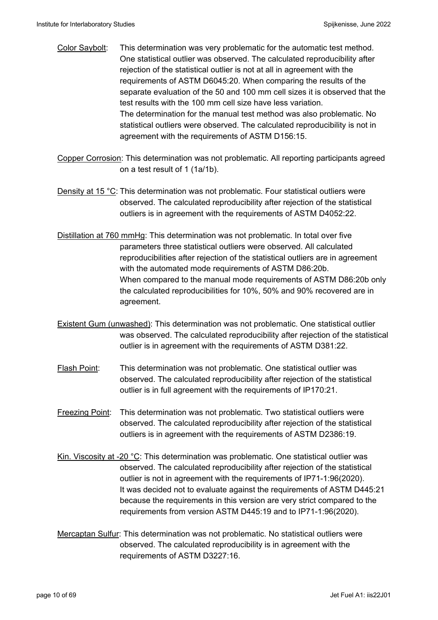- Color Saybolt: This determination was very problematic for the automatic test method. One statistical outlier was observed. The calculated reproducibility after rejection of the statistical outlier is not at all in agreement with the requirements of ASTM D6045:20. When comparing the results of the separate evaluation of the 50 and 100 mm cell sizes it is observed that the test results with the 100 mm cell size have less variation. The determination for the manual test method was also problematic. No statistical outliers were observed. The calculated reproducibility is not in agreement with the requirements of ASTM D156:15.
- Copper Corrosion: This determination was not problematic. All reporting participants agreed on a test result of 1 (1a/1b).
- Density at 15 °C: This determination was not problematic. Four statistical outliers were observed. The calculated reproducibility after rejection of the statistical outliers is in agreement with the requirements of ASTM D4052:22.
- Distillation at 760 mmHg: This determination was not problematic. In total over five parameters three statistical outliers were observed. All calculated reproducibilities after rejection of the statistical outliers are in agreement with the automated mode requirements of ASTM D86:20b. When compared to the manual mode requirements of ASTM D86:20b only the calculated reproducibilities for 10%, 50% and 90% recovered are in agreement.
- Existent Gum (unwashed): This determination was not problematic. One statistical outlier was observed. The calculated reproducibility after rejection of the statistical outlier is in agreement with the requirements of ASTM D381:22.
- Flash Point: This determination was not problematic. One statistical outlier was observed. The calculated reproducibility after rejection of the statistical outlier is in full agreement with the requirements of IP170:21.
- Freezing Point: This determination was not problematic. Two statistical outliers were observed. The calculated reproducibility after rejection of the statistical outliers is in agreement with the requirements of ASTM D2386:19.
- Kin. Viscosity at -20 °C: This determination was problematic. One statistical outlier was observed. The calculated reproducibility after rejection of the statistical outlier is not in agreement with the requirements of IP71-1:96(2020). It was decided not to evaluate against the requirements of ASTM D445:21 because the requirements in this version are very strict compared to the requirements from version ASTM D445:19 and to IP71-1:96(2020).
- Mercaptan Sulfur: This determination was not problematic. No statistical outliers were observed. The calculated reproducibility is in agreement with the requirements of ASTM D3227:16.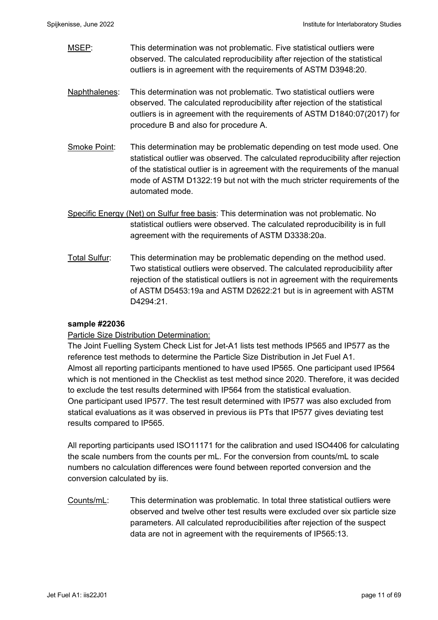MSEP: This determination was not problematic. Five statistical outliers were observed. The calculated reproducibility after rejection of the statistical outliers is in agreement with the requirements of ASTM D3948:20.

- Naphthalenes: This determination was not problematic. Two statistical outliers were observed. The calculated reproducibility after rejection of the statistical outliers is in agreement with the requirements of ASTM D1840:07(2017) for procedure B and also for procedure A.
- Smoke Point: This determination may be problematic depending on test mode used. One statistical outlier was observed. The calculated reproducibility after rejection of the statistical outlier is in agreement with the requirements of the manual mode of ASTM D1322:19 but not with the much stricter requirements of the automated mode.
- Specific Energy (Net) on Sulfur free basis: This determination was not problematic. No statistical outliers were observed. The calculated reproducibility is in full agreement with the requirements of ASTM D3338:20a.
- Total Sulfur: This determination may be problematic depending on the method used. Two statistical outliers were observed. The calculated reproducibility after rejection of the statistical outliers is not in agreement with the requirements of ASTM D5453:19a and ASTM D2622:21 but is in agreement with ASTM D4294:21.

### **sample #22036**

### Particle Size Distribution Determination:

The Joint Fuelling System Check List for Jet-A1 lists test methods IP565 and IP577 as the reference test methods to determine the Particle Size Distribution in Jet Fuel A1. Almost all reporting participants mentioned to have used IP565. One participant used IP564 which is not mentioned in the Checklist as test method since 2020. Therefore, it was decided to exclude the test results determined with IP564 from the statistical evaluation. One participant used IP577. The test result determined with IP577 was also excluded from statical evaluations as it was observed in previous iis PTs that IP577 gives deviating test results compared to IP565.

All reporting participants used ISO11171 for the calibration and used ISO4406 for calculating the scale numbers from the counts per mL. For the conversion from counts/mL to scale numbers no calculation differences were found between reported conversion and the conversion calculated by iis.

Counts/mL: This determination was problematic. In total three statistical outliers were observed and twelve other test results were excluded over six particle size parameters. All calculated reproducibilities after rejection of the suspect data are not in agreement with the requirements of IP565:13.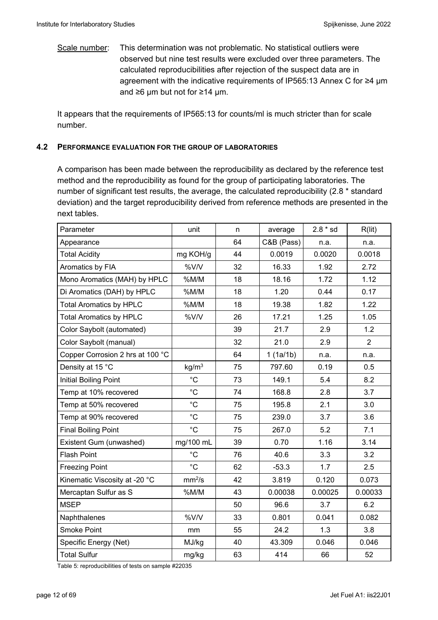Scale number: This determination was not problematic. No statistical outliers were observed but nine test results were excluded over three parameters. The calculated reproducibilities after rejection of the suspect data are in agreement with the indicative requirements of IP565:13 Annex C for ≥4 µm and ≥6 µm but not for ≥14 µm.

It appears that the requirements of IP565:13 for counts/ml is much stricter than for scale number.

#### **4.2 PERFORMANCE EVALUATION FOR THE GROUP OF LABORATORIES**

A comparison has been made between the reproducibility as declared by the reference test method and the reproducibility as found for the group of participating laboratories. The number of significant test results, the average, the calculated reproducibility (2.8 \* standard deviation) and the target reproducibility derived from reference methods are presented in the next tables.

| Parameter                        | unit               | n  | average    | $2.8 * sd$ | R(lit)         |
|----------------------------------|--------------------|----|------------|------------|----------------|
| Appearance                       |                    | 64 | C&B (Pass) | n.a.       | n.a.           |
| <b>Total Acidity</b>             | mg KOH/g           | 44 | 0.0019     | 0.0020     | 0.0018         |
| Aromatics by FIA                 | %V/V               | 32 | 16.33      | 1.92       | 2.72           |
| Mono Aromatics (MAH) by HPLC     | %M/M               | 18 | 18.16      | 1.72       | 1.12           |
| Di Aromatics (DAH) by HPLC       | %M/M               | 18 | 1.20       | 0.44       | 0.17           |
| <b>Total Aromatics by HPLC</b>   | %M/M               | 18 | 19.38      | 1.82       | 1.22           |
| <b>Total Aromatics by HPLC</b>   | %V/V               | 26 | 17.21      | 1.25       | 1.05           |
| Color Saybolt (automated)        |                    | 39 | 21.7       | 2.9        | 1.2            |
| Color Saybolt (manual)           |                    | 32 | 21.0       | 2.9        | $\overline{2}$ |
| Copper Corrosion 2 hrs at 100 °C |                    | 64 | 1(1a/1b)   | n.a.       | n.a.           |
| Density at 15 °C                 | kg/m <sup>3</sup>  | 75 | 797.60     | 0.19       | 0.5            |
| <b>Initial Boiling Point</b>     | $^{\circ}C$        | 73 | 149.1      | 5.4        | 8.2            |
| Temp at 10% recovered            | $^{\circ}C$        | 74 | 168.8      | 2.8        | 3.7            |
| Temp at 50% recovered            | $^{\circ}C$        | 75 | 195.8      | 2.1        | 3.0            |
| Temp at 90% recovered            | $^{\circ}C$        | 75 | 239.0      | 3.7        | 3.6            |
| <b>Final Boiling Point</b>       | $^{\circ}C$        | 75 | 267.0      | 5.2        | 7.1            |
| Existent Gum (unwashed)          | mg/100 mL          | 39 | 0.70       | 1.16       | 3.14           |
| <b>Flash Point</b>               | $^{\circ}C$        | 76 | 40.6       | 3.3        | 3.2            |
| <b>Freezing Point</b>            | $^{\circ}C$        | 62 | $-53.3$    | 1.7        | 2.5            |
| Kinematic Viscosity at -20 °C    | mm <sup>2</sup> /s | 42 | 3.819      | 0.120      | 0.073          |
| Mercaptan Sulfur as S            | %M/M               | 43 | 0.00038    | 0.00025    | 0.00033        |
| <b>MSEP</b>                      |                    | 50 | 96.6       | 3.7        | 6.2            |
| Naphthalenes                     | %V/V               | 33 | 0.801      | 0.041      | 0.082          |
| <b>Smoke Point</b>               | mm                 | 55 | 24.2       | 1.3        | 3.8            |
| Specific Energy (Net)            | MJ/kg              | 40 | 43.309     | 0.046      | 0.046          |
| <b>Total Sulfur</b>              | mg/kg              | 63 | 414        | 66         | 52             |

Table 5: reproducibilities of tests on sample #22035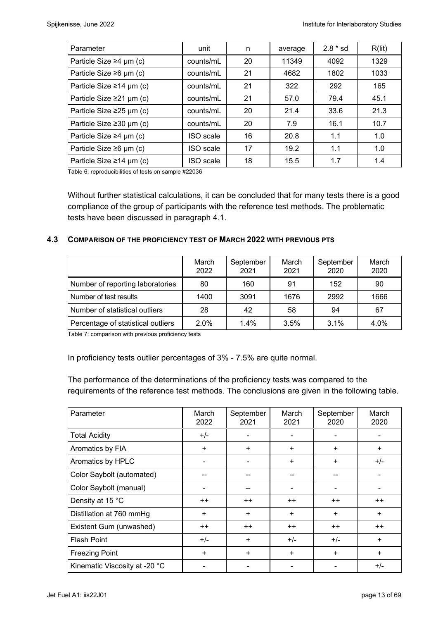| Parameter                      | unit             | n  | average | $2.8 * sd$ | R(lit) |
|--------------------------------|------------------|----|---------|------------|--------|
| Particle Size $\geq 4$ µm (c)  | counts/mL        | 20 | 11349   | 4092       | 1329   |
| Particle Size $\geq 6$ µm (c)  | counts/mL        | 21 | 4682    | 1802       | 1033   |
| Particle Size $\geq$ 14 µm (c) | counts/mL        | 21 | 322     | 292        | 165    |
| Particle Size $\geq$ 21 µm (c) | counts/mL        | 21 | 57.0    | 79.4       | 45.1   |
| Particle Size $\geq$ 25 µm (c) | counts/mL        | 20 | 21.4    | 33.6       | 21.3   |
| Particle Size $\geq$ 30 µm (c) | counts/mL        | 20 | 7.9     | 16.1       | 10.7   |
| Particle Size $\geq 4$ µm (c)  | ISO scale        | 16 | 20.8    | 1.1        | 1.0    |
| Particle Size $\geq 6$ µm (c)  | <b>ISO</b> scale | 17 | 19.2    | 1.1        | 1.0    |
| Particle Size $\geq$ 14 µm (c) | ISO scale        | 18 | 15.5    | 1.7        | 1.4    |

Table 6: reproducibilities of tests on sample #22036

Without further statistical calculations, it can be concluded that for many tests there is a good compliance of the group of participants with the reference test methods. The problematic tests have been discussed in paragraph 4.1.

#### **4.3 COMPARISON OF THE PROFICIENCY TEST OF MARCH 2022 WITH PREVIOUS PTS**

|                                    | March<br>2022 | September<br>2021 | March<br>2021 | September<br>2020 | March<br>2020 |
|------------------------------------|---------------|-------------------|---------------|-------------------|---------------|
| Number of reporting laboratories   | 80            | 160               | 91            | 152               | 90            |
| Number of test results             | 1400          | 3091              | 1676          | 2992              | 1666          |
| Number of statistical outliers     | 28            | 42                | 58            | 94                | 67            |
| Percentage of statistical outliers | 2.0%          | 1.4%              | 3.5%          | $3.1\%$           | 4.0%          |

Table 7: comparison with previous proficiency tests

In proficiency tests outlier percentages of 3% - 7.5% are quite normal.

The performance of the determinations of the proficiency tests was compared to the requirements of the reference test methods. The conclusions are given in the following table.

| Parameter                     | March<br>2022 | September<br>2021 | March<br>2021 | September<br>2020 | March<br>2020 |
|-------------------------------|---------------|-------------------|---------------|-------------------|---------------|
| <b>Total Acidity</b>          | $+/-$         | $\blacksquare$    |               |                   |               |
| Aromatics by FIA              | $\ddot{}$     | ÷                 | $\ddot{}$     | ÷                 | $\ddot{}$     |
| Aromatics by HPLC             |               |                   | $\ddot{}$     | $\ddot{}$         | $+/-$         |
| Color Saybolt (automated)     |               |                   |               |                   |               |
| Color Saybolt (manual)        |               |                   |               |                   |               |
| Density at 15 °C              | $++$          | $++$              | $++$          | $++$              | $++$          |
| Distillation at 760 mmHg      | $\ddot{}$     | $+$               | $+$           | $+$               | $\ddot{}$     |
| Existent Gum (unwashed)       | $++$          | $++$              | $++$          | $^{++}$           | $++$          |
| <b>Flash Point</b>            | $+/-$         | $\ddot{}$         | $+/-$         | $+/-$             | $\ddot{}$     |
| <b>Freezing Point</b>         | $\ddot{}$     | $\ddot{}$         | $\ddot{}$     | $\ddot{}$         | $+$           |
| Kinematic Viscosity at -20 °C |               |                   |               |                   | $+/-$         |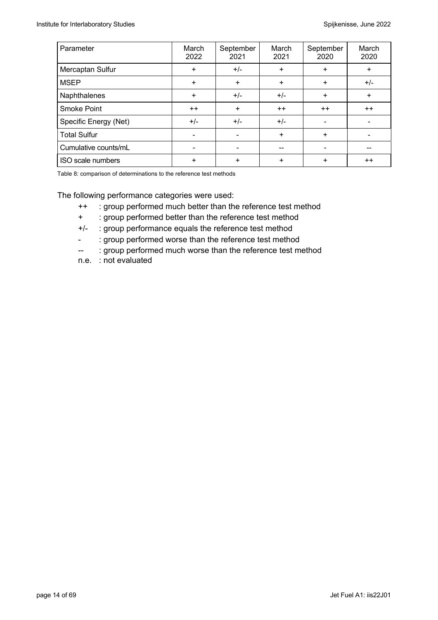| Parameter             | March<br>2022 | September<br>2021 | March<br>2021 | September<br>2020 | March<br>2020 |
|-----------------------|---------------|-------------------|---------------|-------------------|---------------|
| Mercaptan Sulfur      | $\ddot{}$     | $+/-$             | $\ddot{}$     | $\ddot{}$         | $+$           |
| <b>MSEP</b>           | $\ddot{}$     | $\ddot{}$         | $\ddot{}$     | $\ddot{}$         | $+/-$         |
| Naphthalenes          | $\ddot{}$     | $+/-$             | $+/-$         | $\ddot{}$         | $\ddot{}$     |
| <b>Smoke Point</b>    | $++$          | +                 | $++$          | $++$              | $++$          |
| Specific Energy (Net) | $+/-$         | $+/-$             | $+/-$         |                   |               |
| <b>Total Sulfur</b>   | -             |                   | $\ddot{}$     | $\ddot{}$         |               |
| Cumulative counts/mL  |               |                   |               |                   |               |
| ISO scale numbers     | ÷             | +                 | +             | ÷                 | $++$          |

Table 8: comparison of determinations to the reference test methods

The following performance categories were used:

- ++ : group performed much better than the reference test method
- + : group performed better than the reference test method
- +/- : group performance equals the reference test method
- : group performed worse than the reference test method
- -- : group performed much worse than the reference test method
- n.e. : not evaluated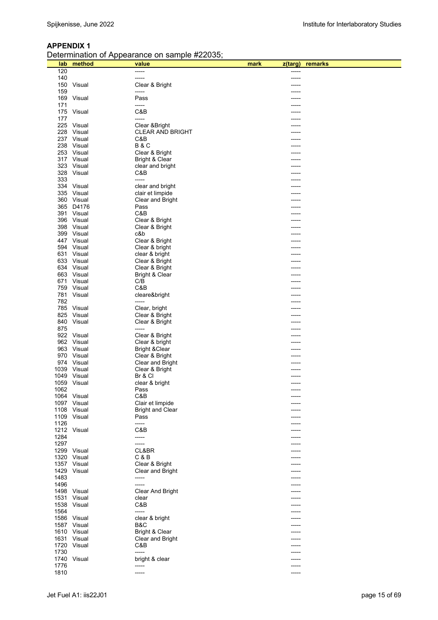| Determination of Appearance on sample #22035; |  |
|-----------------------------------------------|--|
|                                               |  |

| lab        | method                   | value                                | mark<br>z(targ) | remarks |
|------------|--------------------------|--------------------------------------|-----------------|---------|
| 120        |                          | -----                                |                 |         |
| 140        |                          | -----                                |                 |         |
| 150        | Visual                   | Clear & Bright                       |                 |         |
| 159        |                          | -----                                |                 |         |
| 169<br>171 | Visual                   | Pass<br>-----                        |                 |         |
| 175        | Visual                   | C&B                                  |                 |         |
| 177        |                          | -----                                |                 |         |
| 225        | Visual                   | Clear & Bright                       |                 |         |
| 228        | Visual                   | <b>CLEAR AND BRIGHT</b>              |                 |         |
|            | 237 Visual               | C&B                                  |                 |         |
|            | 238 Visual               | <b>B&amp;C</b>                       |                 |         |
|            | 253 Visual               | Clear & Bright                       |                 |         |
|            | 317 Visual               | Bright & Clear                       |                 |         |
|            | 323 Visual               | clear and bright                     |                 |         |
| 328        | Visual                   | C&B                                  |                 |         |
| 333        |                          | -----                                |                 |         |
|            | 334 Visual<br>335 Visual | clear and bright<br>clair et limpide |                 |         |
|            | 360 Visual               | Clear and Bright                     |                 |         |
|            | 365 D4176                | Pass                                 |                 |         |
|            | 391 Visual               | C&B                                  |                 |         |
|            | 396 Visual               | Clear & Bright                       |                 |         |
|            | 398 Visual               | Clear & Bright                       |                 |         |
|            | 399 Visual               | c&b                                  |                 |         |
|            | 447 Visual               | Clear & Bright                       |                 |         |
|            | 594 Visual               | Clear & bright                       |                 |         |
|            | 631 Visual               | clear & bright                       |                 |         |
|            | 633 Visual               | Clear & Bright                       |                 |         |
|            | 634 Visual               | Clear & Bright                       |                 |         |
|            | 663 Visual<br>671 Visual | Bright & Clear<br>C/B                |                 |         |
| 759        | Visual                   | C&B                                  |                 |         |
|            | 781 Visual               | cleare&bright                        |                 |         |
| 782        |                          |                                      |                 |         |
|            | 785 Visual               | Clear, bright                        |                 |         |
| 825        | Visual                   | Clear & Bright                       |                 |         |
|            | 840 Visual               | Clear & Bright                       |                 |         |
| 875        |                          | -----                                |                 |         |
|            | 922 Visual               | Clear & Bright                       |                 |         |
|            | 962 Visual               | Clear & bright                       |                 |         |
|            | 963 Visual               | <b>Bright &amp; Clear</b>            |                 |         |
|            | 970 Visual<br>974 Visual | Clear & Bright<br>Clear and Bright   |                 |         |
|            | 1039 Visual              | Clear & Bright                       |                 |         |
|            | 1049 Visual              | Br & Cl                              |                 |         |
|            | 1059 Visual              | clear & bright                       | $- - - - -$     |         |
| 1062       |                          | Pass                                 |                 |         |
|            | 1064 Visual              | C&B                                  | -----           |         |
|            | 1097 Visual              | Clair et limpide                     |                 |         |
|            | 1108 Visual              | <b>Bright and Clear</b>              |                 |         |
|            | 1109 Visual              | Pass                                 |                 |         |
| 1126       |                          | -----                                |                 |         |
| 1284       | 1212 Visual              | C&B<br>-----                         |                 |         |
| 1297       |                          | -----                                |                 |         |
|            | 1299 Visual              | CL&BR                                |                 |         |
|            | 1320 Visual              | C & B                                |                 |         |
|            | 1357 Visual              | Clear & Bright                       |                 |         |
|            | 1429 Visual              | Clear and Bright                     |                 |         |
| 1483       |                          | -----                                |                 |         |
| 1496       |                          | -----                                |                 |         |
|            | 1498 Visual              | <b>Clear And Bright</b>              |                 |         |
|            | 1531 Visual              | clear                                |                 |         |
|            | 1538 Visual              | C&B                                  |                 |         |
| 1564       | 1586 Visual              | -----<br>clear & bright              |                 |         |
|            | 1587 Visual              | B&C                                  |                 |         |
|            | 1610 Visual              | Bright & Clear                       |                 |         |
|            | 1631 Visual              | Clear and Bright                     |                 |         |
|            | 1720 Visual              | C&B                                  |                 |         |
| 1730       |                          | -----                                |                 |         |
|            | 1740 Visual              | bright & clear                       |                 |         |
| 1776       |                          | -----                                |                 |         |
| 1810       |                          | -----                                | -----           |         |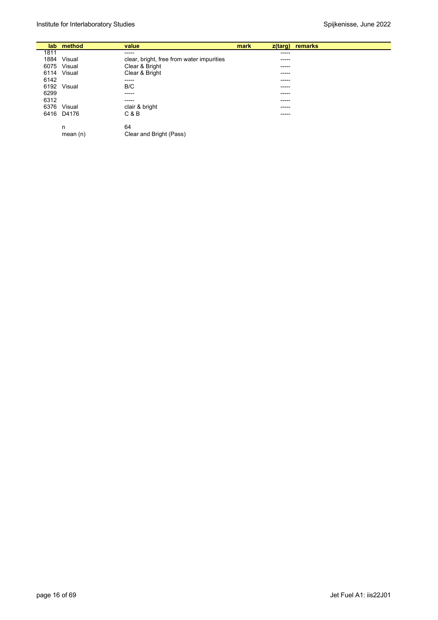|      | lab method  | value                                     | mark | $z$ (targ) | remarks |
|------|-------------|-------------------------------------------|------|------------|---------|
| 1811 |             | -----                                     |      | -----      |         |
| 1884 | Visual      | clear, bright, free from water impurities |      | -----      |         |
|      | 6075 Visual | Clear & Bright                            |      | -----      |         |
|      | 6114 Visual | Clear & Bright                            |      | -----      |         |
| 6142 |             | -----                                     |      | -----      |         |
| 6192 | Visual      | B/C                                       |      | -----      |         |
| 6299 |             | -----                                     |      | -----      |         |
| 6312 |             | -----                                     |      | -----      |         |
| 6376 | Visual      | clair & bright                            |      | -----      |         |
|      | 6416 D4176  | C & B                                     |      | -----      |         |
|      | n           | 64                                        |      |            |         |
|      | mean(n)     | Clear and Bright (Pass)                   |      |            |         |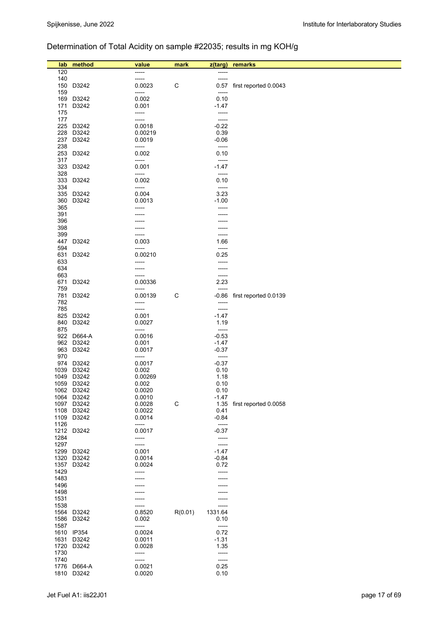# Determination of Total Acidity on sample #22035; results in mg KOH/g

| lab          | method                   | value            | mark        | z(targ)            | remarks               |
|--------------|--------------------------|------------------|-------------|--------------------|-----------------------|
| 120          |                          |                  |             | -----              |                       |
| 140          |                          | -----            |             | -----              |                       |
|              | 150 D3242                | 0.0023           | C           | 0.57               | first reported 0.0043 |
| 159          |                          | -----            |             | -----              |                       |
| 169          | D3242                    | 0.002            |             | 0.10               |                       |
| 171<br>175   | D3242                    | 0.001<br>-----   |             | -1.47              |                       |
| 177          |                          | -----            |             | -----              |                       |
|              | 225 D3242                | 0.0018           |             | $-0.22$            |                       |
|              | 228 D3242                | 0.00219          |             | 0.39               |                       |
| 237          | D3242                    | 0.0019           |             | $-0.06$            |                       |
| 238<br>253   | D3242                    | -----<br>0.002   |             | -----<br>0.10      |                       |
| 317          |                          | -----            |             | -----              |                       |
|              | 323 D3242                | 0.001            |             | $-1.47$            |                       |
| 328          |                          | -----            |             | -----              |                       |
|              | 333 D3242                | 0.002            |             | 0.10               |                       |
| 334          | 335 D3242                | -----<br>0.004   |             | -----<br>3.23      |                       |
| 360          | D3242                    | 0.0013           |             | $-1.00$            |                       |
| 365          |                          | -----            |             | -----              |                       |
| 391          |                          |                  |             |                    |                       |
| 396          |                          |                  |             |                    |                       |
| 398<br>399   |                          | -----            |             | -----              |                       |
|              | 447 D3242                | 0.003            |             | 1.66               |                       |
| 594          |                          | -----            |             | -----              |                       |
| 631          | D3242                    | 0.00210          |             | 0.25               |                       |
| 633<br>634   |                          | -----<br>-----   |             | -----<br>-----     |                       |
| 663          |                          | -----            |             | -----              |                       |
| 671          | D3242                    | 0.00336          |             | 2.23               |                       |
| 759          |                          | -----            |             | -----              |                       |
| 781<br>782   | D3242                    | 0.00139<br>----- | $\mathsf C$ | -0.86<br>-----     | first reported 0.0139 |
| 785          |                          | -----            |             | -----              |                       |
|              | 825 D3242                | 0.001            |             | $-1.47$            |                       |
|              | 840 D3242                | 0.0027           |             | 1.19               |                       |
| 875          |                          | -----            |             | -----              |                       |
|              | 922 D664-A<br>962 D3242  | 0.0016<br>0.001  |             | $-0.53$<br>-1.47   |                       |
|              | 963 D3242                | 0.0017           |             | $-0.37$            |                       |
| 970          |                          | -----            |             | -----              |                       |
|              | 974 D3242                | 0.0017           |             | $-0.37$            |                       |
|              | 1039 D3242               | 0.002            |             | 0.10               |                       |
|              | 1049 D3242<br>1059 D3242 | 0.00269<br>0.002 |             | 1.18<br>0.10       |                       |
|              | 1062 D3242               | 0.0020           |             | 0.10               |                       |
|              | 1064 D3242               | 0.0010           |             | $-1.47$            |                       |
|              | 1097 D3242               | 0.0028           | $\mathsf C$ | 1.35               | first reported 0.0058 |
|              | 1108 D3242               | 0.0022           |             | 0.41               |                       |
| 1109<br>1126 | D3242                    | 0.0014<br>-----  |             | $-0.84$<br>-----   |                       |
|              | 1212 D3242               | 0.0017           |             | $-0.37$            |                       |
| 1284         |                          | -----            |             | -----              |                       |
| 1297         |                          | -----            |             | -----              |                       |
| 1299         | D3242                    | 0.001<br>0.0014  |             | $-1.47$<br>$-0.84$ |                       |
| 1320         | D3242<br>1357 D3242      | 0.0024           |             | 0.72               |                       |
| 1429         |                          | -----            |             | -----              |                       |
| 1483         |                          |                  |             |                    |                       |
| 1496         |                          |                  |             |                    |                       |
| 1498         |                          |                  |             |                    |                       |
| 1531<br>1538 |                          | -----            |             | -----              |                       |
| 1564         | D3242                    | 0.8520           | R(0.01)     | 1331.64            |                       |
| 1586         | D3242                    | 0.002            |             | 0.10               |                       |
| 1587         |                          | -----            |             | -----              |                       |
|              | 1610 IP354               | 0.0024<br>0.0011 |             | 0.72               |                       |
| 1631<br>1720 | D3242<br>D3242           | 0.0028           |             | $-1.31$<br>1.35    |                       |
| 1730         |                          | -----            |             | -----              |                       |
| 1740         |                          | -----            |             | -----              |                       |
| 1776         | D664-A                   | 0.0021           |             | 0.25               |                       |
| 1810         | D3242                    | 0.0020           |             | 0.10               |                       |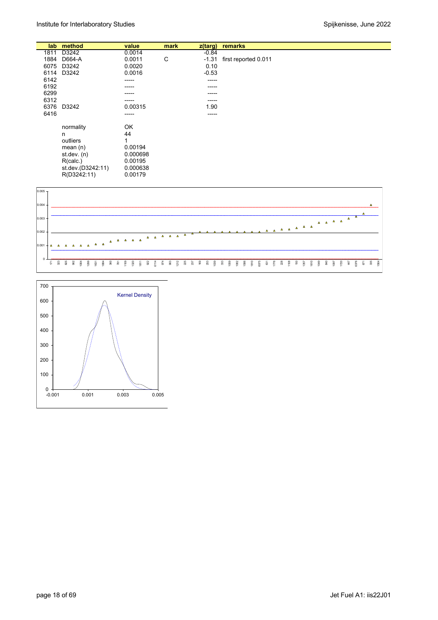|      | lab method        | value    | mark | $z$ (targ) | remarks              |
|------|-------------------|----------|------|------------|----------------------|
|      |                   |          |      |            |                      |
| 1811 | D3242             | 0.0014   |      | $-0.84$    |                      |
| 1884 | D664-A            | 0.0011   | C    | $-1.31$    | first reported 0.011 |
| 6075 | D3242             | 0.0020   |      | 0.10       |                      |
| 6114 | D3242             | 0.0016   |      | $-0.53$    |                      |
| 6142 |                   | -----    |      | -----      |                      |
| 6192 |                   | -----    |      | -----      |                      |
| 6299 |                   | -----    |      |            |                      |
| 6312 |                   | -----    |      | -----      |                      |
| 6376 | D3242             | 0.00315  |      | 1.90       |                      |
| 6416 |                   | -----    |      | -----      |                      |
|      |                   |          |      |            |                      |
|      | normality         | OK       |      |            |                      |
|      | n                 | 44       |      |            |                      |
|      | outliers          | 1        |      |            |                      |
|      | mean $(n)$        | 0.00194  |      |            |                      |
|      | st. dev. (n)      | 0.000698 |      |            |                      |
|      | R(calc.)          | 0.00195  |      |            |                      |
|      |                   |          |      |            |                      |
|      | st.dev.(D3242:11) | 0.000638 |      |            |                      |
|      | R(D3242:11)       | 0.00179  |      |            |                      |



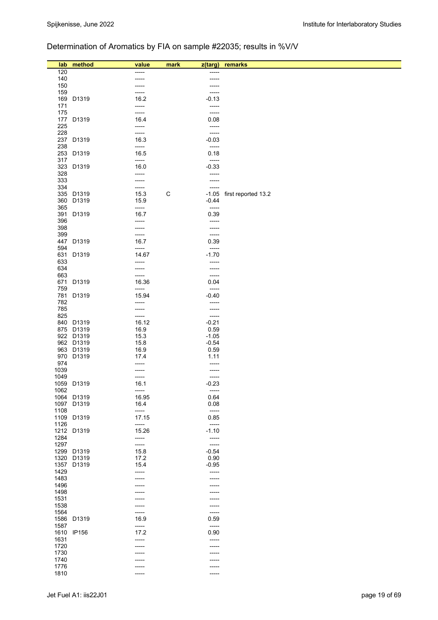# Determination of Aromatics by FIA on sample #22035; results in %V/V

| lab          | method                   | value          | mark<br>z(targ)  | remarks                   |
|--------------|--------------------------|----------------|------------------|---------------------------|
| 120          |                          | -----          | -----            |                           |
| 140          |                          | -----          | -----            |                           |
| 150          |                          |                |                  |                           |
| 159          |                          | -----<br>16.2  | -----<br>$-0.13$ |                           |
| 171          | 169 D1319                | -----          | -----            |                           |
| 175          |                          | -----          | -----            |                           |
|              | 177 D1319                | 16.4           | 0.08             |                           |
| 225<br>228   |                          | -----          | -----            |                           |
|              | 237 D1319                | -----<br>16.3  | -----<br>$-0.03$ |                           |
| 238          |                          | -----          | -----            |                           |
|              | 253 D1319                | 16.5           | 0.18             |                           |
| 317          | 323 D1319                | -----<br>16.0  | -----<br>$-0.33$ |                           |
| 328          |                          | -----          | -----            |                           |
| 333          |                          | -----          | -----            |                           |
| 334          |                          | -----          | -----            |                           |
|              | 335 D1319<br>360 D1319   | 15.3<br>15.9   | C<br>$-0.44$     | -1.05 first reported 13.2 |
| 365          |                          | -----          | -----            |                           |
|              | 391 D1319                | 16.7           | 0.39             |                           |
| 396          |                          | -----          | -----            |                           |
| 398<br>399   |                          | -----<br>----- | -----<br>-----   |                           |
|              | 447 D1319                | 16.7           | 0.39             |                           |
| 594          |                          | -----          | -----            |                           |
| 633          | 631 D1319                | 14.67<br>----- | $-1.70$<br>----- |                           |
| 634          |                          | -----          | -----            |                           |
| 663          |                          | -----          | -----            |                           |
|              | 671 D1319                | 16.36          | 0.04             |                           |
| 759          | 781 D1319                | -----<br>15.94 | -----<br>$-0.40$ |                           |
| 782          |                          | -----          | -----            |                           |
| 785          |                          | -----          | -----            |                           |
| 825          | 840 D1319                | -----<br>16.12 | -----<br>$-0.21$ |                           |
|              | 875 D1319                | 16.9           | 0.59             |                           |
|              | 922 D1319                | 15.3           | $-1.05$          |                           |
|              | 962 D1319<br>963 D1319   | 15.8<br>16.9   | $-0.54$<br>0.59  |                           |
|              | 970 D1319                | 17.4           | 1.11             |                           |
| 974          |                          | -----          | -----            |                           |
| 1039         |                          | -----          | -----            |                           |
| 1049         | 1059 D1319               | -----<br>16.1  | -----<br>$-0.23$ |                           |
| 1062         |                          | -----          | -----            |                           |
|              | 1064 D1319               | 16.95          | 0.64             |                           |
| 1108         | 1097 D1319               | 16.4<br>-----  | 0.08<br>-----    |                           |
|              | 1109 D1319               | 17.15          | 0.85             |                           |
| 1126         |                          | -----          | -----            |                           |
| 1284         | 1212 D1319               | 15.26<br>----- | $-1.10$<br>----- |                           |
| 1297         |                          | -----          | -----            |                           |
|              | 1299 D1319               | 15.8           | $-0.54$          |                           |
|              | 1320 D1319<br>1357 D1319 | 17.2<br>15.4   | 0.90<br>$-0.95$  |                           |
| 1429         |                          | -----          | -----            |                           |
| 1483         |                          |                |                  |                           |
| 1496         |                          |                |                  |                           |
| 1498<br>1531 |                          |                |                  |                           |
| 1538         |                          | ----           |                  |                           |
| 1564         |                          | -----          | -----            |                           |
| 1587         | 1586 D1319               | 16.9<br>-----  | 0.59<br>-----    |                           |
|              | 1610 IP156               | 17.2           | 0.90             |                           |
| 1631         |                          | -----          | -----            |                           |
| 1720<br>1730 |                          | -----          | -----            |                           |
| 1740         |                          |                |                  |                           |
| 1776         |                          |                |                  |                           |
| 1810         |                          | -----          | -----            |                           |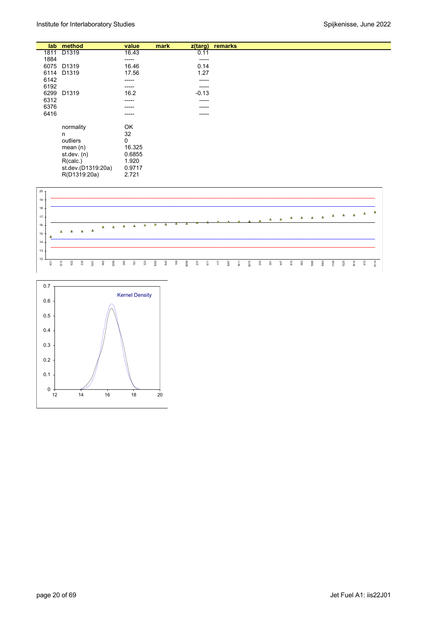|      |                    |        |      |            | remarks |
|------|--------------------|--------|------|------------|---------|
| lab  | method             | value  | mark | $z$ (targ) |         |
| 1811 | D1319              | 16.43  |      | 0.11       |         |
| 1884 |                    | -----  |      | -----      |         |
| 6075 | D1319              | 16.46  |      | 0.14       |         |
| 6114 | D1319              | 17.56  |      | 1.27       |         |
| 6142 |                    | -----  |      | -----      |         |
| 6192 |                    | -----  |      | -----      |         |
| 6299 | D1319              | 16.2   |      | $-0.13$    |         |
|      |                    |        |      |            |         |
| 6312 |                    | -----  |      | -----      |         |
| 6376 |                    | -----  |      | -----      |         |
| 6416 |                    | ------ |      | -----      |         |
|      |                    | OK     |      |            |         |
|      | normality          |        |      |            |         |
|      | n                  | 32     |      |            |         |
|      | outliers           | 0      |      |            |         |
|      | mean(n)            | 16.325 |      |            |         |
|      | st.dev. (n)        | 0.6855 |      |            |         |
|      | R(calc.)           | 1.920  |      |            |         |
|      | st.dev.(D1319:20a) | 0.9717 |      |            |         |
|      | R(D1319:20a)       | 2.721  |      |            |         |



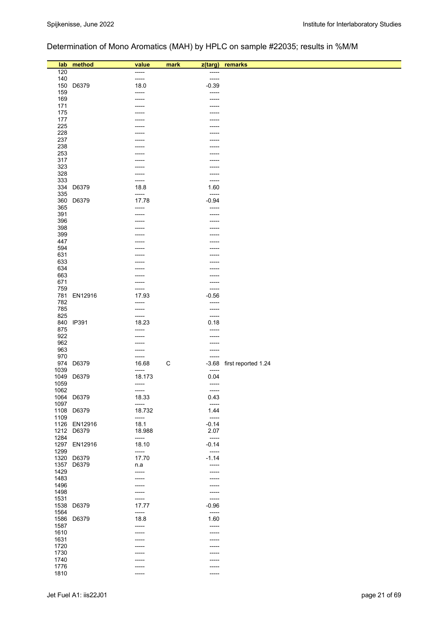# Determination of Mono Aromatics (MAH) by HPLC on sample #22035; results in %M/M

| lab<br>120   | method              | value<br>----- | mark | z(targ)<br>----- | remarks             |
|--------------|---------------------|----------------|------|------------------|---------------------|
| 140          |                     | -----          |      | -----            |                     |
| 150          | D6379               | 18.0           |      | $-0.39$          |                     |
| 159          |                     | -----          |      | -----            |                     |
| 169          |                     |                |      | -----            |                     |
| 171          |                     |                |      |                  |                     |
| 175          |                     |                |      |                  |                     |
| 177          |                     |                |      |                  |                     |
| 225          |                     |                |      |                  |                     |
| 228          |                     |                |      | ----             |                     |
| 237<br>238   |                     |                |      | -----            |                     |
| 253          |                     |                |      |                  |                     |
| 317          |                     | -----          |      |                  |                     |
| 323          |                     | -----          |      | -----            |                     |
| 328          |                     | -----          |      | -----            |                     |
| 333          |                     | -----          |      | -----            |                     |
| 334          | D6379               | 18.8           |      | 1.60             |                     |
| 335          |                     | -----          |      | $-----$          |                     |
| 360<br>365   | D6379               | 17.78          |      | $-0.94$<br>----- |                     |
| 391          |                     | -----<br>----- |      | -----            |                     |
| 396          |                     | -----          |      | -----            |                     |
| 398          |                     |                |      |                  |                     |
| 399          |                     | -----          |      |                  |                     |
| 447          |                     |                |      |                  |                     |
| 594          |                     |                |      |                  |                     |
| 631          |                     |                |      |                  |                     |
| 633          |                     |                |      |                  |                     |
| 634          |                     | -----          |      | ----             |                     |
| 663<br>671   |                     | -----          |      | -----<br>-----   |                     |
| 759          |                     | -----          |      | -----            |                     |
| 781          | EN12916             | 17.93          |      | $-0.56$          |                     |
| 782          |                     | -----          |      | -----            |                     |
| 785          |                     | -----          |      | $-----$          |                     |
| 825          |                     | -----          |      | -----            |                     |
|              | 840 IP391           | 18.23          |      | 0.18             |                     |
| 875          |                     | -----          |      | -----            |                     |
| 922<br>962   |                     | -----<br>----- |      | -----<br>-----   |                     |
| 963          |                     | -----          |      | -----            |                     |
| 970          |                     | -----          |      | -----            |                     |
| 974          | D6379               | 16.68          | C    | $-3.68$          | first reported 1.24 |
| 1039         |                     | -----          |      | $-----$          |                     |
| 1049         | D6379               | 18.173         |      | 0.04             |                     |
| 1059         |                     | -----          |      | -----            |                     |
| 1062         |                     | -----          |      | $-----1$         |                     |
| 1097         | 1064 D6379          | 18.33<br>----- |      | 0.43<br>-----    |                     |
|              | 1108 D6379          | 18.732         |      | 1.44             |                     |
| 1109         |                     | -----          |      | $-----$          |                     |
|              | 1126 EN12916        | 18.1           |      | $-0.14$          |                     |
|              | 1212 D6379          | 18.988         |      | 2.07             |                     |
| 1284         |                     | -----          |      | $-----1$         |                     |
|              | 1297 EN12916        | 18.10          |      | $-0.14$          |                     |
| 1299         |                     | -----          |      | -----            |                     |
| 1357         | 1320 D6379<br>D6379 | 17.70          |      | $-1.14$<br>----- |                     |
| 1429         |                     | n.a<br>-----   |      | -----            |                     |
| 1483         |                     |                |      |                  |                     |
| 1496         |                     |                |      |                  |                     |
| 1498         |                     | -----          |      | -----            |                     |
| 1531         |                     | -----          |      | -----            |                     |
| 1538         | D6379               | 17.77          |      | $-0.96$          |                     |
| 1564         |                     | -----          |      | $-----$          |                     |
| 1586         | D6379               | 18.8           |      | 1.60             |                     |
| 1587<br>1610 |                     | -----          |      | -----            |                     |
| 1631         |                     | -----          |      |                  |                     |
| 1720         |                     |                |      |                  |                     |
| 1730         |                     |                |      |                  |                     |
| 1740         |                     |                |      |                  |                     |
| 1776         |                     | -----          |      |                  |                     |
| 1810         |                     | -----          |      | -----            |                     |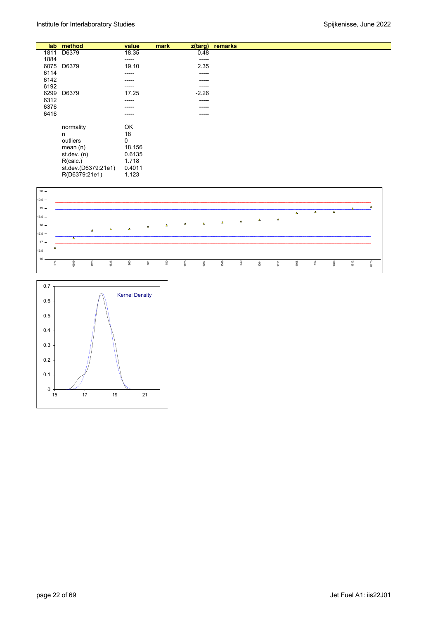|      | lab method          | value       | mark<br>z(targ) | remarks |
|------|---------------------|-------------|-----------------|---------|
| 1811 | D6379               | 18.35       | 0.48            |         |
| 1884 |                     | -----       | -----           |         |
| 6075 | D6379               | 19.10       | 2.35            |         |
| 6114 |                     | -----       | -----           |         |
| 6142 |                     | -----       | -----           |         |
| 6192 |                     | -----       | -----           |         |
| 6299 | D6379               | 17.25       | $-2.26$         |         |
| 6312 |                     | -----       | -----           |         |
| 6376 |                     | ------      | -----           |         |
| 6416 |                     | -----       | -----           |         |
|      |                     |             |                 |         |
|      | normality           | OK          |                 |         |
|      | n                   | 18          |                 |         |
|      | outliers            | $\mathbf 0$ |                 |         |
|      | mean $(n)$          | 18.156      |                 |         |
|      | st. dev. (n)        | 0.6135      |                 |         |
|      | R(calc.)            | 1.718       |                 |         |
|      | st.dev.(D6379:21e1) | 0.4011      |                 |         |
|      | R(D6379:21e1)       | 1.123       |                 |         |



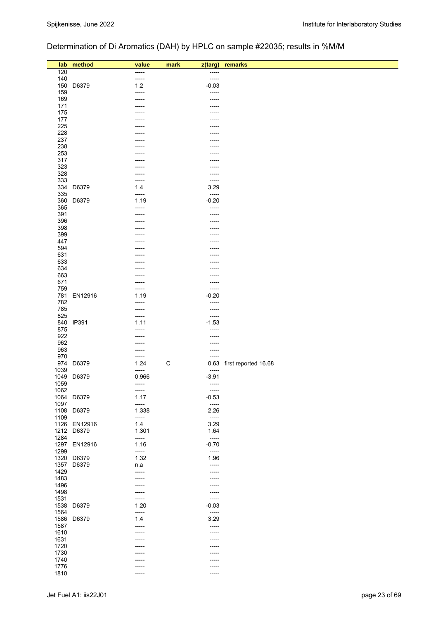# Determination of Di Aromatics (DAH) by HPLC on sample #22035; results in %M/M

| lab          | method                     | value          | mark        | z(targ)          | remarks                   |
|--------------|----------------------------|----------------|-------------|------------------|---------------------------|
| 120          |                            | -----          |             | -----            |                           |
| 140          |                            | -----          |             | -----            |                           |
| 150          | D6379                      | $1.2$          |             | $-0.03$          |                           |
| 159<br>169   |                            | -----          |             | -----<br>-----   |                           |
| 171          |                            | -----          |             | -----            |                           |
| 175          |                            |                |             |                  |                           |
| 177          |                            |                |             |                  |                           |
| 225          |                            |                |             |                  |                           |
| 228<br>237   |                            |                |             | ----             |                           |
| 238          |                            |                |             |                  |                           |
| 253          |                            |                |             |                  |                           |
| 317          |                            |                |             |                  |                           |
| 323<br>328   |                            | -----          |             | -----            |                           |
| 333          |                            | -----          |             | -----            |                           |
| 334          | D6379                      | 1.4            |             | 3.29             |                           |
| 335          |                            | -----          |             | -----            |                           |
| 360          | D6379                      | 1.19           |             | $-0.20$          |                           |
| 365<br>391   |                            | -----          |             | -----            |                           |
| 396          |                            |                |             |                  |                           |
| 398          |                            |                |             |                  |                           |
| 399          |                            |                |             |                  |                           |
| 447<br>594   |                            |                |             | ----             |                           |
| 631          |                            |                |             |                  |                           |
| 633          |                            |                |             |                  |                           |
| 634          |                            |                |             |                  |                           |
| 663          |                            | -----          |             | -----            |                           |
| 671<br>759   |                            | -----<br>----- |             | -----<br>-----   |                           |
| 781          | EN12916                    | 1.19           |             | $-0.20$          |                           |
| 782          |                            | -----          |             | -----            |                           |
| 785          |                            | -----          |             | -----            |                           |
| 825          | 840 IP391                  | -----<br>1.11  |             | -----<br>$-1.53$ |                           |
| 875          |                            | -----          |             | -----            |                           |
| 922          |                            | -----          |             | -----            |                           |
| 962          |                            | -----          |             | -----            |                           |
| 963<br>970   |                            | -----<br>----- |             | -----<br>-----   |                           |
| 974          | D6379                      | 1.24           | $\mathsf C$ |                  | 0.63 first reported 16.68 |
| 1039         |                            | -----          |             | -----            |                           |
| 1049         | D6379                      | 0.966          |             | $-3.91$          |                           |
| 1059<br>1062 |                            | -----          |             | -----            |                           |
|              | 1064 D6379                 | -----<br>1.17  |             | -----<br>$-0.53$ |                           |
| 1097         |                            | -----          |             | -----            |                           |
|              | 1108 D6379                 | 1.338          |             | 2.26             |                           |
| 1109         |                            | -----          |             | $-----1$         |                           |
|              | 1126 EN12916<br>1212 D6379 | 1.4<br>1.301   |             | 3.29<br>1.64     |                           |
| 1284         |                            | -----          |             | $-----$          |                           |
|              | 1297 EN12916               | 1.16           |             | $-0.70$          |                           |
| 1299         |                            | -----          |             | $-----1$         |                           |
| 1357         | 1320 D6379<br>D6379        | 1.32<br>n.a    |             | 1.96<br>-----    |                           |
| 1429         |                            | -----          |             | -----            |                           |
| 1483         |                            | -----          |             | -----            |                           |
| 1496         |                            | -----          |             | -----            |                           |
| 1498<br>1531 |                            | -----<br>----- |             | -----<br>-----   |                           |
| 1538         | D6379                      | 1.20           |             | $-0.03$          |                           |
| 1564         |                            | -----          |             | $-----1$         |                           |
| 1586         | D6379                      | 1.4            |             | 3.29             |                           |
| 1587         |                            | -----          |             | -----            |                           |
| 1610<br>1631 |                            | -----          |             | -----            |                           |
| 1720         |                            |                |             |                  |                           |
| 1730         |                            |                |             |                  |                           |
| 1740         |                            |                |             |                  |                           |
| 1776<br>1810 |                            |                |             |                  |                           |
|              |                            | -----          |             | -----            |                           |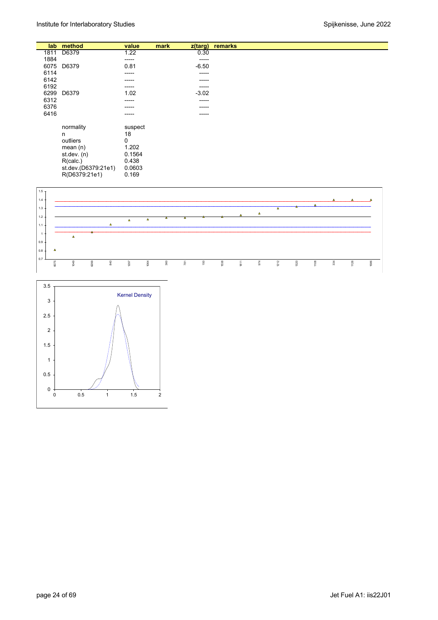| lab  | method              | value   | mark | $z$ (targ) | remarks |
|------|---------------------|---------|------|------------|---------|
| 1811 | D6379               | 1.22    |      | 0.30       |         |
| 1884 |                     | -----   |      | ------     |         |
| 6075 | D6379               | 0.81    |      | $-6.50$    |         |
| 6114 |                     | -----   |      | -----      |         |
| 6142 |                     | -----   |      | -----      |         |
| 6192 |                     | -----   |      | ------     |         |
| 6299 | D6379               | 1.02    |      | $-3.02$    |         |
| 6312 |                     | -----   |      | -----      |         |
| 6376 |                     | -----   |      | ------     |         |
| 6416 |                     | -----   |      | -----      |         |
|      | normality           | suspect |      |            |         |
|      | n                   | 18      |      |            |         |
|      | outliers            | 0       |      |            |         |
|      | mean $(n)$          | 1.202   |      |            |         |
|      | st. dev. (n)        | 0.1564  |      |            |         |
|      | R(calc.)            | 0.438   |      |            |         |
|      | st.dev.(D6379:21e1) | 0.0603  |      |            |         |
|      | R(D6379:21e1)       | 0.169   |      |            |         |



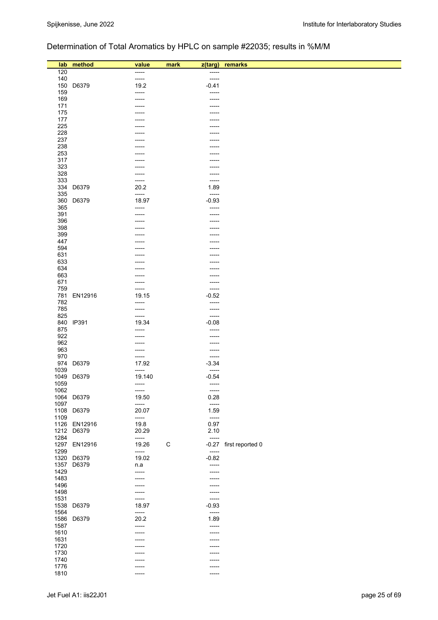# Determination of Total Aromatics by HPLC on sample #22035; results in %M/M

|              | lab method   | value          | mark        | z(targ)              | remarks          |
|--------------|--------------|----------------|-------------|----------------------|------------------|
| 120          |              | -----          |             | -----                |                  |
| 140          |              | -----          |             | -----                |                  |
| 150          | D6379        | 19.2           |             | $-0.41$              |                  |
| 159          |              | -----          |             | -----                |                  |
| 169          |              | -----          |             | -----                |                  |
| 171          |              |                |             | -----                |                  |
| 175<br>177   |              |                |             |                      |                  |
| 225          |              |                |             |                      |                  |
| 228          |              |                |             |                      |                  |
| 237          |              |                |             |                      |                  |
| 238          |              |                |             |                      |                  |
| 253          |              |                |             |                      |                  |
| 317          |              | -----          |             | -----                |                  |
| 323<br>328   |              | -----<br>----- |             | -----<br>-----       |                  |
| 333          |              | -----          |             | -----                |                  |
| 334          | D6379        | 20.2           |             | 1.89                 |                  |
| 335          |              | -----          |             | -----                |                  |
| 360          | D6379        | 18.97          |             | $-0.93$              |                  |
| 365          |              | -----          |             | -----                |                  |
| 391          |              |                |             | -----                |                  |
| 396<br>398   |              |                |             | -----                |                  |
| 399          |              |                |             |                      |                  |
| 447          |              |                |             |                      |                  |
| 594          |              |                |             |                      |                  |
| 631          |              |                |             |                      |                  |
| 633          |              |                |             |                      |                  |
| 634          |              |                |             | -----                |                  |
| 663<br>671   |              | -----          |             | -----                |                  |
| 759          |              | -----          |             | -----<br>-----       |                  |
| 781          | EN12916      | 19.15          |             | $-0.52$              |                  |
| 782          |              | -----          |             | -----                |                  |
| 785          |              | -----          |             | -----                |                  |
| 825          |              | -----          |             | -----                |                  |
|              | 840 IP391    | 19.34          |             | $-0.08$              |                  |
| 875<br>922   |              | -----<br>----- |             | -----<br>-----       |                  |
| 962          |              | -----          |             | -----                |                  |
| 963          |              | -----          |             | -----                |                  |
| 970          |              | -----          |             | -----                |                  |
|              | 974 D6379    | 17.92          |             | $-3.34$              |                  |
| 1039         |              | -----          |             | -----                |                  |
| 1049         | D6379        | 19.140         |             | $-0.54$              |                  |
| 1059<br>1062 |              | -----<br>----- |             | $- - - - -$<br>----- |                  |
|              | 1064 D6379   | 19.50          |             | 0.28                 |                  |
| 1097         |              | -----          |             | -----                |                  |
| 1108         | D6379        | 20.07          |             | 1.59                 |                  |
| 1109         |              | -----          |             | $-----1$             |                  |
|              | 1126 EN12916 | 19.8           |             | 0.97                 |                  |
|              | 1212 D6379   | 20.29          |             | 2.10                 |                  |
| 1284<br>1297 | EN12916      | -----<br>19.26 | $\mathsf C$ | $-----$<br>$-0.27$   | first reported 0 |
| 1299         |              | -----          |             | $-----$              |                  |
|              | 1320 D6379   | 19.02          |             | $-0.82$              |                  |
| 1357         | D6379        | n.a            |             | -----                |                  |
| 1429         |              | -----          |             | -----                |                  |
| 1483         |              | -----          |             | -----                |                  |
| 1496         |              |                |             | -----                |                  |
| 1498<br>1531 |              | -----<br>----- |             | -----<br>-----       |                  |
| 1538         | D6379        | 18.97          |             | $-0.93$              |                  |
| 1564         |              | -----          |             | $-----$              |                  |
| 1586         | D6379        | 20.2           |             | 1.89                 |                  |
| 1587         |              | -----          |             | -----                |                  |
| 1610         |              |                |             |                      |                  |
| 1631         |              | -----          |             | -----                |                  |
| 1720         |              |                |             |                      |                  |
| 1730<br>1740 |              |                |             | ----                 |                  |
| 1776         |              | -----          |             | -----                |                  |
| 1810         |              | -----          |             | -----                |                  |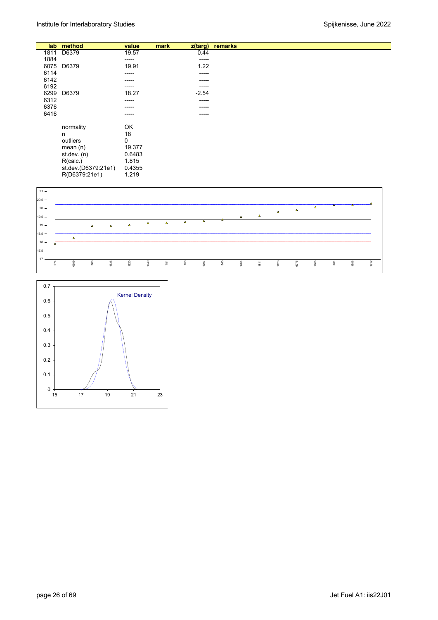|      | lab method          | value       | mark | $z$ (targ) | remarks |
|------|---------------------|-------------|------|------------|---------|
| 1811 | D6379               | 19.57       |      | 0.44       |         |
| 1884 |                     | -----       |      | -----      |         |
| 6075 | D6379               | 19.91       |      | 1.22       |         |
| 6114 |                     | -----       |      | -----      |         |
| 6142 |                     | -----       |      | -----      |         |
| 6192 |                     | -----       |      | -----      |         |
| 6299 | D6379               | 18.27       |      | $-2.54$    |         |
| 6312 |                     | -----       |      | -----      |         |
| 6376 |                     | -----       |      | -----      |         |
| 6416 |                     | -----       |      | -----      |         |
|      |                     |             |      |            |         |
|      | normality           | OK          |      |            |         |
|      | n                   | 18          |      |            |         |
|      | outliers            | $\mathbf 0$ |      |            |         |
|      | mean $(n)$          | 19.377      |      |            |         |
|      | st.dev. (n)         | 0.6483      |      |            |         |
|      | R(calc.)            | 1.815       |      |            |         |
|      | st.dev.(D6379:21e1) | 0.4355      |      |            |         |
|      | R(D6379:21e1)       | 1.219       |      |            |         |



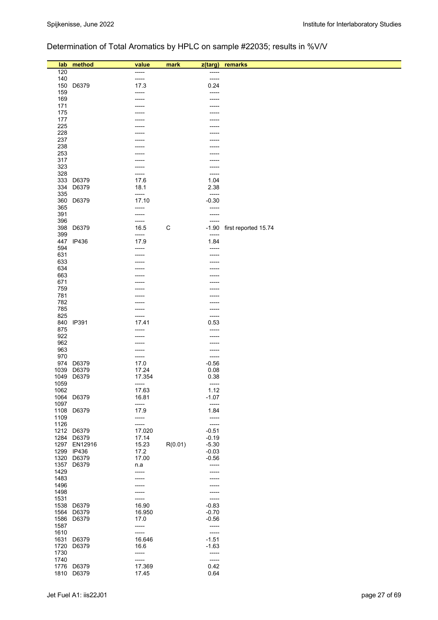# Determination of Total Aromatics by HPLC on sample #22035; results in %V/V

| lab          | method                   | value<br>-----  | mark    | z(targ)            | remarks                    |
|--------------|--------------------------|-----------------|---------|--------------------|----------------------------|
| 120<br>140   |                          | -----           |         | -----<br>-----     |                            |
| 150          | D6379                    | 17.3            |         | 0.24               |                            |
| 159          |                          | -----           |         | -----              |                            |
| 169          |                          | -----           |         | -----              |                            |
| 171          |                          | -----           |         | -----              |                            |
| 175          |                          |                 |         | -----              |                            |
| 177          |                          |                 |         |                    |                            |
| 225          |                          |                 |         |                    |                            |
| 228          |                          |                 |         |                    |                            |
| 237          |                          |                 |         |                    |                            |
| 238          |                          |                 |         |                    |                            |
| 253<br>317   |                          |                 |         |                    |                            |
| 323          |                          | -----           |         | -----              |                            |
| 328          |                          | -----           |         | -----              |                            |
| 333          | D6379                    | 17.6            |         | 1.04               |                            |
| 334          | D6379                    | 18.1            |         | 2.38               |                            |
| 335          |                          | -----           |         | -----              |                            |
| 360          | D6379                    | 17.10           |         | $-0.30$            |                            |
| 365          |                          | -----           |         | -----              |                            |
| 391          |                          | -----           |         | -----              |                            |
| 396          |                          | -----<br>16.5   |         | -----              |                            |
| 398<br>399   | D6379                    | -----           | C       | -----              | -1.90 first reported 15.74 |
| 447          | IP436                    | 17.9            |         | 1.84               |                            |
| 594          |                          | -----           |         | -----              |                            |
| 631          |                          | -----           |         | -----              |                            |
| 633          |                          |                 |         |                    |                            |
| 634          |                          |                 |         |                    |                            |
| 663          |                          |                 |         |                    |                            |
| 671          |                          |                 |         |                    |                            |
| 759          |                          |                 |         |                    |                            |
| 781<br>782   |                          | ----            |         |                    |                            |
| 785          |                          | -----           |         | -----              |                            |
| 825          |                          | -----           |         | -----              |                            |
| 840          | IP391                    | 17.41           |         | 0.53               |                            |
| 875          |                          | -----           |         | -----              |                            |
| 922          |                          | -----           |         | -----              |                            |
| 962          |                          | -----           |         | -----              |                            |
| 963          |                          | -----           |         | -----              |                            |
| 970          |                          | -----           |         | -----              |                            |
| 974          | D6379                    | 17.0            |         | $-0.56$            |                            |
| 1039<br>1049 | D6379<br>D6379           | 17.24<br>17.354 |         | 0.08<br>0.38       |                            |
| 1059         |                          | -----           |         | -----              |                            |
| 1062         |                          | 17.63           |         | 1.12               |                            |
|              | 1064 D6379               | 16.81           |         | $-1.07$            |                            |
| 1097         |                          | -----           |         | -----              |                            |
|              | 1108 D6379               | 17.9            |         | 1.84               |                            |
| 1109         |                          | -----           |         | -----              |                            |
| 1126         |                          | -----           |         | -----              |                            |
| 1284         | 1212 D6379<br>D6379      | 17.020          |         | $-0.51$            |                            |
|              | 1297 EN12916             | 17.14<br>15.23  | R(0.01) | $-0.19$<br>$-5.30$ |                            |
| 1299         | <b>IP436</b>             | 17.2            |         | $-0.03$            |                            |
|              | 1320 D6379               | 17.00           |         | $-0.56$            |                            |
| 1357         | D6379                    | n.a             |         | -----              |                            |
| 1429         |                          | -----           |         | -----              |                            |
| 1483         |                          |                 |         |                    |                            |
| 1496         |                          |                 |         |                    |                            |
| 1498         |                          |                 |         |                    |                            |
| 1531         |                          | -----           |         | -----              |                            |
|              | 1538 D6379<br>1564 D6379 | 16.90<br>16.950 |         | $-0.83$<br>$-0.70$ |                            |
|              | 1586 D6379               | 17.0            |         | $-0.56$            |                            |
| 1587         |                          | -----           |         | -----              |                            |
| 1610         |                          | -----           |         | -----              |                            |
| 1631         | D6379                    | 16.646          |         | $-1.51$            |                            |
| 1720         | D6379                    | 16.6            |         | $-1.63$            |                            |
| 1730         |                          | -----           |         | -----              |                            |
| 1740         |                          | -----           |         | -----              |                            |
| 1776         | D6379                    | 17.369          |         | 0.42               |                            |
|              | 1810 D6379               | 17.45           |         | 0.64               |                            |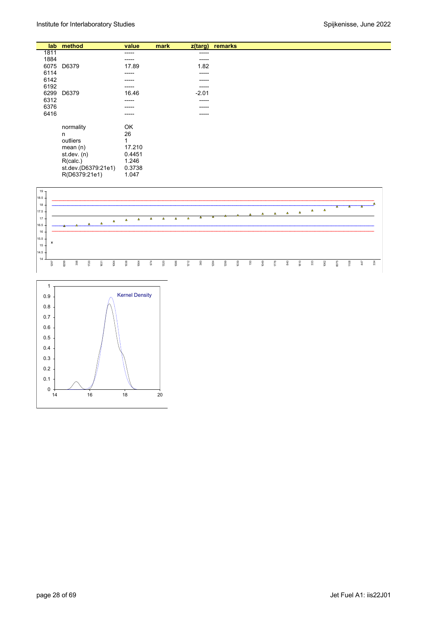|      | lab method          | value  | mark | z(targ) | remarks |
|------|---------------------|--------|------|---------|---------|
| 1811 |                     | -----  |      | -----   |         |
| 1884 |                     | -----  |      | -----   |         |
| 6075 | D6379               | 17.89  |      | 1.82    |         |
| 6114 |                     | -----  |      | -----   |         |
| 6142 |                     | -----  |      | -----   |         |
| 6192 |                     | -----  |      | -----   |         |
| 6299 | D6379               | 16.46  |      | $-2.01$ |         |
| 6312 |                     | -----  |      | -----   |         |
| 6376 |                     | -----  |      | -----   |         |
| 6416 |                     | -----  |      | -----   |         |
|      |                     |        |      |         |         |
|      | normality           | OK     |      |         |         |
|      | n                   | 26     |      |         |         |
|      | outliers            | 1      |      |         |         |
|      | mean $(n)$          | 17.210 |      |         |         |
|      | st.dev. (n)         | 0.4451 |      |         |         |
|      | R(calc.)            | 1.246  |      |         |         |
|      | st.dev.(D6379:21e1) | 0.3738 |      |         |         |
|      | R(D6379:21e1)       | 1.047  |      |         |         |



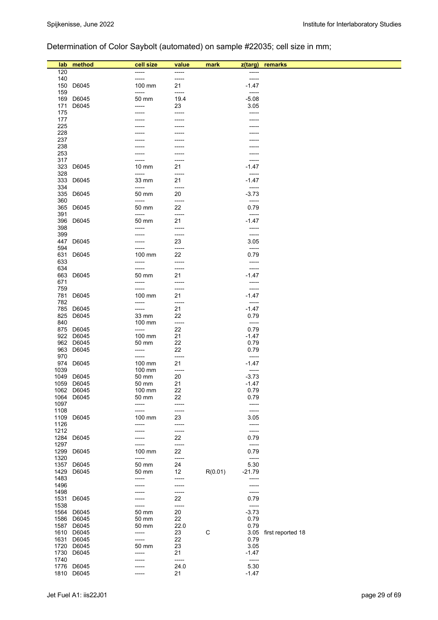# Determination of Color Saybolt (automated) on sample #22035; cell size in mm;

| lab          | method     | cell size       | value          | mark        | z(targ)            | remarks           |
|--------------|------------|-----------------|----------------|-------------|--------------------|-------------------|
| 120          |            | -----           | -----          |             | -----              |                   |
| 140          |            | -----           | $--- -$        |             | -----              |                   |
| 150          | D6045      | 100 mm          | 21             |             | $-1.47$            |                   |
| 159          |            | -----           | -----          |             | -----              |                   |
| 169          | D6045      | 50 mm           | 19.4           |             | $-5.08$            |                   |
| 171          | D6045      | -----           | 23             |             | 3.05               |                   |
| 175<br>177   |            |                 | -----          |             | -----              |                   |
| 225          |            |                 |                |             |                    |                   |
| 228          |            |                 |                |             |                    |                   |
| 237          |            |                 |                |             |                    |                   |
| 238          |            |                 |                |             |                    |                   |
| 253          |            |                 |                |             |                    |                   |
| 317          |            |                 |                |             | -----              |                   |
| 323          | D6045      | $10 \text{ mm}$ | 21             |             | $-1.47$<br>$-----$ |                   |
| 328<br>333   | D6045      | -----<br>33 mm  | -----<br>21    |             | $-1.47$            |                   |
| 334          |            | -----           | -----          |             | -----              |                   |
| 335          | D6045      | 50 mm           | 20             |             | $-3.73$            |                   |
| 360          |            | -----           | -----          |             | -----              |                   |
| 365          | D6045      | 50 mm           | 22             |             | 0.79               |                   |
| 391          |            | -----           | -----          |             | -----              |                   |
| 396          | D6045      | 50 mm           | 21             |             | $-1.47$            |                   |
| 398          |            | -----           | -----          |             | -----              |                   |
| 399<br>447   | D6045      |                 | -----<br>23    |             | -----<br>3.05      |                   |
| 594          |            | -----           | -----          |             | $-----$            |                   |
| 631          | D6045      | 100 mm          | 22             |             | 0.79               |                   |
| 633          |            | -----           | -----          |             | -----              |                   |
| 634          |            | -----           | -----          |             | -----              |                   |
| 663          | D6045      | 50 mm           | 21             |             | $-1.47$            |                   |
| 671          |            | -----           | -----          |             | -----              |                   |
| 759          |            | -----           | -----          |             | -----              |                   |
| 781<br>782   | D6045      | 100 mm<br>----- | 21<br>-----    |             | $-1.47$<br>-----   |                   |
| 785          | D6045      | -----           | 21             |             | $-1.47$            |                   |
| 825          | D6045      | 33 mm           | 22             |             | 0.79               |                   |
| 840          |            | 100 mm          | -----          |             | -----              |                   |
|              | 875 D6045  | -----           | 22             |             | 0.79               |                   |
|              | 922 D6045  | 100 mm          | 21             |             | $-1.47$            |                   |
|              | 962 D6045  | 50 mm           | 22             |             | 0.79               |                   |
| 963          | D6045      | -----           | 22             |             | 0.79               |                   |
| 970<br>974   | D6045      | -----<br>100 mm | -----<br>21    |             | -----<br>$-1.47$   |                   |
| 1039         |            | 100 mm          | -----          |             | -----              |                   |
| 1049         | D6045      | 50 mm           | 20             |             | $-3.73$            |                   |
| 1059         | D6045      | 50 mm           | 21             |             | $-1.47$            |                   |
|              | 1062 D6045 | 100 mm          | 22             |             | 0.79               |                   |
| 1064         | D6045      | 50 mm           | 22             |             | 0.79               |                   |
| 1097         |            | -----           | -----          |             | -----              |                   |
| 1108         |            | -----           | -----          |             | -----              |                   |
| 1109         | D6045      | 100 mm<br>----- | 23<br>-----    |             | 3.05<br>-----      |                   |
| 1126<br>1212 |            | -----           | -----          |             | -----              |                   |
| 1284         | D6045      |                 | 22             |             | 0.79               |                   |
| 1297         |            |                 | -----          |             | -----              |                   |
| 1299         | D6045      | 100 mm          | 22             |             | 0.79               |                   |
| 1320         |            | -----           | -----          |             | -----              |                   |
| 1357         | D6045      | 50 mm           | 24             |             | 5.30               |                   |
| 1429         | D6045      | 50 mm           | 12             | R(0.01)     | $-21.79$           |                   |
| 1483<br>1496 |            | -----           | -----          |             | -----              |                   |
| 1498         |            |                 | -----<br>----- |             | -----<br>-----     |                   |
| 1531         | D6045      |                 | 22             |             | 0.79               |                   |
| 1538         |            | -----           | -----          |             | -----              |                   |
| 1564         | D6045      | 50 mm           | 20             |             | $-3.73$            |                   |
| 1586         | D6045      | 50 mm           | 22             |             | 0.79               |                   |
| 1587         | D6045      | 50 mm           | 22.0           |             | 0.79               |                   |
|              | 1610 D6045 | -----           | 23             | $\mathsf C$ | 3.05               | first reported 18 |
| 1631         | D6045      | -----           | 22             |             | 0.79               |                   |
|              | 1720 D6045 | 50 mm           | 23             |             | 3.05               |                   |
| 1730<br>1740 | D6045      | -----           | 21<br>-----    |             | $-1.47$            |                   |
|              | 1776 D6045 |                 | 24.0           |             | -----<br>5.30      |                   |
| 1810         | D6045      | -----           | 21             |             | $-1.47$            |                   |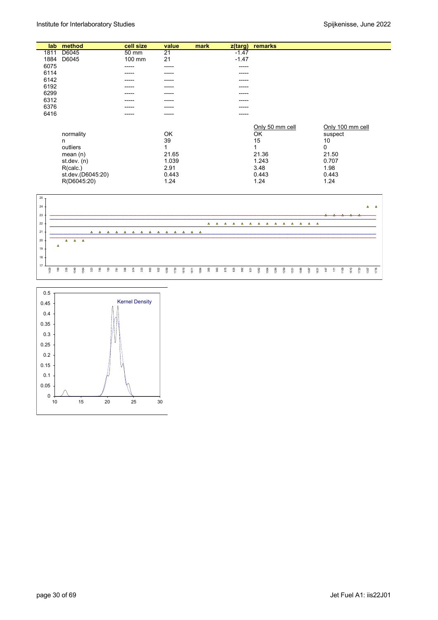| lab  | method            | cell size | value           | mark | z(targ) | remarks         |                  |
|------|-------------------|-----------|-----------------|------|---------|-----------------|------------------|
| 1811 | D6045             | 50 mm     | $\overline{21}$ |      | $-1.47$ |                 |                  |
| 1884 | D6045             | 100 mm    | 21              |      | $-1.47$ |                 |                  |
| 6075 |                   | -----     | -----           |      | -----   |                 |                  |
| 6114 |                   | -----     | -----           |      | -----   |                 |                  |
| 6142 |                   | -----     | -----           |      | -----   |                 |                  |
| 6192 |                   | -----     | -----           |      | -----   |                 |                  |
| 6299 |                   |           | ----            |      | -----   |                 |                  |
| 6312 |                   | -----     | -----           |      | -----   |                 |                  |
| 6376 |                   | -----     | -----           |      | -----   |                 |                  |
| 6416 |                   | -----     | -----           |      | -----   |                 |                  |
|      |                   |           |                 |      |         |                 |                  |
|      |                   |           |                 |      |         | Only 50 mm cell | Only 100 mm cell |
|      | normality         |           | OK              |      |         | OK              | suspect          |
|      | n                 |           | 39              |      |         | 15              | 10               |
|      | outliers          |           |                 |      |         | 1               | 0                |
|      | mean $(n)$        |           | 21.65           |      |         | 21.36           | 21.50            |
|      | st.dev. (n)       |           | 1.039           |      |         | 1.243           | 0.707            |
|      | R(calc.)          |           | 2.91            |      |         | 3.48            | 1.98             |
|      | st.dev.(D6045:20) |           | 0.443           |      |         | 0.443           | 0.443            |
|      | R(D6045:20)       |           | 1.24            |      |         | 1.24            | 1.24             |



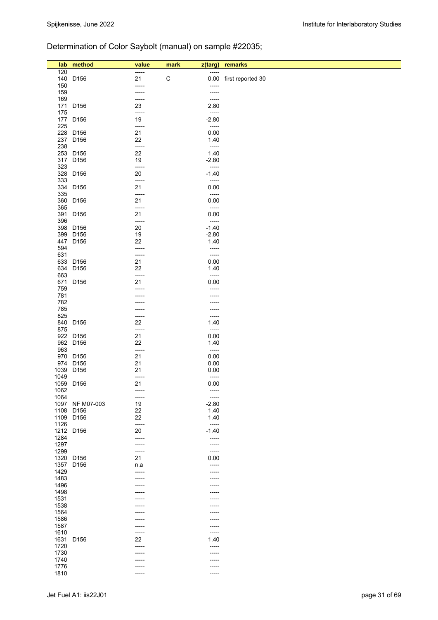# Determination of Color Saybolt (manual) on sample #22035;

| lab          | method                        | value          | mark<br>z(targ)    | remarks                |
|--------------|-------------------------------|----------------|--------------------|------------------------|
| 120          |                               | -----          | -----              |                        |
|              | 140 D156                      | 21             | $\mathsf C$        | 0.00 first reported 30 |
| 150          |                               | -----          | -----              |                        |
| 159          |                               | -----          | -----              |                        |
| 169          | 171 D156                      | -----<br>23    | $-----$<br>2.80    |                        |
| 175          |                               | -----          | -----              |                        |
|              | 177 D156                      | 19             | $-2.80$            |                        |
| 225          |                               | -----          | -----              |                        |
|              | 228 D156                      | 21             | 0.00               |                        |
|              | 237 D156                      | 22             | 1.40               |                        |
| 238          | 253 D156                      | -----<br>22    | $-----$<br>1.40    |                        |
|              | 317 D156                      | 19             | $-2.80$            |                        |
| 323          |                               | -----          | -----              |                        |
|              | 328 D156                      | 20             | $-1.40$            |                        |
| 333          |                               | -----          | -----              |                        |
| 335          | 334 D156                      | 21<br>-----    | 0.00<br>-----      |                        |
|              | 360 D156                      | 21             | 0.00               |                        |
| 365          |                               | $-----$        | $-----$            |                        |
|              | 391 D156                      | 21             | 0.00               |                        |
| 396          |                               | -----          | $-----1$           |                        |
|              | 398 D156<br>399 D156          | 20<br>19       | $-1.40$<br>$-2.80$ |                        |
|              | 447 D156                      | 22             | 1.40               |                        |
| 594          |                               | -----          | -----              |                        |
| 631          |                               | -----          | -----              |                        |
|              | 633 D156                      | 21             | 0.00               |                        |
| 663          | 634 D156                      | 22<br>-----    | 1.40<br>-----      |                        |
|              | 671 D156                      | 21             | 0.00               |                        |
| 759          |                               | -----          | -----              |                        |
| 781          |                               |                |                    |                        |
| 782<br>785   |                               |                |                    |                        |
| 825          |                               | -----<br>----- | -----<br>-----     |                        |
|              | 840 D156                      | 22             | 1.40               |                        |
| 875          |                               | -----          | -----              |                        |
|              | 922 D156                      | 21             | 0.00               |                        |
| 963          | 962 D156                      | 22<br>-----    | 1.40<br>$-----1$   |                        |
|              | 970 D156                      | 21             | 0.00               |                        |
|              | 974 D156                      | 21             | 0.00               |                        |
|              | 1039 D156                     | 21             | 0.00               |                        |
| 1049         | 1059 D156                     | -----<br>21    | -----<br>0.00      |                        |
| 1062         |                               | -----          |                    |                        |
| 1064         |                               | $- - - - -$    | $-----1$           |                        |
|              | 1097 NF M07-003               | 19             | $-2.80$            |                        |
| 1108         | D <sub>156</sub>              | 22             | 1.40               |                        |
| 1109<br>1126 | D <sub>156</sub>              | 22<br>$-----$  | 1.40<br>$-----$    |                        |
|              | 1212 D156                     | 20             | $-1.40$            |                        |
| 1284         |                               | -----          | -----              |                        |
| 1297         |                               | -----          | -----              |                        |
| 1299         |                               | -----<br>21    | -----<br>0.00      |                        |
| 1357         | 1320 D156<br>D <sub>156</sub> | n.a            | -----              |                        |
| 1429         |                               | -----          | -----              |                        |
| 1483         |                               |                |                    |                        |
| 1496         |                               | -----          | -----              |                        |
| 1498         |                               |                |                    |                        |
| 1531<br>1538 |                               |                |                    |                        |
| 1564         |                               |                |                    |                        |
| 1586         |                               |                |                    |                        |
| 1587         |                               | -----          | -----              |                        |
| 1610         |                               | -----<br>22    | -----<br>1.40      |                        |
| 1720         | 1631 D156                     | -----          | -----              |                        |
| 1730         |                               | -----          | -----              |                        |
| 1740         |                               |                |                    |                        |
| 1776         |                               |                |                    |                        |
| 1810         |                               | -----          | -----              |                        |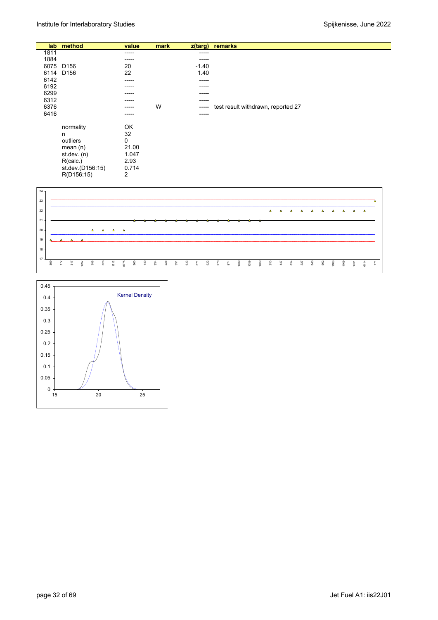|      | lab method       | value | mark |         | z(targ) remarks                    |
|------|------------------|-------|------|---------|------------------------------------|
| 1811 |                  | ----- |      | -----   |                                    |
| 1884 |                  | ----- |      | -----   |                                    |
| 6075 | D <sub>156</sub> | 20    |      | $-1.40$ |                                    |
| 6114 | D <sub>156</sub> | 22    |      | 1.40    |                                    |
| 6142 |                  | ----- |      | -----   |                                    |
| 6192 |                  | ----- |      | -----   |                                    |
| 6299 |                  | ----- |      | -----   |                                    |
| 6312 |                  | ----- |      | -----   |                                    |
| 6376 |                  | ----- | W    | -----   | test result withdrawn, reported 27 |
| 6416 |                  | ----- |      | -----   |                                    |
|      |                  |       |      |         |                                    |
|      | normality        | OK    |      |         |                                    |
|      | n                | 32    |      |         |                                    |
|      | outliers         | 0     |      |         |                                    |
|      | mean $(n)$       | 21.00 |      |         |                                    |
|      | st.dev. (n)      | 1.047 |      |         |                                    |
|      | R(calc.)         | 2.93  |      |         |                                    |
|      | st.dev.(D156:15) | 0.714 |      |         |                                    |
|      | R(D156:15)       | 2     |      |         |                                    |



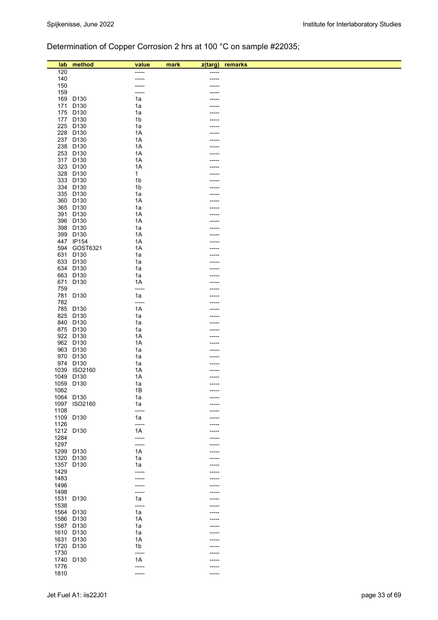# Determination of Copper Corrosion 2 hrs at 100 °C on sample #22035;

| lab          | method               | value          | mark | z(targ) | remarks |
|--------------|----------------------|----------------|------|---------|---------|
| 120          |                      | ----           |      |         |         |
| 140          |                      |                |      |         |         |
| 150          |                      | -----          |      |         |         |
| 159          |                      | -----          |      |         |         |
|              | 169 D130             | 1a             |      |         |         |
| 171          | D <sub>130</sub>     | 1a             |      |         |         |
|              | 175 D130             | 1a             |      |         |         |
|              | 177 D130             | 1b             |      |         |         |
|              | 225 D130             | 1a             |      |         |         |
|              | 228 D130             | 1A             |      |         |         |
|              | 237 D130             | 1A             |      |         |         |
|              | 238 D130             | 1A             |      |         |         |
|              | 253 D130             | 1A<br>1A       |      |         |         |
|              | 317 D130<br>323 D130 | 1A             |      |         |         |
|              | 328 D130             | $\mathbf{1}$   |      |         |         |
|              | 333 D130             | 1 <sub>b</sub> |      |         |         |
|              | 334 D130             | 1 <sub>b</sub> |      |         |         |
|              | 335 D130             | 1a             |      |         |         |
|              | 360 D130             | 1A             |      |         |         |
|              | 365 D130             | 1a             |      |         |         |
|              | 391 D130             | 1A             |      |         |         |
|              | 396 D130             | 1A             |      |         |         |
|              | 398 D130             | 1a             |      |         |         |
|              | 399 D130             | 1A             |      |         |         |
|              | 447 IP154            | 1A             |      |         |         |
|              | 594 GOST6321         | 1A             |      |         |         |
|              | 631 D130             | 1a             |      |         |         |
|              | 633 D130             | 1a             |      |         |         |
|              | 634 D130             | 1a             |      |         |         |
|              | 663 D130             | 1a             |      |         |         |
|              | 671 D130             | 1A             |      |         |         |
| 759<br>781   | D130                 | -----<br>1a    |      |         |         |
| 782          |                      | -----          |      |         |         |
|              | 785 D130             | 1A             |      |         |         |
|              | 825 D130             | 1a             |      |         |         |
|              | 840 D130             | 1a             |      |         |         |
|              | 875 D130             | 1a             |      |         |         |
|              | 922 D130             | 1A             |      |         |         |
|              | 962 D130             | 1A             |      |         |         |
|              | 963 D130             | 1a             |      |         |         |
|              | 970 D130             | 1a             |      |         |         |
|              | 974 D130             | 1a             |      |         |         |
|              | 1039 ISO2160         | 1A             |      |         |         |
| 1049 D130    |                      | 1A             |      |         |         |
|              | 1059 D130            | 1a             |      | -----   |         |
| 1062         |                      | 1B             |      |         |         |
|              | 1064 D130            | 1a             |      |         |         |
| 1097         | ISO2160              | 1a             |      |         |         |
| 1108         |                      | -----          |      |         |         |
| 1109         | D <sub>130</sub>     | 1a             |      |         |         |
| 1126         |                      | -----          |      |         |         |
| 1212 D130    |                      | 1A             |      |         |         |
| 1284<br>1297 |                      | -----<br>----- |      | -----   |         |
|              | 1299 D130            | 1A             |      |         |         |
| 1320         | D <sub>130</sub>     | 1a             |      |         |         |
|              | 1357 D130            | 1a             |      |         |         |
| 1429         |                      | -----          |      |         |         |
| 1483         |                      | -----          |      |         |         |
| 1496         |                      | -----          |      |         |         |
| 1498         |                      | -----          |      | -----   |         |
| 1531         | D <sub>130</sub>     | 1a             |      |         |         |
| 1538         |                      | -----          |      |         |         |
| 1564 D130    |                      | 1a             |      | ----    |         |
| 1586 D130    |                      | 1A             |      |         |         |
| 1587 D130    |                      | 1a             |      |         |         |
|              | 1610 D130            | 1a             |      |         |         |
|              | 1631 D130            | 1A             |      | -----   |         |
| 1720         | D <sub>130</sub>     | 1b             |      |         |         |
| 1730         |                      | -----          |      |         |         |
| 1740         | D <sub>130</sub>     | 1A             |      |         |         |
| 1776         |                      | -----          |      | ----    |         |
| 1810         |                      | -----          |      | -----   |         |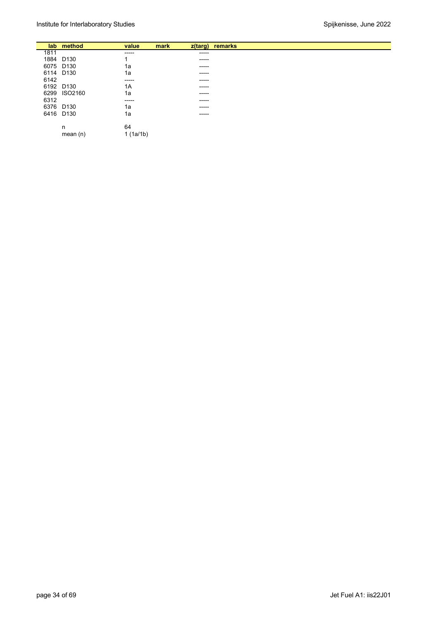|      | lab method   | value    | mark |             | z(targ) remarks |
|------|--------------|----------|------|-------------|-----------------|
| 1811 |              | -----    |      | -----       |                 |
|      | 1884 D130    | ◢        |      | ------      |                 |
|      | 6075 D130    | 1a       |      | $- - - - -$ |                 |
|      | 6114 D130    | 1a       |      | ------      |                 |
| 6142 |              | ------   |      | ------      |                 |
|      | 6192 D130    | 1A       |      | ------      |                 |
|      | 6299 ISO2160 | 1a       |      | ------      |                 |
| 6312 |              | ------   |      | ------      |                 |
|      | 6376 D130    | 1a       |      | ------      |                 |
|      | 6416 D130    | 1a       |      | ------      |                 |
|      |              |          |      |             |                 |
|      | n            | 64       |      |             |                 |
|      | mean $(n)$   | 1(1a/1b) |      |             |                 |
|      |              |          |      |             |                 |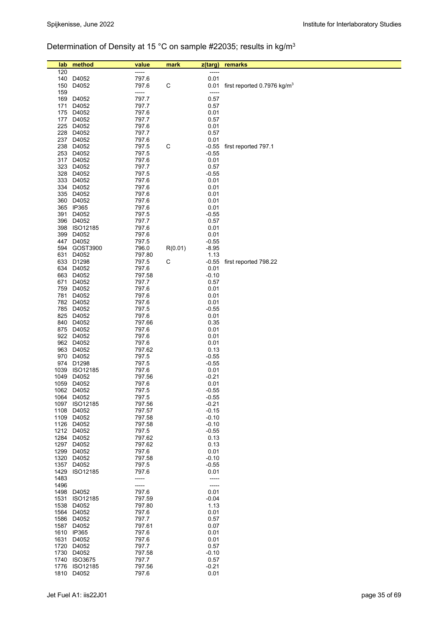# Determination of Density at 15 °C on sample #22035; results in kg/m3

| lab  | method                   | value            | mark        | z(targ)            | remarks                            |
|------|--------------------------|------------------|-------------|--------------------|------------------------------------|
| 120  |                          | -----            |             | -----              |                                    |
|      | 140 D4052                | 797.6            |             | 0.01               |                                    |
|      | 150 D4052                | 797.6            | $\mathsf C$ |                    | 0.01 first reported 0.7976 $kg/m3$ |
| 159  |                          | -----            |             | -----              |                                    |
|      | 169 D4052                | 797.7            |             | 0.57               |                                    |
|      | 171 D4052                | 797.7            |             | 0.57               |                                    |
|      | 175 D4052                | 797.6            |             | 0.01               |                                    |
|      | 177 D4052                | 797.7            |             | 0.57               |                                    |
|      | 225 D4052                | 797.6            |             | 0.01               |                                    |
|      | 228 D4052                | 797.7            |             | 0.57               |                                    |
|      | 237 D4052                | 797.6            |             | 0.01               |                                    |
|      | 238 D4052                | 797.5            | C           | $-0.55$            | first reported 797.1               |
|      | 253 D4052                | 797.5            |             | $-0.55$            |                                    |
|      | 317 D4052                | 797.6            |             | 0.01               |                                    |
|      | 323 D4052                | 797.7            |             | 0.57               |                                    |
|      | 328 D4052                | 797.5            |             | $-0.55$            |                                    |
|      | 333 D4052                | 797.6            |             | 0.01               |                                    |
|      | 334 D4052                | 797.6            |             | 0.01               |                                    |
|      | 335 D4052<br>360 D4052   | 797.6<br>797.6   |             | 0.01<br>0.01       |                                    |
|      | 365 IP365                | 797.6            |             | 0.01               |                                    |
| 391  | D4052                    | 797.5            |             | $-0.55$            |                                    |
|      | 396 D4052                | 797.7            |             | 0.57               |                                    |
|      | 398 ISO12185             | 797.6            |             | 0.01               |                                    |
|      | 399 D4052                | 797.6            |             | 0.01               |                                    |
|      | 447 D4052                | 797.5            |             | $-0.55$            |                                    |
|      | 594 GOST3900             | 796.0            | R(0.01)     | $-8.95$            |                                    |
|      | 631 D4052                | 797.80           |             | 1.13               |                                    |
|      | 633 D1298                | 797.5            | C           | $-0.55$            | first reported 798.22              |
|      | 634 D4052                | 797.6            |             | 0.01               |                                    |
|      | 663 D4052                | 797.58           |             | $-0.10$            |                                    |
|      | 671 D4052                | 797.7            |             | 0.57               |                                    |
|      | 759 D4052                | 797.6            |             | 0.01               |                                    |
|      | 781 D4052                | 797.6            |             | 0.01               |                                    |
|      | 782 D4052                | 797.6            |             | 0.01               |                                    |
|      | 785 D4052                | 797.5            |             | $-0.55$            |                                    |
|      | 825 D4052<br>840 D4052   | 797.6<br>797.66  |             | 0.01<br>0.35       |                                    |
|      | 875 D4052                | 797.6            |             | 0.01               |                                    |
|      | 922 D4052                | 797.6            |             | 0.01               |                                    |
|      | 962 D4052                | 797.6            |             | 0.01               |                                    |
|      | 963 D4052                | 797.62           |             | 0.13               |                                    |
|      | 970 D4052                | 797.5            |             | $-0.55$            |                                    |
|      | 974 D1298                | 797.5            |             | $-0.55$            |                                    |
|      | 1039 ISO12185            | 797.6            |             | 0.01               |                                    |
| 1049 | D4052                    | 797.56           |             | $-0.21$            |                                    |
|      | 1059 D4052               | 797.6            |             | 0.01               |                                    |
|      | 1062 D4052               | 797.5            |             | $-0.55$            |                                    |
| 1064 | D4052                    | 797.5            |             | $-0.55$            |                                    |
| 1108 | 1097 ISO12185<br>D4052   | 797.56<br>797.57 |             | $-0.21$<br>$-0.15$ |                                    |
|      |                          |                  |             |                    |                                    |
|      | 1109 D4052<br>1126 D4052 | 797.58<br>797.58 |             | $-0.10$<br>$-0.10$ |                                    |
|      | 1212 D4052               | 797.5            |             | $-0.55$            |                                    |
|      | 1284 D4052               | 797.62           |             | 0.13               |                                    |
| 1297 | D4052                    | 797.62           |             | 0.13               |                                    |
| 1299 | D4052                    | 797.6            |             | 0.01               |                                    |
| 1320 | D4052                    | 797.58           |             | $-0.10$            |                                    |
| 1357 | D4052                    | 797.5            |             | $-0.55$            |                                    |
| 1429 | ISO12185                 | 797.6            |             | 0.01               |                                    |
| 1483 |                          | -----            |             | -----              |                                    |
| 1496 |                          | -----            |             | -----              |                                    |
|      | 1498 D4052               | 797.6            |             | 0.01               |                                    |
| 1531 | ISO12185                 | 797.59           |             | $-0.04$            |                                    |
| 1538 | D4052                    | 797.80           |             | 1.13               |                                    |
| 1564 | D4052                    | 797.6            |             | 0.01               |                                    |
| 1586 | D4052                    | 797.7            |             | 0.57               |                                    |
| 1587 | D4052<br>1610 IP365      | 797.61<br>797.6  |             | 0.07<br>0.01       |                                    |
|      | 1631 D4052               | 797.6            |             | 0.01               |                                    |
| 1720 | D4052                    | 797.7            |             | 0.57               |                                    |
| 1730 | D4052                    | 797.58           |             | $-0.10$            |                                    |
| 1740 | <b>ISO3675</b>           | 797.7            |             | 0.57               |                                    |
| 1776 | ISO12185                 | 797.56           |             | $-0.21$            |                                    |
|      | 1810 D4052               | 797.6            |             | 0.01               |                                    |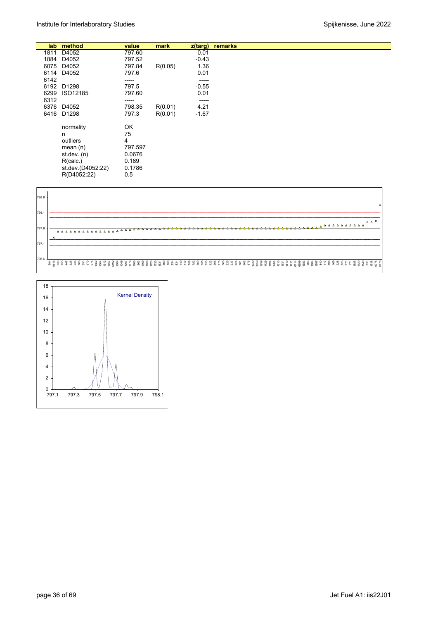|      | lab method        | value   | mark    | z(targ) | remarks |
|------|-------------------|---------|---------|---------|---------|
| 1811 | D4052             | 797.60  |         | 0.01    |         |
| 1884 | D4052             | 797.52  |         | $-0.43$ |         |
| 6075 | D4052             | 797.84  | R(0.05) | 1.36    |         |
| 6114 | D4052             | 797.6   |         | 0.01    |         |
| 6142 |                   | -----   |         | -----   |         |
| 6192 | D1298             | 797.5   |         | $-0.55$ |         |
| 6299 | ISO12185          | 797.60  |         | 0.01    |         |
| 6312 |                   | -----   |         | -----   |         |
| 6376 | D4052             | 798.35  | R(0.01) | 4.21    |         |
| 6416 | D1298             | 797.3   | R(0.01) | $-1.67$ |         |
|      | normality         | OK      |         |         |         |
|      | n                 | 75      |         |         |         |
|      | outliers          | 4       |         |         |         |
|      | mean $(n)$        | 797.597 |         |         |         |
|      | st.dev. $(n)$     | 0.0676  |         |         |         |
|      | R(calc.)          | 0.189   |         |         |         |
|      | st.dev.(D4052:22) | 0.1786  |         |         |         |
|      | R(D4052:22)       | 0.5     |         |         |         |



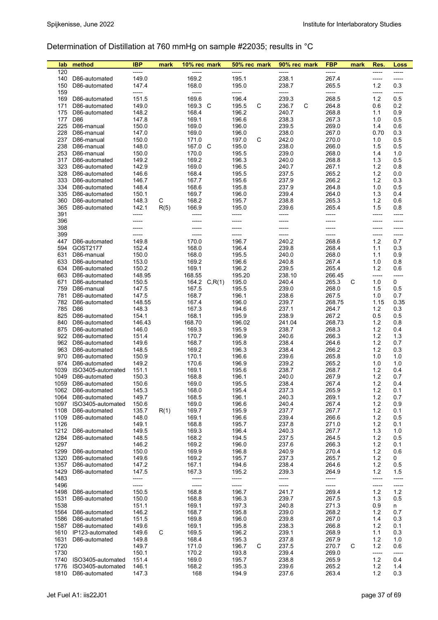# Determination of Distillation at 760 mmHg on sample #22035; results in °C

| lab          | method                             | IBP            | mark | 10% rec mark     | 50% rec mark        | 90% rec mark   | <b>FBP</b>     | mark | Res.         | Loss         |
|--------------|------------------------------------|----------------|------|------------------|---------------------|----------------|----------------|------|--------------|--------------|
| 120          |                                    | -----          |      |                  |                     |                | -----          |      | -----        | -----        |
| 140          | D86-automated                      | 149.0          |      | 169.2            | 195.1               | 238.1          | 267.4          |      | -----        | -----        |
| 150          | D86-automated                      | 147.4          |      | 168.0            | 195.0               | 238.7          | 265.5          |      | 1.2          | 0.3          |
| 159<br>169   | D86-automated                      | -----<br>151.5 |      | -----<br>169.6   | -----<br>196.4      | -----<br>239.3 | -----<br>268.5 |      | -----<br>1.2 | -----<br>0.5 |
| 171          | D86-automated                      | 149.0          |      | 169.3 C          | 195.5<br>С          | 236.7<br>C     | 264.8          |      | 0.6          | 0.2          |
| 175          | D86-automated                      | 148.2          |      | 168.4            | 196.2               | 240.7          | 268.8          |      | 1.1          | 0.9          |
| 177          | D86                                | 147.8          |      | 169.1            | 196.6               | 238.3          | 267.3          |      | 1.0          | 0.5          |
| 225          | D86-manual                         | 150.0          |      | 169.0            | 196.0               | 239.5          | 269.0          |      | 1.4          | 0.6          |
| 228          | D86-manual                         | 147.0          |      | 169.0            | 196.0               | 238.0          | 267.0          |      | 0.70         | 0.3          |
| 237          | D86-manual                         | 150.0          |      | 171.0            | 197.0<br>С          | 242.0          | 270.0          |      | 1.0          | 0.5          |
| 238          | D86-manual                         | 148.0          |      | 167.0 C          | 195.0               | 238.0          | 266.0          |      | 1.5          | 0.5          |
| 253          | D86-manual                         | 150.0          |      | 170.0            | 195.5               | 239.0          | 268.0          |      | 1.4          | 1.0          |
| 317          | D86-automated                      | 149.2          |      | 169.2            | 196.3               | 240.0          | 268.8          |      | 1.3          | 0.5          |
| 323          | D86-automated                      | 142.9          |      | 169.0            | 196.5               | 240.7          | 267.1          |      | 1.2          | 0.8          |
| 328<br>333   | D86-automated<br>D86-automated     | 146.6<br>146.7 |      | 168.4<br>167.7   | 195.5<br>195.6      | 237.5<br>237.9 | 265.2<br>266.2 |      | 1.2<br>1.2   | 0.0<br>0.3   |
| 334          | D86-automated                      | 148.4          |      | 168.6            | 195.8               | 237.9          | 264.8          |      | 1.0          | 0.5          |
| 335          | D86-automated                      | 150.1          |      | 169.7            | 196.0               | 239.4          | 264.0          |      | 1.3          | 0.4          |
| 360          | D86-automated                      | 148.3          | C    | 168.2            | 195.7               | 238.8          | 265.3          |      | 1.2          | 0.6          |
| 365          | D86-automated                      | 142.1          | R(5) | 166.9            | 195.0               | 239.6          | 265.4          |      | 1.5          | 0.8          |
| 391          |                                    | -----          |      | -----            | -----               | -----          | -----          |      | -----        | -----        |
| 396          |                                    | -----          |      | -----            |                     |                |                |      | -----        | -----        |
| 398          |                                    |                |      |                  | -----               |                |                |      | -----        | -----        |
| 399          |                                    | -----          |      | -----            | -----               | -----          | -----          |      | -----        | $-----$      |
| 447          | D86-automated                      | 149.8          |      | 170.0            | 196.7               | 240.2          | 268.6          |      | 1.2          | 0.7          |
| 594          | GOST2177                           | 152.4          |      | 168.0            | 196.4               | 239.8          | 268.4          |      | 1.1          | 0.3          |
| 631<br>633   | D86-manual                         | 150.0<br>153.0 |      | 168.0<br>169.2   | 195.5<br>196.6      | 240.0<br>240.8 | 268.0<br>267.4 |      | 1.1<br>1.0   | 0.9<br>0.8   |
| 634          | D86-automated<br>D86-automated     | 150.2          |      | 169.1            | 196.2               | 239.5          | 265.4          |      | 1.2          | 0.6          |
| 663          | D86-automated                      | 148.95         |      | 168.55           | 195.20              | 238.10         | 266.45         |      | -----        | -----        |
| 671          | D86-automated                      | 150.5          |      | 164.2<br>C, R(1) | 195.0               | 240.4          | 265.3          | C    | 1.0          | 0            |
| 759          | D86-manual                         | 147.5          |      | 167.5            | 195.5               | 239.0          | 268.0          |      | 1.5          | 0.5          |
| 781          | D86-automated                      | 147.5          |      | 168.7            | 196.1               | 238.6          | 267.5          |      | 1.0          | 0.7          |
| 782          | D86-automated                      | 148.55         |      | 167.4            | 196.0               | 239.7          | 268.75         |      | 1.15         | 0.35         |
| 785          | D86                                | 148.3          |      | 167.3            | 194.6               | 237.1          | 264.7          |      | 1.2          | 0.3          |
| 825          | D86-automated                      | 154.1          |      | 168.1            | 195.9               | 238.9          | 267.2          |      | 0.5          | 0.5          |
| 840          | D86-automated                      | 146.43         |      | 168.70           | 196.02              | 241.04         | 268.73         |      | 1.2          | 0.8          |
| 875<br>922   | D86-automated                      | 146.0<br>151.4 |      | 169.3<br>170.7   | 195.9<br>196.9      | 238.7<br>240.6 | 268.3<br>266.3 |      | 1.2<br>1.2   | 0.4<br>1.3   |
| 962          | D86-automated<br>D86-automated     | 149.6          |      | 168.7            | 195.8               | 238.4          | 264.6          |      | 1.2          | 0.7          |
| 963          | D86-automated                      | 148.5          |      | 169.2            | 196.3               | 238.4          | 266.2          |      | 1.2          | 0.3          |
| 970          | D86-automated                      | 150.9          |      | 170.1            | 196.6               | 239.6          | 265.8          |      | 1.0          | 1.0          |
| 974          | D86-automated                      | 149.2          |      | 170.6            | 196.9               | 239.2          | 265.2          |      | 1.0          | 1.0          |
| 1039         | ISO3405-automated                  | 151.1          |      | 169.1            | 195.6               | 238.7          | 268.7          |      | 1.2          | 0.4          |
| 1049         | D86-automated                      | 150.3          |      | 168.8            | 196.1               | 240.0          | 267.9          |      | 1.2          | 0.7          |
| 1059         | D86-automated                      | 150.6          |      | 169.0            | 195.5               | 238.4          | 267.4          |      | 1.2          | 0.4          |
|              | 1062 D86-automated                 | 145.3          |      | 168.0            | 195.4               | 237.3          | 265.9          |      | 1.2          | 0.1          |
| 1064<br>1097 | D86-automated                      | 149.7          |      | 168.5<br>169.0   | 196.1<br>196.6      | 240.3<br>240.4 | 269.1<br>267.4 |      | 1.2<br>$1.2$ | 0.7<br>0.9   |
| 1108         | ISO3405-automated<br>D86-automated | 150.6<br>135.7 | R(1) | 169.7            | 195.9               | 237.7          | 267.7          |      | 1.2          | 0.1          |
| 1109         | D86-automated                      | 148.0          |      | 169.1            | 196.6               | 239.4          | 266.6          |      | 1.2          | 0.5          |
| 1126         |                                    | 149.1          |      | 168.8            | 195.7               | 237.8          | 271.0          |      | 1.2          | 0.1          |
| 1212         | D86-automated                      | 149.5          |      | 169.3            | 196.4               | 240.3          | 267.7          |      | 1.3          | 1.0          |
| 1284         | D86-automated                      | 148.5          |      | 168.2            | 194.5               | 237.5          | 264.5          |      | 1.2          | 0.5          |
| 1297         |                                    | 146.2          |      | 169.2            | 196.0               | 237.6          | 266.3          |      | $1.2$        | 0.1          |
| 1299         | D86-automated                      | 150.0          |      | 169.9            | 196.8               | 240.9          | 270.4          |      | 1.2          | 0.6          |
| 1320         | D86-automated                      | 149.6          |      | 169.2            | 195.7               | 237.3          | 265.7          |      | 1.2          | 0            |
| 1357<br>1429 | D86-automated<br>D86-automated     | 147.2<br>147.5 |      | 167.1<br>167.3   | 194.6<br>195.2      | 238.4<br>239.3 | 264.6<br>264.9 |      | 1.2<br>1.2   | 0.5<br>1.5   |
| 1483         |                                    | -----          |      |                  | -----               | -----          | -----          |      | -----        | -----        |
| 1496         |                                    | -----          |      | -----            | -----               | -----          | -----          |      | -----        | -----        |
| 1498         | D86-automated                      | 150.5          |      | 168.8            | 196.7               | 241.7          | 269.4          |      | $1.2$        | $1.2$        |
| 1531         | D86-automated                      | 150.0          |      | 168.8            | 196.3               | 239.7          | 267.5          |      | 1.3          | 0.5          |
| 1538         |                                    | 151.1          |      | 169.1            | 197.3               | 240.8          | 271.3          |      | 0.9          | n            |
| 1564         | D86-automated                      | 146.2          |      | 168.7            | 195.8               | 239.0          | 268.2          |      | 1.2          | 0.7          |
| 1586         | D86-automated                      | 151.5          |      | 169.8            | 196.0               | 239.8          | 267.0          |      | 1.4          | 0.3          |
| 1587         | D86-automated                      | 149.6          |      | 169.1            | 195.8               | 238.3          | 266.8          |      | 1.2          | 0.1          |
| 1610         | IP123-automated                    | 149.6          | C    | 169.5            | 196.2               | 239.1          | 268.9          |      | 1.1          | 0.3          |
| 1631<br>1720 | D86-automated                      | 149.8<br>149.7 |      | 168.4<br>171.0   | 195.3<br>С<br>196.7 | 237.8<br>237.5 | 267.9<br>270.7 | С    | 1.2<br>$1.2$ | 1.0<br>0.6   |
| 1730         |                                    | 150.1          |      | 170.2            | 193.8               | 239.4          | 269.0          |      | -----        | -----        |
| 1740         | ISO3405-automated                  | 151.4          |      | 169.0            | 195.7               | 238.8          | 265.9          |      | $1.2$        | 0.4          |
| 1776         | ISO3405-automated                  | 146.1          |      | 168.2            | 195.3               | 239.6          | 265.2          |      | $1.2$        | 1.4          |
| 1810         | D86-automated                      | 147.3          |      | 168              | 194.9               | 237.6          | 263.4          |      | 1.2          | 0.3          |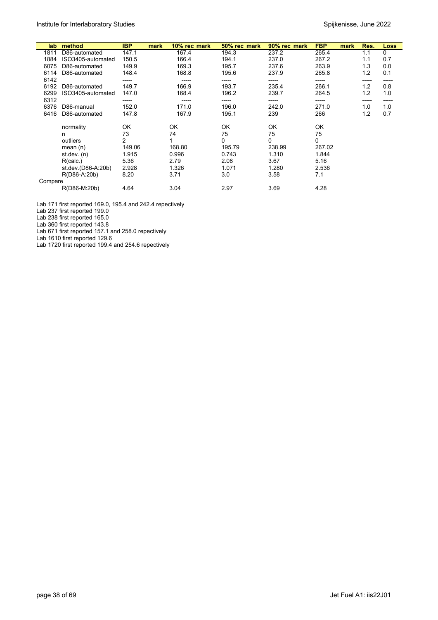| lab     | method             | <b>IBP</b> | 10% rec mark<br>mark | 50% rec mark | 90% rec mark | <b>FBP</b> | mark | Res.  | <b>Loss</b> |
|---------|--------------------|------------|----------------------|--------------|--------------|------------|------|-------|-------------|
|         |                    |            |                      |              |              |            |      |       |             |
| 1811    | D86-automated      | 147.1      | 167.4                | 194.3        | 237.2        | 265.4      |      | 1.1   | 0           |
| 1884    | ISO3405-automated  | 150.5      | 166.4                | 194.1        | 237.0        | 267.2      |      | 1.1   | 0.7         |
| 6075    | D86-automated      | 149.9      | 169.3                | 195.7        | 237.6        | 263.9      |      | 1.3   | 0.0         |
| 6114    | D86-automated      | 148.4      | 168.8                | 195.6        | 237.9        | 265.8      |      | 1.2   | 0.1         |
| 6142    |                    | -----      | -----                | -----        | -----        | -----      |      | ----- | -----       |
| 6192    | D86-automated      | 149.7      | 166.9                | 193.7        | 235.4        | 266.1      |      | 1.2   | 0.8         |
| 6299    | ISO3405-automated  | 147.0      | 168.4                | 196.2        | 239.7        | 264.5      |      | 1.2   | 1.0         |
| 6312    |                    | -----      | -----                | -----        | -----        | -----      |      | ----- | -----       |
| 6376    | D86-manual         | 152.0      | 171.0                | 196.0        | 242.0        | 271.0      |      | 1.0   | 1.0         |
| 6416    | D86-automated      | 147.8      | 167.9                | 195.1        | 239          | 266        |      | 1.2   | 0.7         |
|         | normality          | OK         | OK                   | OK           | OK           | OK         |      |       |             |
|         |                    | 73         | 74                   | 75           | 75           | 75         |      |       |             |
|         | n                  |            |                      |              |              |            |      |       |             |
|         | outliers           | 2          |                      | 0            | 0            | 0          |      |       |             |
|         | mean $(n)$         | 149.06     | 168.80               | 195.79       | 238.99       | 267.02     |      |       |             |
|         | st dev. $(n)$      | 1.915      | 0.996                | 0.743        | 1.310        | 1.844      |      |       |             |
|         | R(calc.)           | 5.36       | 2.79                 | 2.08         | 3.67         | 5.16       |      |       |             |
|         | st.dev.(D86-A:20b) | 2.928      | 1.326                | 1.071        | 1.280        | 2.536      |      |       |             |
|         | R(D86-A:20b)       | 8.20       | 3.71                 | 3.0          | 3.58         | 7.1        |      |       |             |
| Compare |                    |            |                      |              |              |            |      |       |             |
|         | R(D86-M:20b)       | 4.64       | 3.04                 | 2.97         | 3.69         | 4.28       |      |       |             |

Lab 171 first reported 169.0, 195.4 and 242.4 repectively

Lab 237 first reported 199.0

Lab 238 first reported 165.0

Lab 360 first reported 143.8

Lab 671 first reported 157.1 and 258.0 repectively

Lab 1610 first reported 129.6

Lab 1720 first reported 199.4 and 254.6 repectively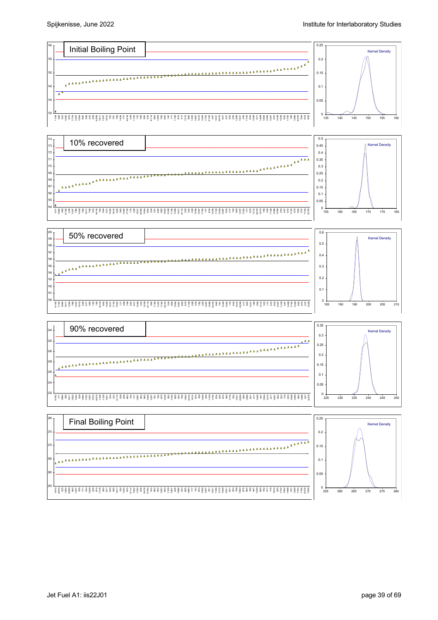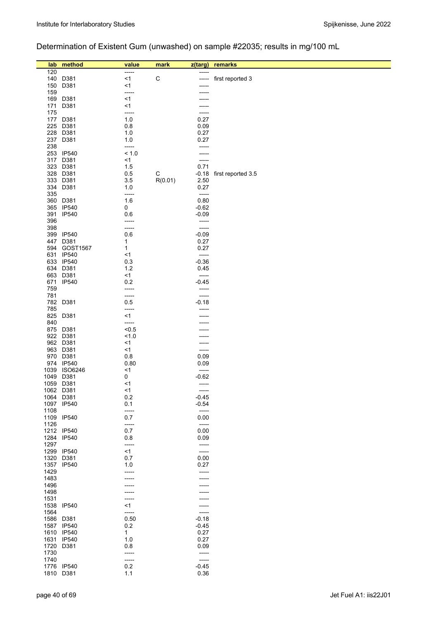# Determination of Existent Gum (unwashed) on sample #22035; results in mg/100 mL

| lab  | method                  | value        | mark        | z(targ)            | remarks            |
|------|-------------------------|--------------|-------------|--------------------|--------------------|
| 120  |                         | -----        |             | -----              |                    |
| 140  | D381                    | <1           | $\mathsf C$ | -----              | first reported 3   |
| 150  | D381                    | <1           |             | -----              |                    |
| 159  |                         | -----        |             |                    |                    |
| 169  | D381                    | $<$ 1        |             |                    |                    |
| 171  | D381                    | <1           |             |                    |                    |
| 175  |                         | -----        |             | $- - - - -$        |                    |
| 177  | D381                    | 1.0          |             | 0.27               |                    |
| 225  | D381                    | 0.8          |             | 0.09               |                    |
| 228  | D381                    | 1.0          |             | 0.27               |                    |
| 237  | D381                    | 1.0          |             | 0.27               |                    |
| 238  |                         | -----        |             | -----              |                    |
| 253  | <b>IP540</b>            | < 1.0        |             | -----              |                    |
| 317  | D381                    | $<$ 1        |             | -----              |                    |
| 323  | D381                    | 1.5          |             | 0.71               |                    |
| 328  | D381                    | 0.5          | C           | $-0.18$            | first reported 3.5 |
| 333  | D381                    | 3.5          | R(0.01)     | 2.50               |                    |
| 334  | D381                    | 1.0          |             | 0.27               |                    |
| 335  |                         | -----        |             | -----              |                    |
| 360  | D381                    | 1.6          |             | 0.80               |                    |
|      | 365 IP540               | 0            |             | $-0.62$            |                    |
| 391  | <b>IP540</b>            | 0.6          |             | $-0.09$            |                    |
| 396  |                         | -----        |             | -----              |                    |
| 398  |                         | -----        |             | -----              |                    |
| 399  | <b>IP540</b>            | 0.6          |             | $-0.09$            |                    |
| 447  | D381                    | 1            |             | 0.27               |                    |
| 594  | GOST1567                | 1            |             | 0.27               |                    |
| 631  | IP540                   | <1           |             | -----              |                    |
|      | 633 IP540               | 0.3          |             | $-0.36$            |                    |
| 634  | D381                    | 1.2          |             | 0.45               |                    |
| 663  | D381                    | <1           |             | $-----1$           |                    |
| 671  | <b>IP540</b>            | 0.2          |             | $-0.45$            |                    |
| 759  |                         | -----        |             | -----              |                    |
| 781  |                         | -----        |             | -----              |                    |
| 782  | D381                    | 0.5          |             | $-0.18$            |                    |
| 785  |                         | -----        |             | -----              |                    |
| 825  | D381                    | <1           |             |                    |                    |
| 840  |                         | -----        |             |                    |                    |
| 875  | D381                    | < 0.5        |             |                    |                    |
|      | 922 D381                | 1.0          |             |                    |                    |
|      | 962 D381                | $<$ 1        |             |                    |                    |
|      | 963 D381                | $<$ 1        |             | -----              |                    |
|      | 970 D381                | 0.8          |             | 0.09               |                    |
|      | 974 IP540               | 0.80         |             | 0.09               |                    |
| 1039 | <b>ISO6246</b>          | <1           |             | -----              |                    |
| 1049 | D381                    | 0            |             | $-0.62$            |                    |
|      | 1059 D381               | <1           |             | -----              |                    |
|      | 1062 D381               | $<$ 1        |             | $-----$            |                    |
|      | 1064 D381<br>1097 IP540 | 0.2<br>0.1   |             | $-0.45$<br>$-0.54$ |                    |
| 1108 |                         |              |             | -----              |                    |
|      | 1109 IP540              | -----<br>0.7 |             | 0.00               |                    |
| 1126 |                         | -----        |             | $-----$            |                    |
|      | 1212 IP540              | 0.7          |             | 0.00               |                    |
|      | 1284 IP540              | 0.8          |             | 0.09               |                    |
| 1297 |                         | -----        |             | -----              |                    |
|      | 1299 IP540              | $<$ 1        |             | $-----$            |                    |
|      | 1320 D381               | 0.7          |             | 0.00               |                    |
|      | 1357 IP540              | 1.0          |             | 0.27               |                    |
| 1429 |                         | -----        |             | -----              |                    |
| 1483 |                         | -----        |             | -----              |                    |
| 1496 |                         |              |             |                    |                    |
| 1498 |                         |              |             |                    |                    |
| 1531 |                         | -----        |             |                    |                    |
|      | 1538 IP540              | $<$ 1        |             |                    |                    |
| 1564 |                         | -----        |             | -----              |                    |
|      | 1586 D381               | 0.50         |             | $-0.18$            |                    |
|      | 1587 IP540              | 0.2          |             | $-0.45$            |                    |
|      | 1610 IP540              | 1            |             | 0.27               |                    |
|      | 1631 IP540              | 1.0          |             | 0.27               |                    |
| 1720 | D381                    | 0.8          |             | 0.09               |                    |
| 1730 |                         | -----        |             | -----              |                    |
| 1740 |                         | -----        |             | -----              |                    |
|      | 1776 IP540              | 0.2          |             | $-0.45$            |                    |
|      | 1810 D381               | 1.1          |             | 0.36               |                    |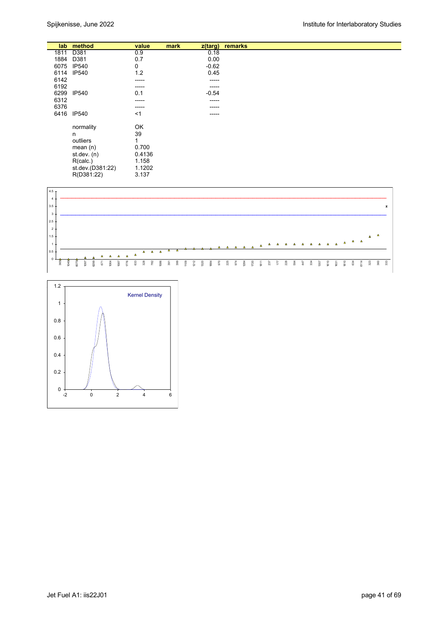|      | lab method       | value  | mark | $z$ (targ)  | remarks |
|------|------------------|--------|------|-------------|---------|
| 1811 | D381             | 0.9    |      | 0.18        |         |
| 1884 | D381             | 0.7    |      | 0.00        |         |
| 6075 | <b>IP540</b>     | 0      |      | $-0.62$     |         |
| 6114 | <b>IP540</b>     | 1.2    |      | 0.45        |         |
| 6142 |                  | -----  |      | $- - - - -$ |         |
| 6192 |                  | -----  |      | $- - - - -$ |         |
| 6299 | <b>IP540</b>     | 0.1    |      | $-0.54$     |         |
| 6312 |                  | -----  |      | $- - - - -$ |         |
| 6376 |                  | -----  |      | -----       |         |
| 6416 | <b>IP540</b>     | $<$ 1  |      | -----       |         |
|      | normality        | OK     |      |             |         |
|      | n                | 39     |      |             |         |
|      | outliers         | 1      |      |             |         |
|      | mean $(n)$       | 0.700  |      |             |         |
|      | st.dev. $(n)$    | 0.4136 |      |             |         |
|      | R(calc.)         | 1.158  |      |             |         |
|      | st.dev.(D381:22) | 1.1202 |      |             |         |
|      | R(D381:22)       | 3.137  |      |             |         |



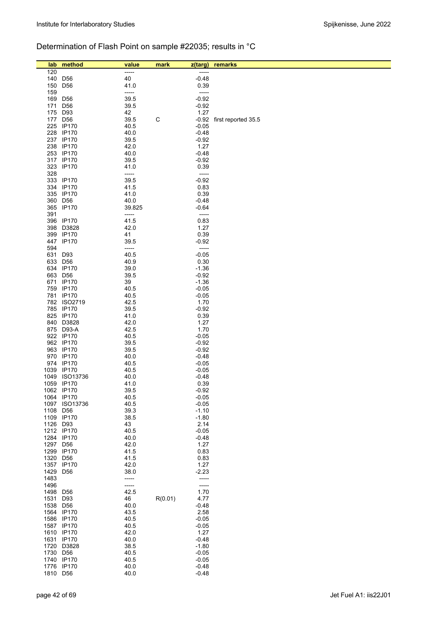# Determination of Flash Point on sample #22035; results in °C

| lab      | method                      | value        | mark    | z(targ)         | remarks             |
|----------|-----------------------------|--------------|---------|-----------------|---------------------|
| 120      |                             | -----        |         | -----           |                     |
| 140      | D <sub>56</sub>             | 40           |         | $-0.48$         |                     |
| 150      | D <sub>56</sub>             | 41.0         |         | 0.39            |                     |
| 159      |                             | -----        |         | -----           |                     |
| 169      | D <sub>56</sub>             | 39.5         |         | $-0.92$         |                     |
| 171      | D <sub>56</sub>             | 39.5         |         | $-0.92$         |                     |
| 175      | D93                         | 42           |         | 1.27            |                     |
| 177      | D <sub>56</sub>             | 39.5         | C       | $-0.92$         | first reported 35.5 |
|          | 225 IP170                   | 40.5         |         | $-0.05$         |                     |
|          | 228 IP170                   | 40.0         |         | $-0.48$         |                     |
|          | 237 IP170                   | 39.5         |         | $-0.92$         |                     |
|          | 238 IP170                   | 42.0         |         | 1.27            |                     |
|          | 253 IP170                   | 40.0         |         | $-0.48$         |                     |
|          | 317 IP170                   | 39.5         |         | $-0.92$         |                     |
| 323      | <b>IP170</b>                | 41.0         |         | 0.39            |                     |
| 328      |                             | -----        |         | -----           |                     |
| 333      | <b>IP170</b>                | 39.5         |         | $-0.92$         |                     |
|          | 334 IP170                   | 41.5         |         | 0.83            |                     |
|          | 335 IP170                   | 41.0         |         | 0.39            |                     |
| 360      | D <sub>56</sub>             | 40.0         |         | $-0.48$         |                     |
|          | 365 IP170                   | 39.825       |         | $-0.64$         |                     |
| 391      |                             | -----        |         | -----           |                     |
|          | 396 IP170                   | 41.5         |         | 0.83            |                     |
| 398      | D3828                       | 42.0         |         | 1.27            |                     |
| 399      | <b>IP170</b>                | 41           |         | 0.39            |                     |
| 447      | <b>IP170</b>                | 39.5         |         | $-0.92$         |                     |
| 594      |                             | -----        |         | -----           |                     |
| 631      | D93                         | 40.5         |         | $-0.05$         |                     |
| 633      | D <sub>56</sub>             | 40.9         |         | 0.30            |                     |
| 634      | <b>IP170</b>                | 39.0         |         | $-1.36$         |                     |
| 663      | D56                         | 39.5         |         | $-0.92$         |                     |
|          | 671 IP170                   | 39           |         | $-1.36$         |                     |
|          | 759 IP170                   | 40.5         |         | $-0.05$         |                     |
|          | 781 IP170                   | 40.5         |         | $-0.05$         |                     |
|          | 782 ISO2719                 | 42.5         |         | 1.70            |                     |
|          | 785 IP170                   | 39.5         |         | $-0.92$         |                     |
|          | 825 IP170                   | 41.0         |         | 0.39            |                     |
|          | 840 D3828                   | 42.0         |         | 1.27            |                     |
|          | 875 D93-A                   | 42.5         |         | 1.70            |                     |
|          | 922 IP170                   | 40.5         |         | $-0.05$         |                     |
|          | 962 IP170                   | 39.5         |         | $-0.92$         |                     |
|          | 963 IP170                   | 39.5         |         | $-0.92$         |                     |
|          | 970 IP170                   | 40.0         |         | $-0.48$         |                     |
|          | 974 IP170                   | 40.5         |         | $-0.05$         |                     |
|          | 1039 IP170                  | 40.5         |         | $-0.05$         |                     |
|          | 1049 ISO13736<br>1059 IP170 | 40.0<br>41.0 |         | $-0.48$<br>0.39 |                     |
|          | 1062 IP170                  | 39.5         |         | $-0.92$         |                     |
|          | 1064 IP170                  | 40.5         |         | $-0.05$         |                     |
| 1097     | ISO13736                    | 40.5         |         | $-0.05$         |                     |
| 1108     | D <sub>56</sub>             | 39.3         |         | $-1.10$         |                     |
|          | 1109 IP170                  | 38.5         |         | $-1.80$         |                     |
| 1126 D93 |                             | 43           |         | 2.14            |                     |
|          | 1212 IP170                  | 40.5         |         | $-0.05$         |                     |
|          | 1284 IP170                  | 40.0         |         | $-0.48$         |                     |
| 1297     | D <sub>56</sub>             | 42.0         |         | 1.27            |                     |
| 1299     | <b>IP170</b>                | 41.5         |         | 0.83            |                     |
| 1320     | D <sub>56</sub>             | 41.5         |         | 0.83            |                     |
| 1357     | <b>IP170</b>                | 42.0         |         | 1.27            |                     |
| 1429     | D <sub>56</sub>             | 38.0         |         | $-2.23$         |                     |
| 1483     |                             | -----        |         | -----           |                     |
| 1496     |                             | -----        |         | -----           |                     |
| 1498     | D <sub>56</sub>             | 42.5         |         | 1.70            |                     |
| 1531     | D93                         | 46           | R(0.01) | 4.77            |                     |
| 1538     | D <sub>56</sub>             | 40.0         |         | $-0.48$         |                     |
|          | 1564 IP170                  | 43.5         |         | 2.58            |                     |
|          | 1586 IP170                  | 40.5         |         | $-0.05$         |                     |
|          | 1587 IP170                  | 40.5         |         | $-0.05$         |                     |
|          | 1610 IP170                  | 42.0         |         | 1.27            |                     |
|          | 1631 IP170                  | 40.0         |         | $-0.48$         |                     |
| 1720     | D3828                       | 38.5         |         | $-1.80$         |                     |
| 1730     | D <sub>56</sub>             | 40.5         |         | $-0.05$         |                     |
| 1740     | <b>IP170</b>                | 40.5         |         | $-0.05$         |                     |
|          | 1776 IP170                  | 40.0         |         | $-0.48$         |                     |
| 1810     | D <sub>56</sub>             | 40.0         |         | $-0.48$         |                     |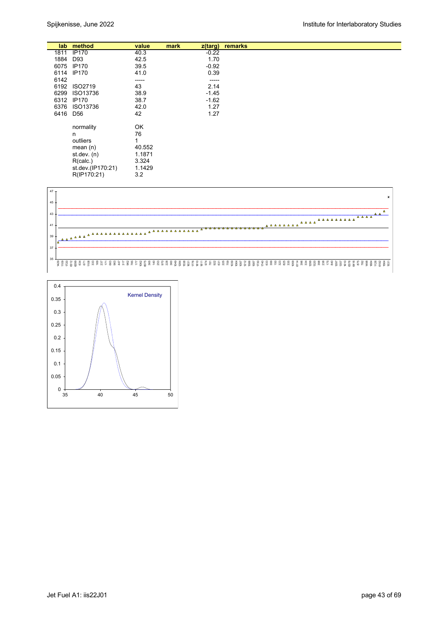|          | lab method        | value  | mark | z(targ)  | remarks |
|----------|-------------------|--------|------|----------|---------|
| 1811     | <b>IP170</b>      | 40.3   |      | $-0.22$  |         |
| 1884     | D93               | 42.5   |      | 1.70     |         |
| 6075     | <b>IP170</b>      | 39.5   |      | $-0.92$  |         |
| 6114     | <b>IP170</b>      | 41.0   |      | 0.39     |         |
| 6142     |                   | -----  |      | $-----1$ |         |
| 6192     | ISO2719           | 43     |      | 2.14     |         |
| 6299     | ISO13736          | 38.9   |      | $-1.45$  |         |
| 6312     | <b>IP170</b>      | 38.7   |      | $-1.62$  |         |
| 6376     | ISO13736          | 42.0   |      | 1.27     |         |
| 6416 D56 |                   | 42     |      | 1.27     |         |
|          |                   |        |      |          |         |
|          | normality         | OK     |      |          |         |
|          | n                 | 76     |      |          |         |
|          | outliers          |        |      |          |         |
|          | mean $(n)$        | 40.552 |      |          |         |
|          | st. dev. (n)      | 1.1871 |      |          |         |
|          | R(calc.)          | 3.324  |      |          |         |
|          | st.dev.(IP170:21) | 1.1429 |      |          |         |
|          | R(IP170:21)       | 3.2    |      |          |         |



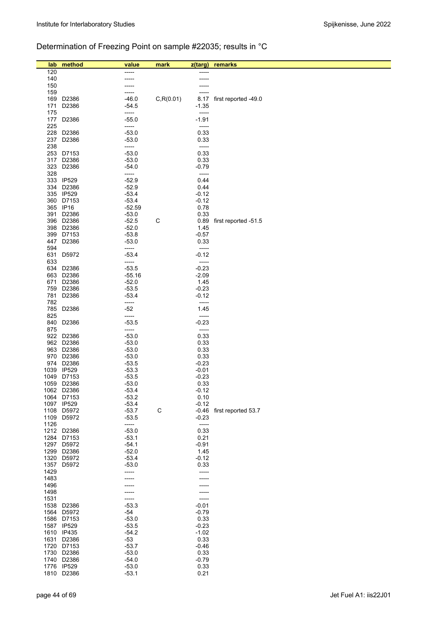# Determination of Freezing Point on sample #22035; results in °C

| lab          | method                   | value              | mark        | z(targ)            | remarks                   |
|--------------|--------------------------|--------------------|-------------|--------------------|---------------------------|
| 120          |                          | -----              |             |                    |                           |
| 140          |                          |                    |             |                    |                           |
| 150          |                          |                    |             |                    |                           |
| 159<br>169   | D2386                    | $-46.0$            | C, R(0.01)  | 8.17               | first reported -49.0      |
| 171          | D2386                    | -54.5              |             | $-1.35$            |                           |
| 175          |                          | -----              |             | -----              |                           |
| 177          | D2386                    | $-55.0$            |             | $-1.91$            |                           |
| 225          |                          | -----              |             | -----              |                           |
| 228          | D2386                    | $-53.0$            |             | 0.33               |                           |
| 237          | D2386                    | $-53.0$            |             | 0.33               |                           |
| 238<br>253   | D7153                    | -----<br>$-53.0$   |             | -----<br>0.33      |                           |
| 317          | D2386                    | $-53.0$            |             | 0.33               |                           |
| 323          | D2386                    | -54.0              |             | $-0.79$            |                           |
| 328          |                          | -----              |             | -----              |                           |
| 333          | <b>IP529</b>             | $-52.9$            |             | 0.44               |                           |
| 334          | D2386<br>335 IP529       | $-52.9$<br>$-53.4$ |             | 0.44<br>$-0.12$    |                           |
| 360          | D7153                    | $-53.4$            |             | $-0.12$            |                           |
|              | 365 IP16                 | $-52.59$           |             | 0.78               |                           |
| 391          | D2386                    | $-53.0$            |             | 0.33               |                           |
|              | 396 D2386                | $-52.5$            | C           | 0.89               | first reported -51.5      |
|              | 398 D2386                | $-52.0$            |             | 1.45               |                           |
| 399<br>447   | D7153<br>D2386           | $-53.8$<br>$-53.0$ |             | $-0.57$<br>0.33    |                           |
| 594          |                          | -----              |             | -----              |                           |
| 631          | D5972                    | $-53.4$            |             | $-0.12$            |                           |
| 633          |                          | -----              |             | -----              |                           |
| 634          | D2386                    | $-53.5$            |             | $-0.23$            |                           |
| 663          | D2386                    | -55.16             |             | $-2.09$            |                           |
| 671<br>759   | D2386<br>D2386           | $-52.0$<br>$-53.5$ |             | 1.45<br>$-0.23$    |                           |
| 781          | D2386                    | $-53.4$            |             | $-0.12$            |                           |
| 782          |                          | -----              |             | -----              |                           |
| 785          | D2386                    | $-52$              |             | 1.45               |                           |
| 825          |                          | -----              |             | -----              |                           |
| 840          | D2386                    | $-53.5$            |             | $-0.23$            |                           |
| 875          | 922 D2386                | -----<br>$-53.0$   |             | -----<br>0.33      |                           |
|              | 962 D2386                | $-53.0$            |             | 0.33               |                           |
|              | 963 D2386                | $-53.0$            |             | 0.33               |                           |
|              | 970 D2386                | $-53.0$            |             | 0.33               |                           |
| 974          | D2386                    | $-53.5$            |             | $-0.23$            |                           |
| 1039<br>1049 | <b>IP529</b><br>D7153    | $-53.3$<br>$-53.5$ |             | $-0.01$<br>$-0.23$ |                           |
| 1059         | D2386                    | $-53.0$            |             | 0.33               |                           |
|              | 1062 D2386               | $-53.4$            |             | $-0.12$            |                           |
|              | 1064 D7153               | $-53.2$            |             | 0.10               |                           |
|              | 1097 IP529               | $-53.4$            |             | $-0.12$            |                           |
|              | 1108 D5972               | $-53.7$            | $\mathsf C$ |                    | -0.46 first reported 53.7 |
| 1109<br>1126 | D5972                    | $-53.5$<br>-----   |             | $-0.23$<br>-----   |                           |
|              | 1212 D2386               | $-53.0$            |             | 0.33               |                           |
|              | 1284 D7153               | $-53.1$            |             | 0.21               |                           |
|              | 1297 D5972               | $-54.1$            |             | $-0.91$            |                           |
|              | 1299 D2386               | $-52.0$<br>$-53.4$ |             | 1.45<br>$-0.12$    |                           |
|              | 1320 D5972<br>1357 D5972 | $-53.0$            |             | 0.33               |                           |
| 1429         |                          | -----              |             | -----              |                           |
| 1483         |                          |                    |             |                    |                           |
| 1496         |                          |                    |             |                    |                           |
| 1498         |                          |                    |             |                    |                           |
| 1531         | 1538 D2386               | -----<br>$-53.3$   |             | -----<br>$-0.01$   |                           |
|              | 1564 D5972               | $-54$              |             | $-0.79$            |                           |
|              | 1586 D7153               | $-53.0$            |             | 0.33               |                           |
|              | 1587 IP529               | $-53.5$            |             | $-0.23$            |                           |
|              | 1610 IP435               | -54.2              |             | $-1.02$            |                           |
| 1631         | D2386                    | -53<br>$-53.7$     |             | 0.33               |                           |
|              | 1720 D7153<br>1730 D2386 | $-53.0$            |             | $-0.46$<br>0.33    |                           |
|              | 1740 D2386               | $-54.0$            |             | $-0.79$            |                           |
|              | 1776 IP529               | $-53.0$            |             | 0.33               |                           |
|              | 1810 D2386               | $-53.1$            |             | 0.21               |                           |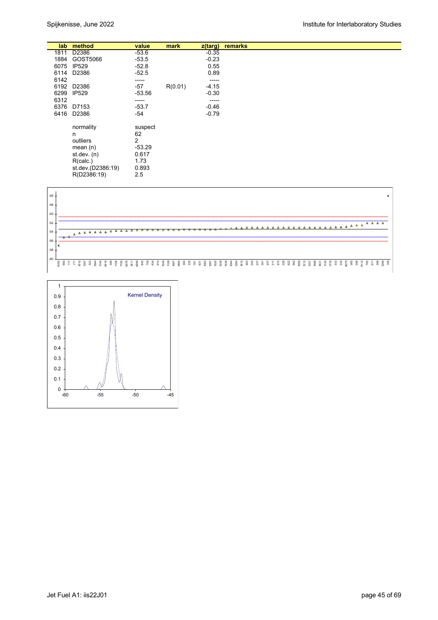|      | lab method        | value    | mark    | $z$ (targ) | remarks |
|------|-------------------|----------|---------|------------|---------|
| 1811 | D2386             | $-53.6$  |         | $-0.35$    |         |
| 1884 | GOST5066          | $-53.5$  |         | $-0.23$    |         |
| 6075 | <b>IP529</b>      | $-52.8$  |         | 0.55       |         |
|      | 6114 D2386        | $-52.5$  |         | 0.89       |         |
| 6142 |                   | -----    |         | $-----1$   |         |
| 6192 | D2386             | $-57$    | R(0.01) | $-4.15$    |         |
| 6299 | IP529             | $-53.56$ |         | $-0.30$    |         |
| 6312 |                   | -----    |         | -----      |         |
|      | 6376 D7153        | $-53.7$  |         | $-0.46$    |         |
|      | 6416 D2386        | -54      |         | $-0.79$    |         |
|      |                   |          |         |            |         |
|      | normality         | suspect  |         |            |         |
|      | n                 | 62       |         |            |         |
|      | outliers          | 2        |         |            |         |
|      | mean $(n)$        | $-53.29$ |         |            |         |
|      | st.dev. $(n)$     | 0.617    |         |            |         |
|      | R(calc.)          | 1.73     |         |            |         |
|      | st.dev.(D2386:19) | 0.893    |         |            |         |
|      |                   |          |         |            |         |
|      | R(D2386:19)       | 2.5      |         |            |         |



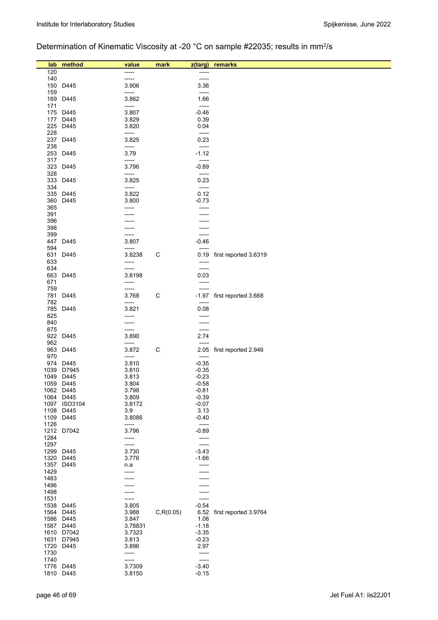# Determination of Kinematic Viscosity at -20 °C on sample #22035; results in mm<sup>2</sup>/s

| lab          | method             | value             | mark       | z(targ)                          | remarks                    |
|--------------|--------------------|-------------------|------------|----------------------------------|----------------------------|
| 120          |                    | -----             |            | -----                            |                            |
| 140          |                    | -----             |            | -----                            |                            |
| 150          | D445               | 3.906             |            | 3.36                             |                            |
| 159<br>169   | D445               | -----<br>3.862    |            | $-----$<br>1.66                  |                            |
| 171          |                    | -----             |            | -----                            |                            |
|              | 175 D445           | 3.807             |            | $-0.46$                          |                            |
|              | 177 D445           | 3.829             |            | 0.39                             |                            |
| 225          | D445               | 3.820             |            | 0.04<br>$\overline{\phantom{a}}$ |                            |
| 228<br>237   | D445               | -----<br>3.825    |            | 0.23                             |                            |
| 238          |                    | -----             |            | -----                            |                            |
| 253          | D445               | 3.79              |            | $-1.12$                          |                            |
| 317          |                    | -----<br>3.796    |            | -----<br>$-0.89$                 |                            |
| 323<br>328   | D445               | -----             |            | -----                            |                            |
| 333          | D445               | 3.825             |            | 0.23                             |                            |
| 334          |                    | -----             |            | $-----$                          |                            |
| 360          | 335 D445<br>D445   | 3.822<br>3.800    |            | 0.12<br>$-0.73$                  |                            |
| 365          |                    | -----             |            | -----                            |                            |
| 391          |                    |                   |            |                                  |                            |
| 396          |                    |                   |            | ----                             |                            |
| 398<br>399   |                    |                   |            | -----<br>-----                   |                            |
| 447          | D445               | -----<br>3.807    |            | $-0.46$                          |                            |
| 594          |                    | -----             |            | -----                            |                            |
| 631          | D445               | 3.8238            | С          | 0.19                             | first reported 3.6319      |
| 633<br>634   |                    | -----<br>-----    |            | -----<br>-----                   |                            |
| 663          | D445               | 3.8198            |            | 0.03                             |                            |
| 671          |                    | -----             |            | -----                            |                            |
| 759          |                    | -----             |            | -----                            |                            |
| 781          | D445               | 3.768             | С          |                                  | -1.97 first reported 3.668 |
| 782<br>785   | D445               | -----<br>3.821    |            | -----<br>0.08                    |                            |
| 825          |                    | -----             |            | -----                            |                            |
| 840          |                    | -----             |            | -----                            |                            |
| 875          | 922 D445           | -----<br>3.890    |            | -----<br>2.74                    |                            |
| 962          |                    | -----             |            | $-----$                          |                            |
| 963          | D445               | 3.872             | C          | 2.05                             | first reported 2.946       |
| 970          |                    | -----             |            | $-----$                          |                            |
| 1039         | 974 D445<br>D7945  | 3.810<br>3.810    |            | $-0.35$<br>$-0.35$               |                            |
| 1049         | D445               | 3.813             |            | $-0.23$                          |                            |
|              | 1059 D445          | 3.804             |            | $-0.58$                          |                            |
|              | 1062 D445<br>D445  | 3.798             |            | $-0.81$                          |                            |
| 1064<br>1097 | <b>ISO3104</b>     | 3.809<br>3.8172   |            | $-0.39$<br>$-0.07$               |                            |
| 1108         | D445               | 3.9               |            | 3.13                             |                            |
| 1109         | D445               | 3.8086            |            | $-0.40$                          |                            |
| 1126<br>1212 | D7042              | -----<br>3.796    |            | -----<br>$-0.89$                 |                            |
| 1284         |                    | -----             |            | -----                            |                            |
| 1297         |                    | -----             |            | -----                            |                            |
| 1299         | D445               | 3.730             |            | $-3.43$                          |                            |
| 1320<br>1357 | D445<br>D445       | 3.776<br>n.a      |            | $-1.66$<br>-----                 |                            |
| 1429         |                    | -----             |            | -----                            |                            |
| 1483         |                    |                   |            |                                  |                            |
| 1496         |                    |                   |            |                                  |                            |
| 1498<br>1531 |                    | -----             |            | -----                            |                            |
| 1538         | D445               | 3.805             |            | $-0.54$                          |                            |
| 1564         | D445               | 3.988             | C, R(0.05) | 6.52                             | first reported 3.9764      |
| 1586         | D445               | 3.847             |            | 1.08                             |                            |
| 1587         | D445<br>1610 D7042 | 3.78831<br>3.7323 |            | $-1.18$<br>$-3.35$               |                            |
|              | 1631 D7945         | 3.813             |            | $-0.23$                          |                            |
|              | 1720 D445          | 3.896             |            | 2.97                             |                            |
| 1730         |                    | -----             |            | -----                            |                            |
| 1740         | 1776 D445          | -----<br>3.7309   |            | -----<br>$-3.40$                 |                            |
|              | 1810 D445          | 3.8150            |            | $-0.15$                          |                            |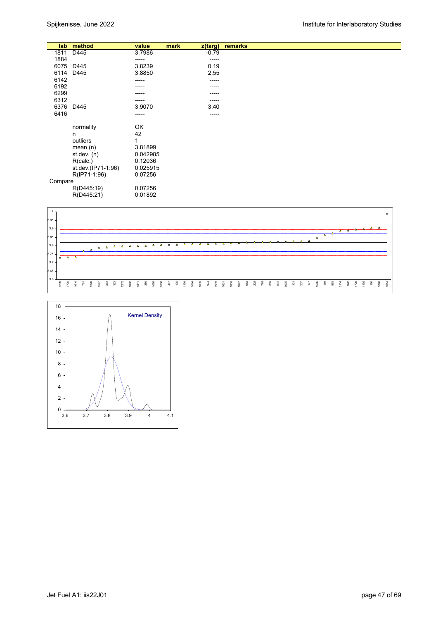|         | lab method         | value    | mark | $z$ (targ) | remarks |
|---------|--------------------|----------|------|------------|---------|
| 1811    | D445               | 3.7986   |      | $-0.79$    |         |
| 1884    |                    | -----    |      | -----      |         |
| 6075    | D445               | 3.8239   |      | 0.19       |         |
|         |                    |          |      |            |         |
| 6114    | D445               | 3.8850   |      | 2.55       |         |
| 6142    |                    | -----    |      | -----      |         |
| 6192    |                    | -----    |      | -----      |         |
| 6299    |                    | -----    |      | -----      |         |
|         |                    |          |      |            |         |
| 6312    |                    | -----    |      | -----      |         |
| 6376    | D445               | 3.9070   |      | 3.40       |         |
| 6416    |                    | -----    |      | -----      |         |
|         |                    |          |      |            |         |
|         | normality          | OK       |      |            |         |
|         |                    |          |      |            |         |
|         | n                  | 42       |      |            |         |
|         | outliers           | 1        |      |            |         |
|         | mean $(n)$         | 3.81899  |      |            |         |
|         | st.dev. $(n)$      | 0.042985 |      |            |         |
|         |                    |          |      |            |         |
|         | R(calc.)           | 0.12036  |      |            |         |
|         | st.dev.(IP71-1:96) | 0.025915 |      |            |         |
|         | R(IP71-1:96)       | 0.07256  |      |            |         |
| Compare |                    |          |      |            |         |
|         |                    | 0.07256  |      |            |         |
|         | R(D445:19)         |          |      |            |         |
|         | R(D445:21)         | 0.01892  |      |            |         |



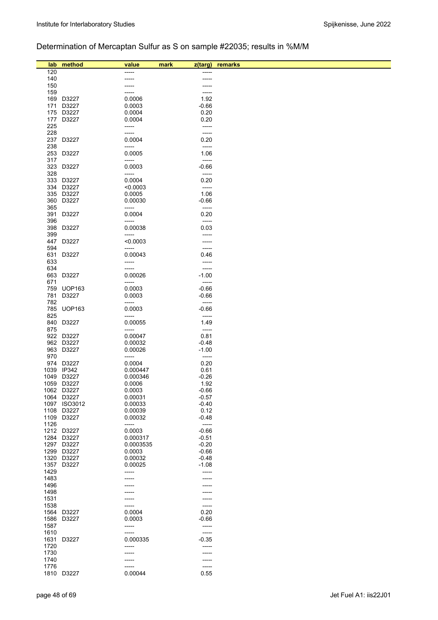# Determination of Mercaptan Sulfur as S on sample #22035; results in %M/M

| lab          | method                 | value              | mark | z(targ)            | remarks |
|--------------|------------------------|--------------------|------|--------------------|---------|
| 120          |                        | -----              |      |                    |         |
| 140          |                        | -----              |      | -----              |         |
| 150          |                        |                    |      |                    |         |
| 159<br>169   | D3227                  | 0.0006             |      | 1.92               |         |
| 171          | D3227                  | 0.0003             |      | $-0.66$            |         |
|              | 175 D3227              | 0.0004             |      | 0.20               |         |
| 177          | D3227                  | 0.0004             |      | 0.20               |         |
| 225          |                        | -----              |      | -----              |         |
| 228<br>237   | D3227                  | -----<br>0.0004    |      | -----<br>0.20      |         |
| 238          |                        | -----              |      | -----              |         |
| 253          | D3227                  | 0.0005             |      | 1.06               |         |
| 317          |                        | -----              |      | -----              |         |
| 323          | D3227                  | 0.0003             |      | $-0.66$            |         |
| 328<br>333   | D3227                  | -----<br>0.0004    |      | -----<br>0.20      |         |
| 334          | D3227                  | < 0.0003           |      | -----              |         |
|              | 335 D3227              | 0.0005             |      | 1.06               |         |
| 360          | D3227                  | 0.00030            |      | $-0.66$            |         |
| 365          |                        | -----              |      | $-----$            |         |
| 391<br>396   | D3227                  | 0.0004<br>-----    |      | 0.20<br>-----      |         |
| 398          | D3227                  | 0.00038            |      | 0.03               |         |
| 399          |                        | -----              |      |                    |         |
| 447          | D3227                  | < 0.0003           |      |                    |         |
| 594          |                        | -----              |      | -----              |         |
| 631<br>633   | D3227                  | 0.00043<br>-----   |      | 0.46               |         |
| 634          |                        | -----              |      | -----              |         |
| 663          | D3227                  | 0.00026            |      | $-1.00$            |         |
| 671          |                        | -----              |      | -----              |         |
|              | 759 UOP163             | 0.0003             |      | $-0.66$            |         |
| 781<br>782   | D3227                  | 0.0003<br>-----    |      | $-0.66$<br>-----   |         |
| 785          | <b>UOP163</b>          | 0.0003             |      | $-0.66$            |         |
| 825          |                        | -----              |      | -----              |         |
| 840          | D3227                  | 0.00055            |      | 1.49               |         |
| 875          |                        | -----              |      | -----              |         |
|              | 922 D3227<br>962 D3227 | 0.00047<br>0.00032 |      | 0.81<br>$-0.48$    |         |
|              | 963 D3227              | 0.00026            |      | $-1.00$            |         |
| 970          |                        | -----              |      | -----              |         |
| 974          | D3227                  | 0.0004             |      | 0.20               |         |
| 1039         | IP342                  | 0.000447           |      | 0.61               |         |
| 1049         | D3227<br>1059 D3227    | 0.000346<br>0.0006 |      | $-0.26$<br>1.92    |         |
|              | 1062 D3227             | 0.0003             |      | $-0.66$            |         |
|              | 1064 D3227             | 0.00031            |      | $-0.57$            |         |
|              | 1097 ISO3012           | 0.00033            |      | $-0.40$            |         |
| 1108         | D3227                  | 0.00039            |      | 0.12               |         |
| 1109<br>1126 | D3227                  | 0.00032<br>-----   |      | $-0.48$<br>-----   |         |
|              | 1212 D3227             | 0.0003             |      | $-0.66$            |         |
| 1284         | D3227                  | 0.000317           |      | $-0.51$            |         |
| 1297         | D3227                  | 0.0003535          |      | $-0.20$            |         |
| 1299<br>1320 | D3227<br>D3227         | 0.0003<br>0.00032  |      | $-0.66$<br>$-0.48$ |         |
| 1357         | D3227                  | 0.00025            |      | $-1.08$            |         |
| 1429         |                        | -----              |      |                    |         |
| 1483         |                        |                    |      |                    |         |
| 1496         |                        |                    |      |                    |         |
| 1498<br>1531 |                        |                    |      |                    |         |
| 1538         |                        | -----              |      | -----              |         |
| 1564         | D3227                  | 0.0004             |      | 0.20               |         |
| 1586         | D3227                  | 0.0003             |      | $-0.66$            |         |
| 1587         |                        | -----              |      | -----              |         |
| 1610<br>1631 | D3227                  | -----<br>0.000335  |      | -----<br>$-0.35$   |         |
| 1720         |                        | -----              |      |                    |         |
| 1730         |                        | -----              |      |                    |         |
| 1740         |                        | -----              |      | -----              |         |
| 1776         |                        | -----              |      | -----              |         |
| 1810         | D3227                  | 0.00044            |      | 0.55               |         |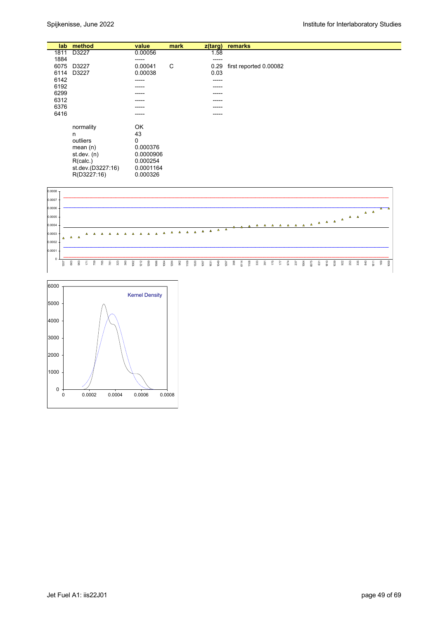| lab  | method            | value     | mark | z(targ) | remarks                |
|------|-------------------|-----------|------|---------|------------------------|
| 1811 | D3227             | 0.00056   |      | 1.58    |                        |
| 1884 |                   | -----     |      | -----   |                        |
| 6075 | D3227             | 0.00041   | C    | 0.29    | first reported 0.00082 |
| 6114 | D3227             | 0.00038   |      | 0.03    |                        |
| 6142 |                   | -----     |      | ------  |                        |
| 6192 |                   | -----     |      | -----   |                        |
| 6299 |                   | -----     |      | -----   |                        |
| 6312 |                   | -----     |      | -----   |                        |
| 6376 |                   | -----     |      | -----   |                        |
| 6416 |                   |           |      |         |                        |
|      |                   | -----     |      | -----   |                        |
|      |                   |           |      |         |                        |
|      | normality         | OK        |      |         |                        |
|      | n                 | 43        |      |         |                        |
|      | outliers          | 0         |      |         |                        |
|      | mean $(n)$        | 0.000376  |      |         |                        |
|      | st.dev. $(n)$     | 0.0000906 |      |         |                        |
|      | R(calc.)          | 0.000254  |      |         |                        |
|      | st.dev.(D3227:16) | 0.0001164 |      |         |                        |
|      |                   |           |      |         |                        |
|      | R(D3227:16)       | 0.000326  |      |         |                        |



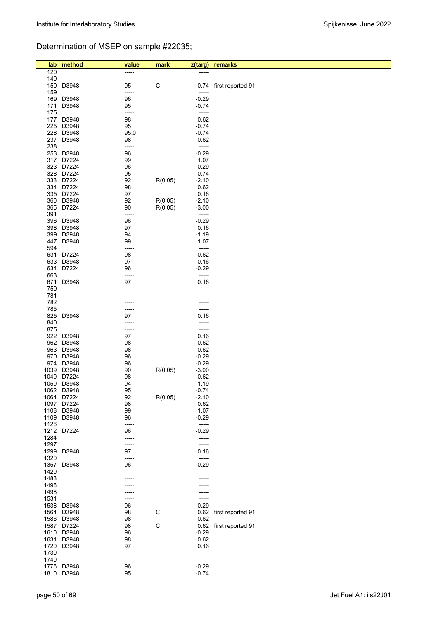# Determination of MSEP on sample #22035;

| lab  | method         | value | mark        | z(targ) | remarks                |
|------|----------------|-------|-------------|---------|------------------------|
| 120  |                | ----- |             | -----   |                        |
| 140  |                | ----- |             | -----   |                        |
| 150  | D3948          | 95    | $\mathsf C$ | -0.74   | first reported 91      |
| 159  |                | ----- |             | -----   |                        |
| 169  | D3948          | 96    |             | $-0.29$ |                        |
| 171  | D3948          | 95    |             | $-0.74$ |                        |
| 175  |                | ----- |             | -----   |                        |
| 177  | D3948          | 98    |             | 0.62    |                        |
| 225  | D3948          | 95    |             | $-0.74$ |                        |
| 228  | D3948          | 95.0  |             | $-0.74$ |                        |
| 237  | D3948          | 98    |             | 0.62    |                        |
| 238  |                | ----- |             | -----   |                        |
| 253  | D3948          | 96    |             | $-0.29$ |                        |
| 317  | D7224          | 99    |             | 1.07    |                        |
|      | 323 D7224      | 96    |             | $-0.29$ |                        |
|      | 328 D7224      | 95    |             | $-0.74$ |                        |
|      | 333 D7224      | 92    | R(0.05)     | $-2.10$ |                        |
| 334  | D7224          | 98    |             | 0.62    |                        |
|      | 335 D7224      | 97    |             | 0.16    |                        |
|      | 360 D3948      | 92    | R(0.05)     | $-2.10$ |                        |
|      | 365 D7224      | 90    | R(0.05)     | $-3.00$ |                        |
| 391  |                | ----- |             | -----   |                        |
| 396  | D3948          | 96    |             | $-0.29$ |                        |
| 398  | D3948          | 97    |             |         |                        |
|      |                |       |             | 0.16    |                        |
| 399  | D3948<br>D3948 | 94    |             | $-1.19$ |                        |
| 447  |                | 99    |             | 1.07    |                        |
| 594  |                | ----- |             | -----   |                        |
| 631  | D7224          | 98    |             | 0.62    |                        |
| 633  | D3948          | 97    |             | 0.16    |                        |
| 634  | D7224          | 96    |             | $-0.29$ |                        |
| 663  |                | ----- |             | -----   |                        |
| 671  | D3948          | 97    |             | 0.16    |                        |
| 759  |                | ----- |             | -----   |                        |
| 781  |                |       |             |         |                        |
| 782  |                | ----- |             | -----   |                        |
| 785  |                | ----- |             | -----   |                        |
| 825  | D3948          | 97    |             | 0.16    |                        |
| 840  |                | ----- |             | -----   |                        |
| 875  |                | ----- |             | -----   |                        |
|      | 922 D3948      | 97    |             | 0.16    |                        |
|      | 962 D3948      | 98    |             | 0.62    |                        |
|      | 963 D3948      | 98    |             | 0.62    |                        |
|      | 970 D3948      | 96    |             | $-0.29$ |                        |
|      | 974 D3948      | 96    |             | $-0.29$ |                        |
| 1039 | D3948          | 90    | R(0.05)     | $-3.00$ |                        |
|      | 1049 D7224     | 98    |             | 0.62    |                        |
|      | 1059 D3948     | 94    |             | $-1.19$ |                        |
|      | 1062 D3948     | 95    |             | $-0.74$ |                        |
|      | 1064 D7224     | 92    | R(0.05)     | $-2.10$ |                        |
|      | 1097 D7224     | 98    |             | 0.62    |                        |
|      | 1108 D3948     | 99    |             | 1.07    |                        |
| 1109 | D3948          | 96    |             | $-0.29$ |                        |
| 1126 |                | ----- |             | -----   |                        |
|      | 1212 D7224     | 96    |             | $-0.29$ |                        |
| 1284 |                | ----- |             | -----   |                        |
| 1297 |                | ----- |             | -----   |                        |
| 1299 | D3948          | 97    |             | 0.16    |                        |
| 1320 |                | ----- |             | -----   |                        |
| 1357 | D3948          | 96    |             | $-0.29$ |                        |
| 1429 |                | ----- |             | -----   |                        |
| 1483 |                |       |             | -----   |                        |
| 1496 |                |       |             |         |                        |
| 1498 |                |       |             | -----   |                        |
| 1531 |                |       |             | -----   |                        |
|      | 1538 D3948     | 96    |             | $-0.29$ |                        |
|      | 1564 D3948     | 98    | $\mathsf C$ |         | 0.62 first reported 91 |
|      |                |       |             |         |                        |
|      | 1586 D3948     | 98    |             | 0.62    |                        |
|      | 1587 D7224     | 98    | $\mathsf C$ |         | 0.62 first reported 91 |
|      | 1610 D3948     | 96    |             | $-0.29$ |                        |
|      | 1631 D3948     | 98    |             | 0.62    |                        |
| 1720 | D3948          | 97    |             | 0.16    |                        |
| 1730 |                | ----- |             | -----   |                        |
| 1740 |                | ----- |             | -----   |                        |
|      | 1776 D3948     | 96    |             | $-0.29$ |                        |
|      | 1810 D3948     | 95    |             | $-0.74$ |                        |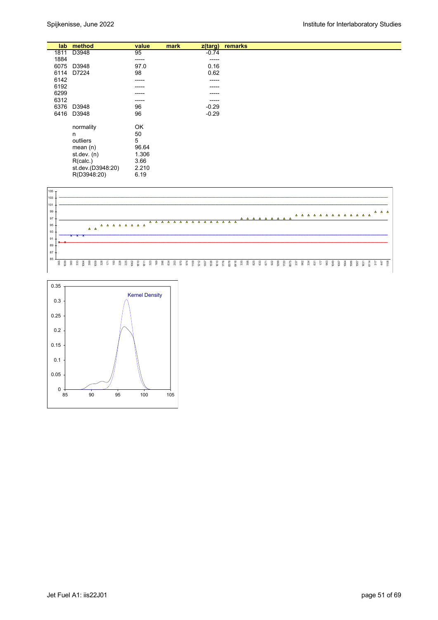|      | lab method        | value | mark | $z$ (targ) | remarks |
|------|-------------------|-------|------|------------|---------|
| 1811 | D3948             | 95    |      | $-0.74$    |         |
| 1884 |                   | ----- |      | -----      |         |
| 6075 | D3948             | 97.0  |      | 0.16       |         |
| 6114 | D7224             | 98    |      | 0.62       |         |
| 6142 |                   | ----- |      | $-----1$   |         |
| 6192 |                   | ----- |      | ------     |         |
| 6299 |                   | ----- |      | -----      |         |
| 6312 |                   | ----- |      | -----      |         |
| 6376 | D3948             | 96    |      | $-0.29$    |         |
| 6416 | D3948             | 96    |      | $-0.29$    |         |
|      |                   |       |      |            |         |
|      | normality         | OK    |      |            |         |
|      | n                 | 50    |      |            |         |
|      | outliers          | 5     |      |            |         |
|      | mean(n)           | 96.64 |      |            |         |
|      | st. dev. (n)      | 1.306 |      |            |         |
|      | R(calc.)          | 3.66  |      |            |         |
|      | st.dev.(D3948:20) | 2.210 |      |            |         |
|      | R(D3948:20)       | 6.19  |      |            |         |



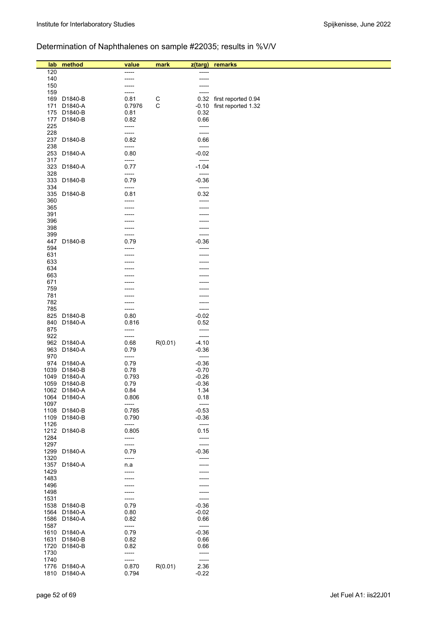# Determination of Naphthalenes on sample #22035; results in %V/V

| lab          | method                  | value         | mark    | z(targ)          | remarks             |
|--------------|-------------------------|---------------|---------|------------------|---------------------|
| 120          |                         | -----         |         |                  |                     |
| 140          |                         |               |         |                  |                     |
| 150          |                         | -----         |         |                  |                     |
| 159          |                         | -----         |         |                  |                     |
| 169          | D1840-B                 | 0.81          | C       | 0.32             | first reported 0.94 |
| 171          | D1840-A                 | 0.7976        | С       | $-0.10$          | first reported 1.32 |
| 175          | D1840-B                 | 0.81          |         | 0.32             |                     |
| 177          | D1840-B                 | 0.82          |         | 0.66             |                     |
| 225          |                         | -----         |         | -----            |                     |
| 228          |                         | -----         |         | -----            |                     |
| 237          | D1840-B                 | 0.82          |         | 0.66             |                     |
| 238<br>253   | D1840-A                 | -----<br>0.80 |         | -----<br>$-0.02$ |                     |
| 317          |                         | -----         |         | -----            |                     |
| 323          | D1840-A                 | 0.77          |         | $-1.04$          |                     |
| 328          |                         | -----         |         | -----            |                     |
| 333          | D1840-B                 | 0.79          |         | $-0.36$          |                     |
| 334          |                         | -----         |         | -----            |                     |
| 335          | D1840-B                 | 0.81          |         | 0.32             |                     |
| 360          |                         | -----         |         | -----            |                     |
| 365          |                         |               |         | -----            |                     |
| 391          |                         | -----         |         | -----            |                     |
| 396<br>398   |                         |               |         |                  |                     |
| 399          |                         | -----         |         | -----<br>-----   |                     |
| 447          | D1840-B                 | 0.79          |         | $-0.36$          |                     |
| 594          |                         | -----         |         | -----            |                     |
| 631          |                         |               |         |                  |                     |
| 633          |                         |               |         |                  |                     |
| 634          |                         |               |         |                  |                     |
| 663          |                         |               |         |                  |                     |
| 671          |                         |               |         |                  |                     |
| 759          |                         |               |         |                  |                     |
| 781          |                         |               |         |                  |                     |
| 782          |                         | -----         |         | -----            |                     |
| 785<br>825   | D1840-B                 | -----<br>0.80 |         | -----<br>$-0.02$ |                     |
| 840          | D1840-A                 | 0.816         |         | 0.52             |                     |
| 875          |                         | -----         |         | -----            |                     |
| 922          |                         | -----         |         | -----            |                     |
| 962          | D1840-A                 | 0.68          | R(0.01) | $-4.10$          |                     |
| 963          | D1840-A                 | 0.79          |         | $-0.36$          |                     |
| 970          |                         | -----         |         | -----            |                     |
| 974          | D1840-A                 | 0.79          |         | $-0.36$          |                     |
| 1039         | D1840-B                 | 0.78          |         | $-0.70$          |                     |
| 1049         | D1840-A                 | 0.793         |         | $-0.26$          |                     |
| 1059         | D1840-B<br>1062 D1840-A | 0.79<br>0.84  |         | $-0.36$<br>1.34  |                     |
| 1064         | D1840-A                 | 0.806         |         | 0.18             |                     |
| 1097         |                         | -----         |         | -----            |                     |
| 1108         | D1840-B                 | 0.785         |         | $-0.53$          |                     |
| 1109         | D1840-B                 | 0.790         |         | $-0.36$          |                     |
| 1126         |                         | -----         |         | -----            |                     |
| 1212         | D1840-B                 | 0.805         |         | 0.15             |                     |
| 1284         |                         | -----         |         | -----            |                     |
| 1297         |                         | -----         |         | -----            |                     |
| 1299         | D1840-A                 | 0.79          |         | $-0.36$          |                     |
| 1320<br>1357 | D1840-A                 | -----         |         | -----<br>-----   |                     |
| 1429         |                         | n.a<br>-----  |         |                  |                     |
| 1483         |                         |               |         |                  |                     |
| 1496         |                         |               |         |                  |                     |
| 1498         |                         | -----         |         | -----            |                     |
| 1531         |                         | -----         |         | -----            |                     |
| 1538         | D1840-B                 | 0.79          |         | $-0.36$          |                     |
| 1564         | D1840-A                 | 0.80          |         | $-0.02$          |                     |
| 1586         | D1840-A                 | 0.82          |         | 0.66             |                     |
| 1587         |                         | -----         |         | -----            |                     |
| 1610         | D1840-A<br>D1840-B      | 0.79          |         | $-0.36$          |                     |
| 1631<br>1720 | D1840-B                 | 0.82<br>0.82  |         | 0.66<br>0.66     |                     |
| 1730         |                         | -----         |         | -----            |                     |
| 1740         |                         | -----         |         | -----            |                     |
|              | 1776 D1840-A            | 0.870         | R(0.01) | 2.36             |                     |
|              | 1810 D1840-A            | 0.794         |         | $-0.22$          |                     |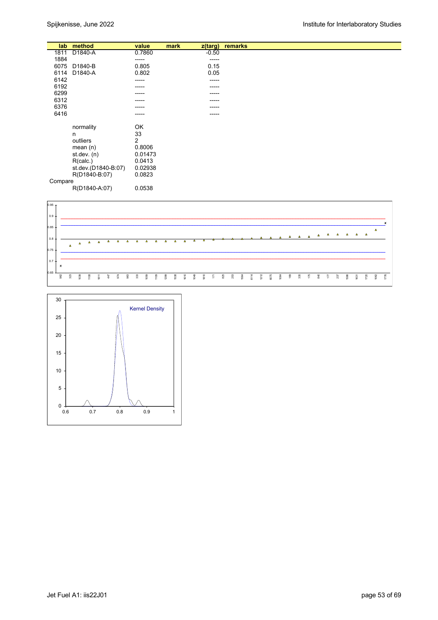| lab     | method              | value   | mark | $z$ (targ)  | remarks |
|---------|---------------------|---------|------|-------------|---------|
| 1811    | D1840-A             | 0.7860  |      | $-0.50$     |         |
| 1884    |                     | -----   |      | $- - - - -$ |         |
| 6075    | D1840-B             | 0.805   |      | 0.15        |         |
|         |                     |         |      |             |         |
| 6114    | D1840-A             | 0.802   |      | 0.05        |         |
| 6142    |                     | -----   |      | -----       |         |
| 6192    |                     | -----   |      | -----       |         |
| 6299    |                     | -----   |      | -----       |         |
| 6312    |                     | -----   |      | -----       |         |
| 6376    |                     | -----   |      | -----       |         |
| 6416    |                     | -----   |      | -----       |         |
|         |                     |         |      |             |         |
|         | normality           | OK      |      |             |         |
|         | n                   | 33      |      |             |         |
|         | outliers            | 2       |      |             |         |
|         | mean $(n)$          | 0.8006  |      |             |         |
|         | st.dev. $(n)$       | 0.01473 |      |             |         |
|         |                     | 0.0413  |      |             |         |
|         | R(calc.)            |         |      |             |         |
|         | st.dev.(D1840-B:07) | 0.02938 |      |             |         |
|         | R(D1840-B:07)       | 0.0823  |      |             |         |
| Compare |                     |         |      |             |         |
|         | R(D1840-A:07)       | 0.0538  |      |             |         |



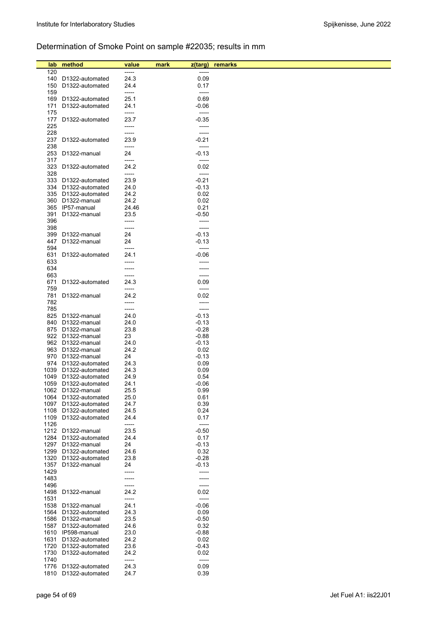# Determination of Smoke Point on sample #22035; results in mm

| lab          | method                           | value         | mark | z(targ)            | remarks |
|--------------|----------------------------------|---------------|------|--------------------|---------|
| 120          |                                  | -----         |      |                    |         |
| 140          | D1322-automated                  | 24.3          |      | 0.09               |         |
| 150          | D1322-automated                  | 24.4          |      | 0.17               |         |
| 159          |                                  | -----         |      | -----              |         |
| 169          | D1322-automated                  | 25.1          |      | 0.69               |         |
| 171          | D1322-automated                  | 24.1          |      | -0.06              |         |
| 175          |                                  | -----         |      | -----              |         |
| 177          | D1322-automated                  | 23.7          |      | $-0.35$            |         |
| 225          |                                  | -----         |      | -----              |         |
| 228          |                                  | -----         |      | -----              |         |
| 237          | D1322-automated                  | 23.9          |      | $-0.21$            |         |
| 238<br>253   | D1322-manual                     | -----<br>24   |      | -----<br>-0.13     |         |
| 317          |                                  | -----         |      | -----              |         |
| 323          | D1322-automated                  | 24.2          |      | 0.02               |         |
| 328          |                                  | -----         |      | -----              |         |
| 333          | D1322-automated                  | 23.9          |      | $-0.21$            |         |
| 334          | D1322-automated                  | 24.0          |      | $-0.13$            |         |
| 335          | D1322-automated                  | 24.2          |      | 0.02               |         |
| 360          | D1322-manual                     | 24.2          |      | 0.02               |         |
| 365          | IP57-manual                      | 24.46         |      | 0.21               |         |
| 391          | D1322-manual                     | 23.5          |      | $-0.50$            |         |
| 396          |                                  |               |      | -----              |         |
| 398          |                                  | -----         |      | -----              |         |
| 399<br>447   | D1322-manual<br>D1322-manual     | 24<br>24      |      | -0.13<br>-0.13     |         |
| 594          |                                  | -----         |      | -----              |         |
| 631          | D1322-automated                  | 24.1          |      | -0.06              |         |
| 633          |                                  |               |      | -----              |         |
| 634          |                                  |               |      | -----              |         |
| 663          |                                  | -----         |      | -----              |         |
| 671          | D1322-automated                  | 24.3          |      | 0.09               |         |
| 759          |                                  | -----         |      | -----              |         |
| 781          | D1322-manual                     | 24.2          |      | 0.02               |         |
| 782          |                                  | -----         |      | -----              |         |
| 785          |                                  | -----         |      | -----              |         |
| 825          | D1322-manual                     | 24.0          |      | $-0.13$            |         |
| 840          | D1322-manual                     | 24.0          |      | $-0.13$            |         |
| 875          | D1322-manual                     | 23.8          |      | $-0.28$            |         |
| 922          | D1322-manual<br>962 D1322-manual | 23<br>24.0    |      | $-0.88$<br>$-0.13$ |         |
|              | 963 D1322-manual                 | 24.2          |      | 0.02               |         |
| 970          | D1322-manual                     | 24            |      | $-0.13$            |         |
| 974          | D1322-automated                  | 24.3          |      | 0.09               |         |
| 1039         | D1322-automated                  | 24.3          |      | 0.09               |         |
| 1049         | D1322-automated                  | 24.9          |      | 0.54               |         |
| 1059         | D1322-automated                  | 24.1          |      | $-0.06$            |         |
|              | 1062 D1322-manual                | 25.5          |      | 0.99               |         |
| 1064         | D1322-automated                  | 25.0          |      | 0.61               |         |
| 1097         | D1322-automated                  | 24.7          |      | 0.39               |         |
| 1108         | D1322-automated                  | 24.5          |      | 0.24               |         |
| 1109<br>1126 | D1322-automated                  | 24.4<br>----- |      | 0.17<br>-----      |         |
|              | 1212 D1322-manual                | 23.5          |      | $-0.50$            |         |
| 1284         | D1322-automated                  | 24.4          |      | 0.17               |         |
| 1297         | D1322-manual                     | 24            |      | $-0.13$            |         |
| 1299         | D1322-automated                  | 24.6          |      | 0.32               |         |
| 1320         | D1322-automated                  | 23.8          |      | $-0.28$            |         |
| 1357         | D1322-manual                     | 24            |      | $-0.13$            |         |
| 1429         |                                  |               |      | -----              |         |
| 1483         |                                  |               |      | -----              |         |
| 1496         |                                  |               |      | -----              |         |
| 1498         | D1322-manual                     | 24.2          |      | 0.02               |         |
| 1531         |                                  | -----         |      | -----              |         |
|              | 1538 D1322-manual                | 24.1          |      | $-0.06$            |         |
| 1564<br>1586 | D1322-automated<br>D1322-manual  | 24.3<br>23.5  |      | 0.09<br>$-0.50$    |         |
| 1587         | D1322-automated                  | 24.6          |      | 0.32               |         |
| 1610         | IP598-manual                     | 23.0          |      | $-0.88$            |         |
| 1631         | D1322-automated                  | 24.2          |      | 0.02               |         |
| 1720         | D1322-automated                  | 23.6          |      | -0.43              |         |
| 1730         | D1322-automated                  | 24.2          |      | 0.02               |         |
| 1740         |                                  | -----         |      | -----              |         |
|              | 1776 D1322-automated             | 24.3          |      | 0.09               |         |
| 1810         | D1322-automated                  | 24.7          |      | 0.39               |         |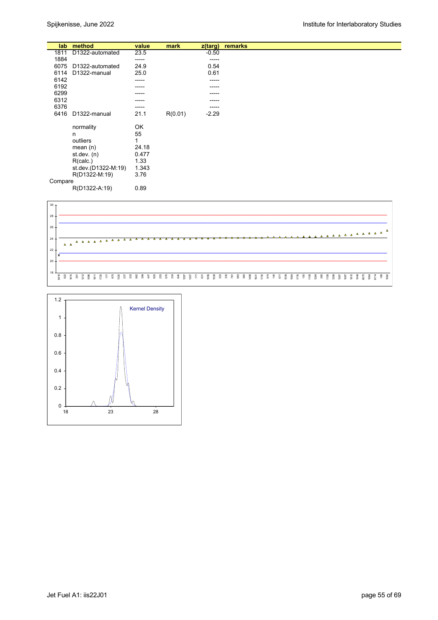| lab     | method              | value | mark    | z(targ) | remarks |
|---------|---------------------|-------|---------|---------|---------|
| 1811    | D1322-automated     | 23.5  |         | $-0.50$ |         |
| 1884    |                     | ----- |         | -----   |         |
| 6075    | D1322-automated     | 24.9  |         | 0.54    |         |
|         | D1322-manual        |       |         |         |         |
| 6114    |                     | 25.0  |         | 0.61    |         |
| 6142    |                     | ----- |         | -----   |         |
| 6192    |                     | ----- |         | -----   |         |
| 6299    |                     | ----  |         | -----   |         |
| 6312    |                     | ----  |         | -----   |         |
| 6376    |                     | ----- |         | -----   |         |
|         |                     |       |         |         |         |
| 6416    | D1322-manual        | 21.1  | R(0.01) | $-2.29$ |         |
|         |                     |       |         |         |         |
|         | normality           | OK    |         |         |         |
|         | n                   | 55    |         |         |         |
|         | outliers            | 1     |         |         |         |
|         | mean $(n)$          | 24.18 |         |         |         |
|         |                     |       |         |         |         |
|         | st.dev. (n)         | 0.477 |         |         |         |
|         | R(calc.)            | 1.33  |         |         |         |
|         | st.dev.(D1322-M:19) | 1.343 |         |         |         |
|         | R(D1322-M:19)       | 3.76  |         |         |         |
| Compare |                     |       |         |         |         |
|         |                     |       |         |         |         |
|         | R(D1322-A:19)       | 0.89  |         |         |         |



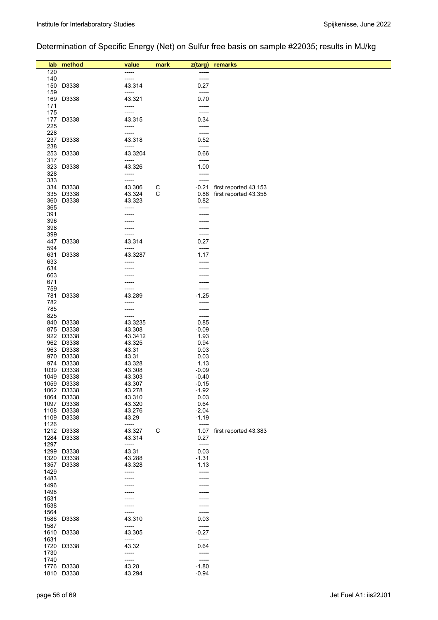# Determination of Specific Energy (Net) on Sulfur free basis on sample #22035; results in MJ/kg

| lab        | method             | value            | mark | z(targ)         | remarks                    |
|------------|--------------------|------------------|------|-----------------|----------------------------|
| 120        |                    | -----            |      | -----           |                            |
| 140        |                    | -----            |      | -----           |                            |
| 150        | D3338              | 43.314           |      | 0.27            |                            |
| 159        |                    | -----            |      | -----           |                            |
| 169        | D3338              | 43.321           |      | 0.70            |                            |
| 171        |                    | -----            |      | -----           |                            |
| 175        |                    | -----            |      | -----           |                            |
| 177        | D3338              | 43.315           |      | 0.34            |                            |
| 225        |                    | -----            |      | -----           |                            |
| 228        |                    | -----            |      | -----           |                            |
| 237        | D3338              | 43.318           |      | 0.52            |                            |
| 238<br>253 | D3338              | -----<br>43.3204 |      | -----<br>0.66   |                            |
| 317        |                    | -----            |      | -----           |                            |
| 323        | D3338              | 43.326           |      | 1.00            |                            |
| 328        |                    | -----            |      | -----           |                            |
| 333        |                    | -----            |      | -----           |                            |
|            | 334 D3338          | 43.306           | C    | $-0.21$         | first reported 43.153      |
| 335        | D3338              | 43.324           | С    | 0.88            | first reported 43.358      |
| 360        | D3338              | 43.323           |      | 0.82            |                            |
| 365        |                    |                  |      | -----           |                            |
| 391        |                    |                  |      |                 |                            |
| 396        |                    |                  |      |                 |                            |
| 398        |                    |                  |      |                 |                            |
| 399        |                    |                  |      | -----           |                            |
| 447        | D3338              | 43.314           |      | 0.27            |                            |
| 594        |                    | -----            |      | -----           |                            |
| 631        | D3338              | 43.3287          |      | 1.17            |                            |
| 633<br>634 |                    |                  |      |                 |                            |
| 663        |                    |                  |      |                 |                            |
| 671        |                    |                  |      |                 |                            |
| 759        |                    |                  |      |                 |                            |
| 781        | D3338              | 43.289           |      | $-1.25$         |                            |
| 782        |                    |                  |      |                 |                            |
| 785        |                    |                  |      |                 |                            |
| 825        |                    | -----            |      | -----           |                            |
| 840        | D3338              | 43.3235          |      | 0.85            |                            |
| 875        | D3338              | 43.308           |      | $-0.09$         |                            |
|            | 922 D3338          | 43.3412          |      | 1.93            |                            |
|            | 962 D3338          | 43.325           |      | 0.94            |                            |
| 963        | D3338              | 43.31            |      | 0.03            |                            |
|            | 970 D3338          | 43.31            |      | 0.03            |                            |
| 1039       | 974 D3338<br>D3338 | 43.328<br>43.308 |      | 1.13<br>$-0.09$ |                            |
|            | 1049 D3338         | 43.303           |      | $-0.40$         |                            |
|            | 1059 D3338         | 43.307           |      | $-0.15$         |                            |
|            | 1062 D3338         | 43.278           |      | -1.92           |                            |
|            | 1064 D3338         | 43.310           |      | 0.03            |                            |
|            | 1097 D3338         | 43.320           |      | 0.64            |                            |
|            | 1108 D3338         | 43.276           |      | $-2.04$         |                            |
|            | 1109 D3338         | 43.29            |      | $-1.19$         |                            |
| 1126       |                    | -----            |      | -----           |                            |
|            | 1212 D3338         | 43.327           | C    |                 | 1.07 first reported 43.383 |
| 1284       | D3338              | 43.314           |      | 0.27            |                            |
| 1297       |                    | -----            |      | -----           |                            |
|            | 1299 D3338         | 43.31            |      | 0.03            |                            |
|            | 1320 D3338         | 43.288<br>43.328 |      | $-1.31$         |                            |
| 1429       | 1357 D3338         |                  |      | 1.13            |                            |
| 1483       |                    | -----            |      | -----           |                            |
| 1496       |                    |                  |      |                 |                            |
| 1498       |                    |                  |      |                 |                            |
| 1531       |                    |                  |      |                 |                            |
| 1538       |                    |                  |      |                 |                            |
| 1564       |                    |                  |      |                 |                            |
|            | 1586 D3338         | 43.310           |      | 0.03            |                            |
| 1587       |                    | -----            |      | -----           |                            |
|            | 1610 D3338         | 43.305           |      | $-0.27$         |                            |
| 1631       |                    | -----            |      | -----           |                            |
|            | 1720 D3338         | 43.32            |      | 0.64            |                            |
| 1730       |                    | -----            |      | -----           |                            |
| 1740       |                    | -----            |      | -----           |                            |
|            | 1776 D3338         | 43.28            |      | $-1.80$         |                            |
|            | 1810 D3338         | 43.294           |      | $-0.94$         |                            |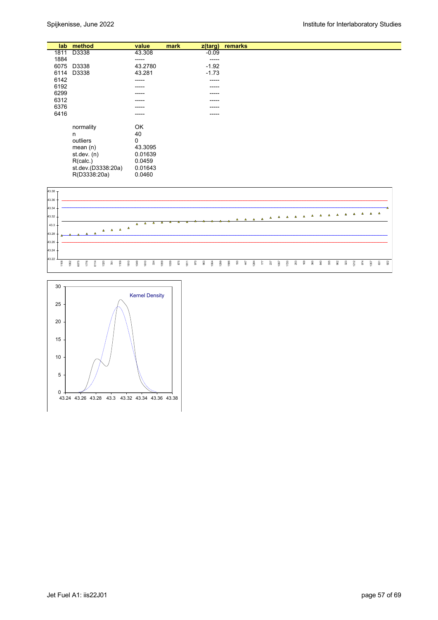| lab  | method             | value   | mark | z(targ) | remarks |
|------|--------------------|---------|------|---------|---------|
| 1811 | D3338              | 43.308  |      | $-0.09$ |         |
| 1884 |                    | -----   |      | -----   |         |
| 6075 | D3338              | 43.2780 |      | $-1.92$ |         |
|      | D3338              | 43.281  |      | $-1.73$ |         |
| 6114 |                    |         |      |         |         |
| 6142 |                    | -----   |      | -----   |         |
| 6192 |                    | -----   |      | -----   |         |
| 6299 |                    | -----   |      | ------  |         |
| 6312 |                    | -----   |      | -----   |         |
| 6376 |                    | -----   |      | -----   |         |
| 6416 |                    | -----   |      | -----   |         |
|      |                    |         |      |         |         |
|      | normality          | OK      |      |         |         |
|      | n                  | 40      |      |         |         |
|      | outliers           | 0       |      |         |         |
|      | mean $(n)$         | 43.3095 |      |         |         |
|      | st.dev. $(n)$      | 0.01639 |      |         |         |
|      | R(calc.)           | 0.0459  |      |         |         |
|      | st.dev.(D3338:20a) | 0.01643 |      |         |         |
|      | R(D3338:20a)       | 0.0460  |      |         |         |



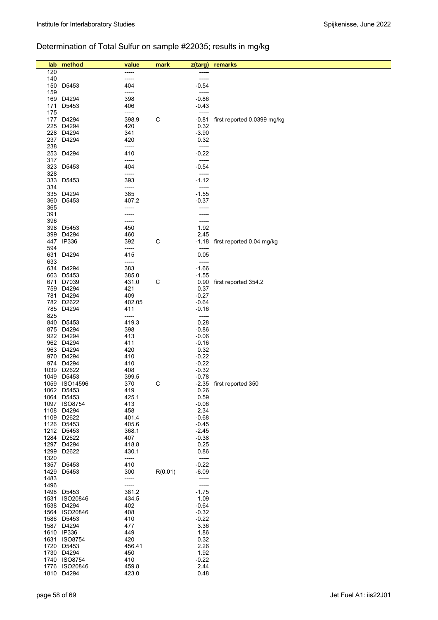# Determination of Total Sulfur on sample #22035; results in mg/kg

| lab          | method                   | value          | mark    | z(targ)            | remarks                         |
|--------------|--------------------------|----------------|---------|--------------------|---------------------------------|
| 120          |                          | -----          |         |                    |                                 |
| 140          |                          | -----          |         | -----              |                                 |
| 150          | D5453                    | 404            |         | $-0.54$<br>-----   |                                 |
| 159<br>169   | D4294                    | -----<br>398   |         | $-0.86$            |                                 |
| 171          | D5453                    | 406            |         | -0.43              |                                 |
| 175          |                          | -----          |         | -----              |                                 |
| 177          | D4294                    | 398.9          | C       | $-0.81$            | first reported 0.0399 mg/kg     |
| 225          | D4294                    | 420            |         | 0.32               |                                 |
| 228          | D4294                    | 341            |         | $-3.90$            |                                 |
| 237<br>238   | D4294                    | 420<br>-----   |         | 0.32<br>-----      |                                 |
| 253          | D4294                    | 410            |         | $-0.22$            |                                 |
| 317          |                          | -----          |         | -----              |                                 |
| 323          | D5453                    | 404            |         | $-0.54$            |                                 |
| 328          |                          | -----          |         | -----              |                                 |
| 333          | D5453                    | 393            |         | $-1.12$            |                                 |
| 334<br>335   | D4294                    | -----<br>385   |         | -----<br>$-1.55$   |                                 |
| 360          | D5453                    | 407.2          |         | $-0.37$            |                                 |
| 365          |                          | -----          |         | -----              |                                 |
| 391          |                          | -----          |         | -----              |                                 |
| 396          |                          | -----          |         | -----              |                                 |
| 398          | D5453                    | 450            |         | 1.92               |                                 |
| 399<br>447   | D4294<br>IP336           | 460<br>392     | C       | 2.45               | -1.18 first reported 0.04 mg/kg |
| 594          |                          | -----          |         | -----              |                                 |
| 631          | D4294                    | 415            |         | 0.05               |                                 |
| 633          |                          | -----          |         | -----              |                                 |
| 634          | D4294                    | 383            |         | $-1.66$            |                                 |
| 663<br>671   | D5453                    | 385.0<br>431.0 |         | $-1.55$            |                                 |
| 759          | D7039<br>D4294           | 421            | C       | 0.37               | 0.90 first reported 354.2       |
| 781          | D4294                    | 409            |         | $-0.27$            |                                 |
| 782          | D2622                    | 402.05         |         | $-0.64$            |                                 |
| 785          | D4294                    | 411            |         | $-0.16$            |                                 |
| 825          |                          | -----          |         | -----              |                                 |
| 840          | D5453<br>875 D4294       | 419.3<br>398   |         | 0.28<br>$-0.86$    |                                 |
|              | 922 D4294                | 413            |         | $-0.06$            |                                 |
|              | 962 D4294                | 411            |         | $-0.16$            |                                 |
|              | 963 D4294                | 420            |         | 0.32               |                                 |
|              | 970 D4294                | 410            |         | $-0.22$            |                                 |
| 974          | D4294                    | 410            |         | $-0.22$            |                                 |
| 1039<br>1049 | D2622<br>D5453           | 408<br>399.5   |         | $-0.32$<br>$-0.78$ |                                 |
|              | 1059 ISO14596            | 370            | С       |                    | -2.35 first reported 350        |
|              | 1062 D5453               | 419            |         | 0.26               |                                 |
|              | 1064 D5453               | 425.1          |         | 0.59               |                                 |
|              | 1097 ISO8754             | 413            |         | $-0.06$            |                                 |
|              | 1108 D4294<br>1109 D2622 | 458<br>401.4   |         | 2.34               |                                 |
|              | 1126 D5453               | 405.6          |         | $-0.68$<br>$-0.45$ |                                 |
|              | 1212 D5453               | 368.1          |         | $-2.45$            |                                 |
|              | 1284 D2622               | 407            |         | $-0.38$            |                                 |
|              | 1297 D4294               | 418.8          |         | 0.25               |                                 |
| 1299         | D2622                    | 430.1          |         | 0.86               |                                 |
| 1320<br>1357 | D5453                    | -----<br>410   |         | -----<br>$-0.22$   |                                 |
| 1429         | D5453                    | 300            | R(0.01) | $-6.09$            |                                 |
| 1483         |                          | -----          |         | -----              |                                 |
| 1496         |                          | -----          |         | -----              |                                 |
|              | 1498 D5453               | 381.2          |         | $-1.75$            |                                 |
| 1531         | ISO20846<br>1538 D4294   | 434.5<br>402   |         | 1.09<br>$-0.64$    |                                 |
|              | 1564 ISO20846            | 408            |         | $-0.32$            |                                 |
|              | 1586 D5453               | 410            |         | $-0.22$            |                                 |
| 1587         | D4294                    | 477            |         | 3.36               |                                 |
|              | 1610 IP336               | 449            |         | 1.86               |                                 |
| 1631         | <b>ISO8754</b>           | 420            |         | 0.32               |                                 |
| 1720         | D5453<br>1730 D4294      | 456.41<br>450  |         | 2.26<br>1.92       |                                 |
|              | 1740 ISO8754             | 410            |         | $-0.22$            |                                 |
|              | 1776 ISO20846            | 459.8          |         | 2.44               |                                 |
|              | 1810 D4294               | 423.0          |         | 0.48               |                                 |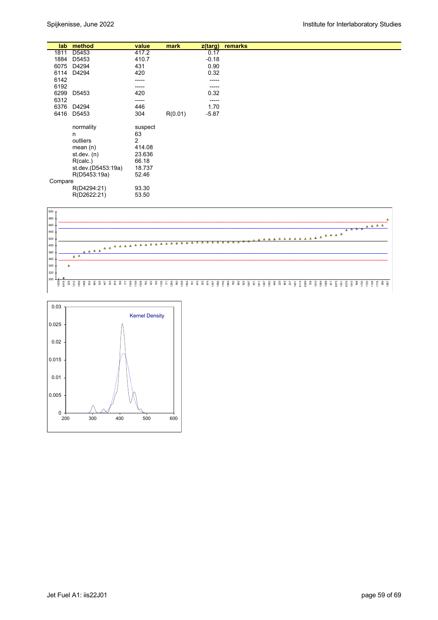| lab     | method             | value          | mark    | z(targ) | remarks |
|---------|--------------------|----------------|---------|---------|---------|
| 1811    | D5453              | 417.2          |         | 0.17    |         |
| 1884    | D5453              | 410.7          |         | $-0.18$ |         |
| 6075    | D4294              | 431            |         | 0.90    |         |
| 6114    | D4294              | 420            |         | 0.32    |         |
| 6142    |                    | -----          |         | -----   |         |
| 6192    |                    | -----          |         | -----   |         |
| 6299    | D5453              | 420            |         | 0.32    |         |
| 6312    |                    | -----          |         | -----   |         |
| 6376    | D4294              | 446            |         | 1.70    |         |
| 6416    | D5453              | 304            | R(0.01) | $-5.87$ |         |
|         |                    |                |         |         |         |
|         | normality          | suspect        |         |         |         |
|         | n                  | 63             |         |         |         |
|         | outliers           | $\overline{2}$ |         |         |         |
|         | mean $(n)$         | 414.08         |         |         |         |
|         | st. dev. (n)       | 23.636         |         |         |         |
|         | R(calc.)           | 66.18          |         |         |         |
|         | st.dev.(D5453:19a) | 18.737         |         |         |         |
|         | R(D5453:19a)       | 52.46          |         |         |         |
| Compare |                    |                |         |         |         |
|         | R(D4294:21)        | 93.30          |         |         |         |
|         | R(D2622:21)        | 53.50          |         |         |         |



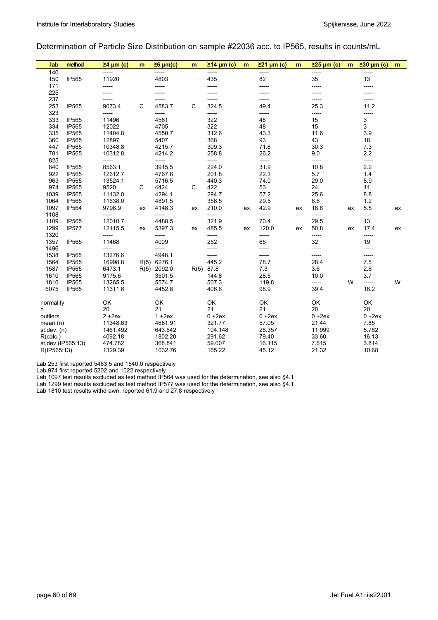#### Determination of Particle Size Distribution on sample #22036 acc. to IP565, results in counts/mL

| lab           | method            | $\geq 4$ µm (c)  | m  | $\geq 6$ µm(c) | m  | $\geq$ 14 µm (c) | m  | $\geq$ 21 µm (c) | m  | $\geq$ 25 µm (c) | m  | $\geq$ 30 µm (c) | m  |
|---------------|-------------------|------------------|----|----------------|----|------------------|----|------------------|----|------------------|----|------------------|----|
| 140           |                   |                  |    | -----          |    | -----            |    | -----            |    | -----            |    | -----            |    |
| 150           | IP565             | 11920            |    | 4803           |    | 435              |    | 82               |    | 35               |    | 13               |    |
| 171           |                   | -----            |    | -----          |    | -----            |    | -----            |    | -----            |    | -----            |    |
| 225           |                   |                  |    |                |    |                  |    |                  |    |                  |    |                  |    |
| 237           |                   | -----            |    |                |    | -----            |    |                  |    | -----            |    | -----            |    |
| 253           | IP565             | 9073.4           | C  | 4583.7         | C  | 324.5            |    | 49.4             |    | 25.3             |    | 11.2             |    |
| 323           |                   | -----            |    | -----          |    | -----            |    | -----            |    | -----            |    | -----            |    |
| 333           | IP565             | 11496            |    | 4581           |    | 322              |    | 48               |    | 15               |    | 3                |    |
| 334           | IP565             | 12022            |    | 4705           |    | 322              |    | 48               |    | 15               |    | 3                |    |
| 335<br>360    | IP565<br>IP565    | 11404.8<br>12897 |    | 4550.7<br>5407 |    | 312.6<br>368     |    | 43.3<br>93       |    | 11.6<br>43       |    | 3.9<br>18        |    |
| 447           | IP565             | 10348.8          |    | 4215.7         |    | 309.3            |    | 71.6             |    | 30.3             |    | 7.3              |    |
| 781           | IP565             | 10312.8          |    | 4214.2         |    | 258.8            |    | 26.2             |    | 9.0              |    | 2.2              |    |
| 825           |                   | -----            |    | -----          |    | -----            |    | -----            |    | -----            |    | -----            |    |
| 840           | <b>IP565</b>      | 8563.1           |    | 3915.5         |    | 224.0            |    | 31.9             |    | 10.8             |    | 2.2              |    |
| 922           | IP565             | 12612.7          |    | 4767.6         |    | 201.8            |    | 22.3             |    | 5.7              |    | 1.4              |    |
| 963           | IP565             | 13524.1          |    | 5716.5         |    | 440.3            |    | 74.0             |    | 29.0             |    | 8.9              |    |
| 974           | <b>IP565</b>      | 9520             | C  | 4424           | C  | 422              |    | 53               |    | 24               |    | 11               |    |
| 1039          | IP565             | 11132.0          |    | 4294.1         |    | 294.7            |    | 57.2             |    | 25.6             |    | 8.8              |    |
| 1064          | IP565             | 11638.0          |    | 4891.5         |    | 356.5            |    | 29.5             |    | 6.6              |    | 1.2              |    |
| 1097          | IP564             | 9796.9           | ex | 4148.3         | ex | 210.0            | ex | 42.9             | ex | 18.6             | ex | 5.5              | ex |
| 1108          |                   | -----            |    | -----          |    | -----            |    | -----            |    | -----            |    | -----            |    |
| 1109          | IP565             | 12010.7          |    | 4488.5         |    | 321.9            |    | 70.4             |    | 29.5             |    | 13               |    |
| 1299          | <b>IP577</b>      | 12115.5          | ex | 5397.3         | ex | 485.5            | ex | 120.0            | ex | 50.8             | ex | 17.4             | ex |
| 1320          |                   | -----            |    | -----          |    | -----            |    | -----            |    | -----            |    | -----            |    |
| 1357          | IP565             | 11468            |    | 4009           |    | 252              |    | 65               |    | 32               |    | 19               |    |
| 1496          |                   | -----            |    | -----          |    | -----            |    | -----            |    | -----            |    | -----            |    |
| 1538          | IP565             | 13276.6          |    | 4948.1         |    | -----            |    | -----            |    | -----            |    | -----            |    |
| 1564          | IP565             | 16998.8          |    | R(5) 6276.1    |    | 445.2            |    | 78.7             |    | 28.4             |    | 7.5              |    |
| 1587          | IP565             | 6473.1           |    | R(5) 2092.0    |    | R(5) 87.8        |    | 7.3              |    | 3.6              |    | 2.6              |    |
| 1610          | IP565             | 9175.6           |    | 3501.5         |    | 144.8            |    | 28.5             |    | 10.0             |    | 3.7              |    |
| 1810          | IP565             | 13265.5          |    | 5574.7         |    | 507.3            |    | 119.8            |    | -----            | W  | -----            | W  |
| 6075          | IP565             | 11311.6          |    | 4452.8         |    | 406.6            |    | 98.9             |    | 39.4             |    | 16.2             |    |
| normality     |                   | OK               |    | OK             |    | OK               |    | OK               |    | OK               |    | OK               |    |
| n             |                   | 20               |    | 21             |    | 21               |    | 21               |    | 20               |    | 20               |    |
| outliers      |                   | $2 + 2ex$        |    | $1 + 2ex$      |    | $0 + 2ex$        |    | $0 + 2ex$        |    | $0 + 2ex$        |    | $0 + 2ex$        |    |
| mean $(n)$    |                   | 11348.63         |    | 4681.91        |    | 321.77           |    | 57.05            |    | 21.44            |    | 7.85             |    |
| st.dev. $(n)$ |                   | 1461.492         |    | 643.642        |    | 104.148          |    | 28.357           |    | 11.999           |    | 5.762            |    |
| R(calc.)      |                   | 4092.18          |    | 1802.20        |    | 291.62           |    | 79.40            |    | 33.60            |    | 16.13            |    |
|               | st.dev.(IP565:13) | 474.782          |    | 368.841        |    | 59.007           |    | 16.115           |    | 7.615            |    | 3.814            |    |
| R(IP565:13)   |                   | 1329.39          |    | 1032.76        |    | 165.22           |    | 45.12            |    | 21.32            |    | 10.68            |    |

Lab 253 first reported 5463.5 and 1540.0 respectively

Lab 974 first reported 5202 and 1022 respectively

Lab 1097 test results excluded as test method IP564 was used for the determination, see also §4.1

Lab 1299 test results excluded as test method IP577 was used for the determination, see also §4.1

Lab 1810 test results withdrawn, reported 61.9 and 27.8 respectively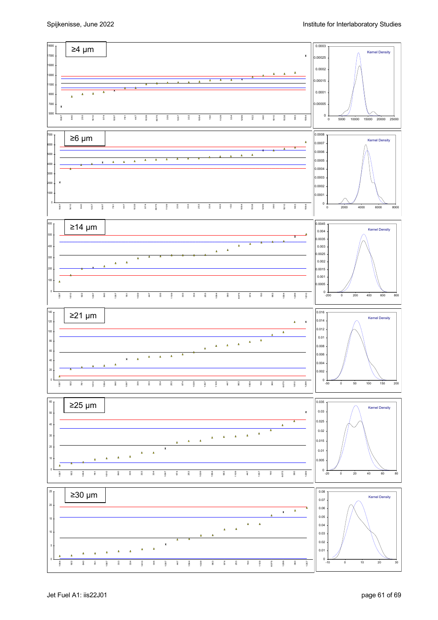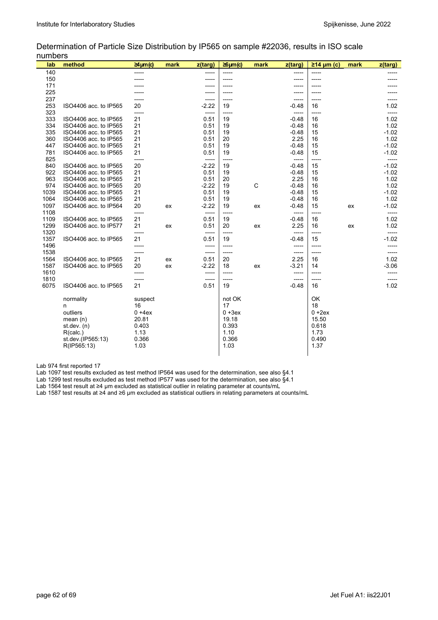L

Determination of Particle Size Distribution by IP565 on sample #22036, results in ISO scale numbers

| lab  | method                | $\geq$ 4µm(c) | mark | z(targ) | $\geq 6 \mu m(c)$ | mark | z(targ) | $\geq$ 14 µm (c) | mark | $z$ (targ) |
|------|-----------------------|---------------|------|---------|-------------------|------|---------|------------------|------|------------|
| 140  |                       | -----         |      | -----   | -----             |      | -----   | -----            |      |            |
| 150  |                       |               |      |         |                   |      |         |                  |      |            |
| 171  |                       |               |      |         |                   |      |         |                  |      |            |
| 225  |                       |               |      |         | -----             |      |         |                  |      |            |
| 237  |                       |               |      | -----   | -----             |      | -----   | -----            |      |            |
| 253  | ISO4406 acc. to IP565 | 20            |      | $-2.22$ | 19                |      | $-0.48$ | 16               |      | 1.02       |
| 323  |                       | -----         |      | -----   | -----             |      | -----   | -----            |      | -----      |
| 333  | ISO4406 acc. to IP565 | 21            |      | 0.51    | 19                |      | $-0.48$ | 16               |      | 1.02       |
| 334  | ISO4406 acc. to IP565 | 21            |      | 0.51    | 19                |      | $-0.48$ | 16               |      | 1.02       |
| 335  | ISO4406 acc. to IP565 | 21            |      | 0.51    | 19                |      | $-0.48$ | 15               |      | $-1.02$    |
| 360  | ISO4406 acc. to IP565 | 21            |      | 0.51    | 20                |      | 2.25    | 16               |      | 1.02       |
| 447  | ISO4406 acc. to IP565 | 21            |      | 0.51    | 19                |      | $-0.48$ | 15               |      | $-1.02$    |
| 781  | ISO4406 acc. to IP565 | 21            |      | 0.51    | 19                |      | $-0.48$ | 15               |      | $-1.02$    |
| 825  |                       | ----          |      | -----   | -----             |      | -----   | -----            |      |            |
| 840  | ISO4406 acc. to IP565 | 20            |      | $-2.22$ | 19                |      | $-0.48$ | 15               |      | $-1.02$    |
| 922  | ISO4406 acc. to IP565 | 21            |      | 0.51    | 19                |      | $-0.48$ | 15               |      | $-1.02$    |
| 963  | ISO4406 acc. to IP565 | 21            |      | 0.51    | 20                |      | 2.25    | 16               |      | 1.02       |
| 974  | ISO4406 acc. to IP565 | 20            |      | $-2.22$ | 19                | C    | $-0.48$ | 16               |      | 1.02       |
| 1039 | ISO4406 acc. to IP565 | 21            |      | 0.51    | 19                |      | $-0.48$ | 15               |      | $-1.02$    |
| 1064 | ISO4406 acc. to IP565 | 21            |      | 0.51    | 19                |      | $-0.48$ | 16               |      | 1.02       |
| 1097 | ISO4406 acc. to IP564 | 20            | ex   | $-2.22$ | 19                | ex   | $-0.48$ | 15               | ex   | $-1.02$    |
| 1108 |                       | -----         |      | -----   | -----             |      | -----   | -----            |      | -----      |
| 1109 | ISO4406 acc. to IP565 | 21            |      | 0.51    | 19                |      | $-0.48$ | 16               |      | 1.02       |
| 1299 | ISO4406 acc. to IP577 | 21            | ex   | 0.51    | 20                | ex   | 2.25    | 16               | ex   | 1.02       |
| 1320 |                       | -----         |      | -----   | -----             |      | -----   | -----            |      | -----      |
| 1357 | ISO4406 acc. to IP565 | 21            |      | 0.51    | 19                |      | $-0.48$ | 15               |      | $-1.02$    |
| 1496 |                       | -----         |      | -----   | -----             |      | -----   | -----            |      |            |
| 1538 |                       | -----         |      | -----   | -----             |      | -----   | -----            |      | -----      |
| 1564 | ISO4406 acc. to IP565 | 21            | ex   | 0.51    | 20                |      | 2.25    | 16               |      | 1.02       |
| 1587 | ISO4406 acc. to IP565 | 20            | ex   | $-2.22$ | 18                | ex   | $-3.21$ | 14               |      | $-3.06$    |
| 1610 |                       | -----         |      | -----   | -----             |      | -----   | -----            |      |            |
| 1810 |                       | -----         |      | -----   | -----             |      | -----   | -----            |      | -----      |
| 6075 | ISO4406 acc. to IP565 | 21            |      | 0.51    | 19                |      | $-0.48$ | 16               |      | 1.02       |
|      | normality             | suspect       |      |         | not OK            |      |         | OK               |      |            |
|      | n                     | 16            |      |         | 17                |      |         | 18               |      |            |
|      | outliers              | $0 + 4ex$     |      |         | $0 + 3ex$         |      |         | $0 + 2ex$        |      |            |
|      | mean $(n)$            | 20.81         |      |         | 19.18             |      |         | 15.50            |      |            |
|      | st.dev. $(n)$         | 0.403         |      |         | 0.393             |      |         | 0.618            |      |            |
|      | R(calc.)              | 1.13          |      |         | 1.10              |      |         | 1.73             |      |            |
|      | st.dev.(IP565:13)     | 0.366         |      |         | 0.366             |      |         | 0.490            |      |            |
|      | R(IP565:13)           | 1.03          |      |         | 1.03              |      |         | 1.37             |      |            |
|      |                       |               |      |         |                   |      |         |                  |      |            |

Lab 974 first reported 17

Lab 1097 test results excluded as test method IP564 was used for the determination, see also §4.1

Lab 1299 test results excluded as test method IP577 was used for the determination, see also §4.1

Lab 1564 test result at ≥4 µm excluded as statistical outlier in relating parameter at counts/mL

Lab 1587 test results at ≥4 and ≥6 µm excluded as statistical outliers in relating parameters at counts/mL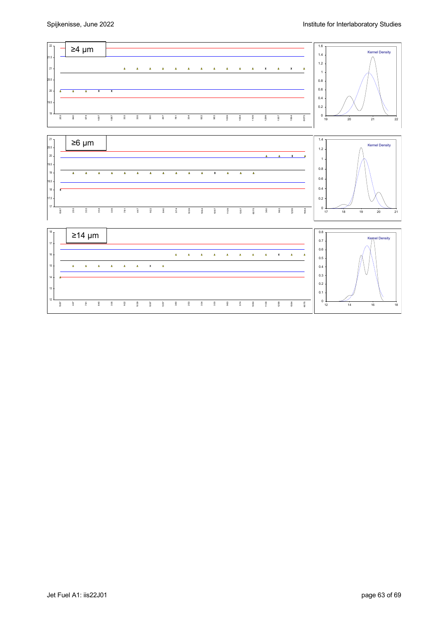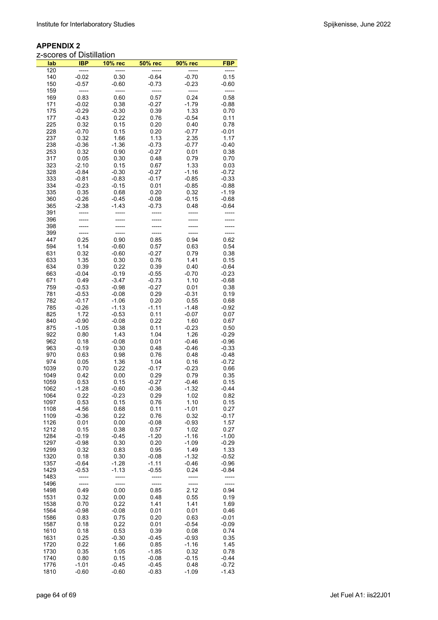| lab          | <b>IBP</b>         | <b>10% rec</b>     | 50% rec            | 90% rec            | <b>FBP</b>         |
|--------------|--------------------|--------------------|--------------------|--------------------|--------------------|
| 120          | -----              | -----              | -----              | -----              | -----<br>0.15      |
| 140<br>150   | $-0.02$<br>$-0.57$ | 0.30<br>$-0.60$    | $-0.64$<br>$-0.73$ | $-0.70$<br>$-0.23$ | $-0.60$            |
| 159          |                    |                    | -----              | -----              |                    |
| 169          | 0.83               | 0.60               | 0.57               | 0.24               | 0.58               |
| 171          | $-0.02$            | 0.38               | $-0.27$            | $-1.79$            | $-0.88$            |
| 175          | $-0.29$            | $-0.30$            | 0.39               | 1.33               | 0.70               |
| 177          | $-0.43$            | 0.22               | 0.76               | $-0.54$            | 0.11               |
| 225<br>228   | 0.32               | 0.15               | 0.20               | 0.40               | 0.78               |
| 237          | $-0.70$<br>0.32    | 0.15<br>1.66       | 0.20<br>1.13       | $-0.77$<br>2.35    | $-0.01$<br>1.17    |
| 238          | $-0.36$            | $-1.36$            | $-0.73$            | $-0.77$            | $-0.40$            |
| 253          | 0.32               | 0.90               | $-0.27$            | 0.01               | 0.38               |
| 317          | 0.05               | 0.30               | 0.48               | 0.79               | 0.70               |
| 323          | $-2.10$            | 0.15               | 0.67               | 1.33               | 0.03               |
| 328          | $-0.84$            | $-0.30$            | $-0.27$            | $-1.16$            | $-0.72$            |
| 333<br>334   | $-0.81$<br>$-0.23$ | $-0.83$<br>$-0.15$ | $-0.17$<br>0.01    | $-0.85$<br>$-0.85$ | $-0.33$<br>$-0.88$ |
| 335          | 0.35               | 0.68               | 0.20               | 0.32               | $-1.19$            |
| 360          | $-0.26$            | -0.45              | $-0.08$            | $-0.15$            | $-0.68$            |
| 365          | $-2.38$            | -1.43              | $-0.73$            | 0.48               | $-0.64$            |
| 391          |                    |                    |                    |                    |                    |
| 396          |                    |                    |                    |                    |                    |
| 398<br>399   |                    |                    |                    |                    |                    |
| 447          | 0.25               | 0.90               | 0.85               | 0.94               | 0.62               |
| 594          | 1.14               | $-0.60$            | 0.57               | 0.63               | 0.54               |
| 631          | 0.32               | $-0.60$            | $-0.27$            | 0.79               | 0.38               |
| 633          | 1.35               | 0.30               | 0.76               | 1.41               | 0.15               |
| 634          | 0.39               | 0.22               | 0.39               | 0.40               | $-0.64$            |
| 663          | $-0.04$            | $-0.19$            | $-0.55$            | $-0.70$            | $-0.23$            |
| 671<br>759   | 0.49<br>$-0.53$    | $-3.47$<br>$-0.98$ | $-0.73$<br>$-0.27$ | 1.10<br>0.01       | $-0.68$<br>0.38    |
| 781          | $-0.53$            | $-0.08$            | 0.29               | $-0.31$            | 0.19               |
| 782          | $-0.17$            | $-1.06$            | 0.20               | 0.55               | 0.68               |
| 785          | $-0.26$            | $-1.13$            | $-1.11$            | $-1.48$            | $-0.92$            |
| 825          | 1.72               | $-0.53$            | 0.11               | $-0.07$            | 0.07               |
| 840          | $-0.90$            | $-0.08$            | 0.22               | 1.60               | 0.67               |
| 875<br>922   | $-1.05$<br>0.80    | 0.38<br>1.43       | 0.11<br>1.04       | $-0.23$<br>1.26    | 0.50<br>$-0.29$    |
| 962          | 0.18               | $-0.08$            | 0.01               | $-0.46$            | $-0.96$            |
| 963          | $-0.19$            | 0.30               | 0.48               | $-0.46$            | $-0.33$            |
| 970          | 0.63               | 0.98               | 0.76               | 0.48               | $-0.48$            |
| 974          | 0.05               | 1.36               | 1.04               | 0.16               | $-0.72$            |
| 1039         | 0.70               | 0.22               | $-0.17$            | $-0.23$            | 0.66               |
| 1049         | 0.42               | 0.00               | 0.29               | 0.79               | 0.35               |
| 1059<br>1062 | 0.53<br>$-1.28$    | 0.15<br>$-0.60$    | $-0.27$<br>$-0.36$ | $-0.46$<br>$-1.32$ | 0.15<br>-0.44      |
| 1064         | 0.22               | $-0.23$            | 0.29               | 1.02               | 0.82               |
| 1097         | 0.53               | 0.15               | 0.76               | 1.10               | 0.15               |
| 1108         | -4.56              | 0.68               | 0.11               | $-1.01$            | 0.27               |
| 1109         | $-0.36$            | 0.22               | 0.76               | 0.32               | $-0.17$            |
| 1126<br>1212 | 0.01<br>0.15       | 0.00<br>0.38       | $-0.08$<br>0.57    | $-0.93$<br>1.02    | 1.57<br>0.27       |
| 1284         | $-0.19$            | $-0.45$            | $-1.20$            | $-1.16$            | $-1.00$            |
| 1297         | $-0.98$            | 0.30               | 0.20               | $-1.09$            | $-0.29$            |
| 1299         | 0.32               | 0.83               | 0.95               | 1.49               | 1.33               |
| 1320         | 0.18               | 0.30               | $-0.08$            | $-1.32$            | $-0.52$            |
| 1357         | $-0.64$            | $-1.28$            | -1.11              | $-0.46$            | $-0.96$            |
| 1429         | $-0.53$            | $-1.13$            | $-0.55$            | 0.24               | -0.84              |
| 1483<br>1496 | -----              | -----              | -----              | -----              | -----              |
| 1498         | 0.49               | 0.00               | 0.85               | 2.12               | 0.94               |
| 1531         | 0.32               | 0.00               | 0.48               | 0.55               | 0.19               |
| 1538         | 0.70               | 0.22               | 1.41               | 1.41               | 1.69               |
| 1564         | -0.98              | $-0.08$            | 0.01               | 0.01               | 0.46               |
| 1586         | 0.83               | 0.75               | 0.20               | 0.63               | $-0.01$            |
| 1587         | 0.18               | 0.22<br>0.53       | 0.01<br>0.39       | $-0.54$            | $-0.09$            |
| 1610<br>1631 | 0.18<br>0.25       | $-0.30$            | $-0.45$            | 0.08<br>$-0.93$    | 0.74<br>0.35       |
| 1720         | 0.22               | 1.66               | 0.85               | $-1.16$            | 1.45               |
| 1730         | 0.35               | 1.05               | -1.85              | 0.32               | 0.78               |
| 1740         | 0.80               | 0.15               | $-0.08$            | $-0.15$            | -0.44              |
| 1776         | $-1.01$            | -0.45              | $-0.45$            | 0.48               | $-0.72$            |
| 1810         | $-0.60$            | $-0.60$            | $-0.83$            | $-1.09$            | $-1.43$            |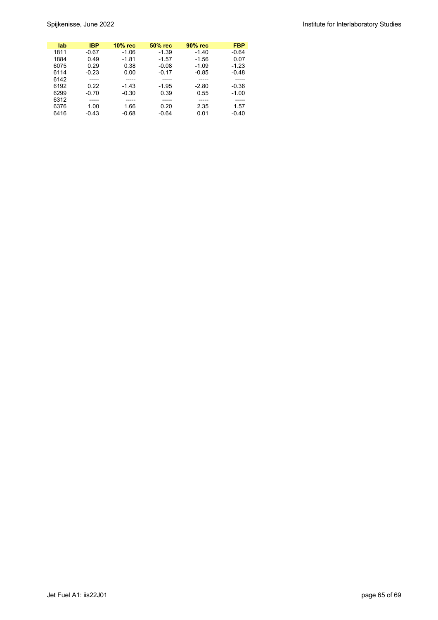| lab  | <b>IBP</b> | $10\%$ rec | 50% rec | 90% rec | <b>FBP</b> |
|------|------------|------------|---------|---------|------------|
| 1811 | $-0.67$    | $-1.06$    | $-1.39$ | $-1.40$ | $-0.64$    |
| 1884 | 0.49       | $-1.81$    | $-1.57$ | $-1.56$ | 0.07       |
| 6075 | 0.29       | 0.38       | $-0.08$ | $-1.09$ | $-1.23$    |
| 6114 | $-0.23$    | 0.00       | $-0.17$ | $-0.85$ | $-0.48$    |
| 6142 |            |            |         |         |            |
| 6192 | 0.22       | $-1.43$    | $-1.95$ | $-2.80$ | $-0.36$    |
| 6299 | $-0.70$    | $-0.30$    | 0.39    | 0.55    | $-1.00$    |
| 6312 | -----      | -----      |         |         |            |
| 6376 | 1.00       | 1.66       | 0.20    | 2.35    | 1.57       |
| 6416 | $-0.43$    | $-0.68$    | $-0.64$ | 0.01    | $-0.40$    |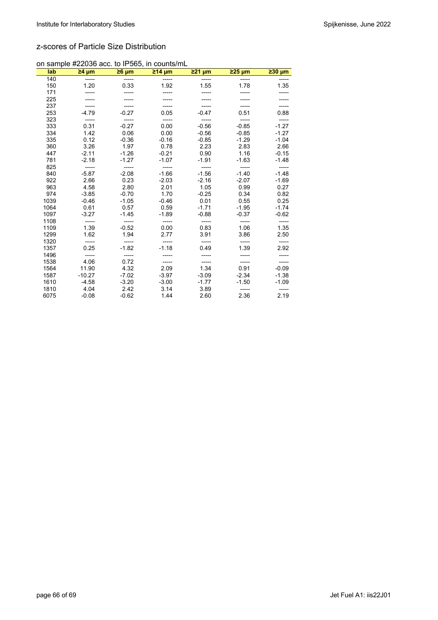### z-scores of Particle Size Distribution

|  |  |  | on sample #22036 acc. to IP565, in counts/mL |
|--|--|--|----------------------------------------------|
|  |  |  |                                              |

| lab  | $\geq 4 \mu m$ | $\geq 6 \mu m$ | $214 \mu m$ | <u>≥21 µm</u> | $225 \mu m$ | $230 \mu m$ |
|------|----------------|----------------|-------------|---------------|-------------|-------------|
| 140  | -----          | -----          |             |               |             |             |
| 150  | 1.20           | 0.33           | 1.92        | 1.55          | 1.78        | 1.35        |
| 171  |                |                |             |               |             |             |
| 225  |                |                |             |               |             |             |
| 237  |                |                |             |               |             |             |
| 253  | $-4.79$        | $-0.27$        | 0.05        | $-0.47$       | 0.51        | 0.88        |
| 323  | -----          |                |             |               |             |             |
| 333  | 0.31           | $-0.27$        | 0.00        | $-0.56$       | $-0.85$     | $-1.27$     |
| 334  | 1.42           | 0.06           | 0.00        | $-0.56$       | $-0.85$     | $-1.27$     |
| 335  | 0.12           | $-0.36$        | $-0.16$     | $-0.85$       | $-1.29$     | $-1.04$     |
| 360  | 3.26           | 1.97           | 0.78        | 2.23          | 2.83        | 2.66        |
| 447  | $-2.11$        | $-1.26$        | $-0.21$     | 0.90          | 1.16        | $-0.15$     |
| 781  | $-2.18$        | $-1.27$        | $-1.07$     | $-1.91$       | $-1.63$     | $-1.48$     |
| 825  |                | -----          |             |               |             |             |
| 840  | $-5.87$        | $-2.08$        | $-1.66$     | $-1.56$       | $-1.40$     | $-1.48$     |
| 922  | 2.66           | 0.23           | $-2.03$     | $-2.16$       | $-2.07$     | $-1.69$     |
| 963  | 4.58           | 2.80           | 2.01        | 1.05          | 0.99        | 0.27        |
| 974  | $-3.85$        | $-0.70$        | 1.70        | $-0.25$       | 0.34        | 0.82        |
| 1039 | $-0.46$        | $-1.05$        | $-0.46$     | 0.01          | 0.55        | 0.25        |
| 1064 | 0.61           | 0.57           | 0.59        | $-1.71$       | $-1.95$     | $-1.74$     |
| 1097 | $-3.27$        | $-1.45$        | $-1.89$     | $-0.88$       | $-0.37$     | $-0.62$     |
| 1108 | -----          | -----          | -----       | -----         | -----       | -----       |
| 1109 | 1.39           | $-0.52$        | 0.00        | 0.83          | 1.06        | 1.35        |
| 1299 | 1.62           | 1.94           | 2.77        | 3.91          | 3.86        | 2.50        |
| 1320 |                |                |             | -----         |             |             |
| 1357 | 0.25           | $-1.82$        | $-1.18$     | 0.49          | 1.39        | 2.92        |
| 1496 | -----          |                |             |               |             |             |
| 1538 | 4.06           | 0.72           |             |               |             |             |
| 1564 | 11.90          | 4.32           | 2.09        | 1.34          | 0.91        | $-0.09$     |
| 1587 | $-10.27$       | $-7.02$        | $-3.97$     | $-3.09$       | $-2.34$     | $-1.38$     |
| 1610 | $-4.58$        | $-3.20$        | $-3.00$     | $-1.77$       | $-1.50$     | $-1.09$     |
| 1810 | 4.04           | 2.42           | 3.14        | 3.89          | -----       | -----       |
| 6075 | $-0.08$        | $-0.62$        | 1.44        | 2.60          | 2.36        | 2.19        |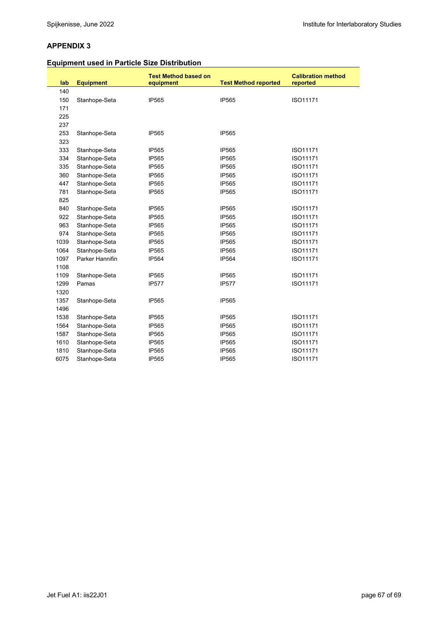# **Equipment used in Particle Size Distribution**

| lab  | <b>Equipment</b> | <b>Test Method based on</b><br>equipment | <b>Test Method reported</b> | <b>Calibration method</b><br>reported |
|------|------------------|------------------------------------------|-----------------------------|---------------------------------------|
| 140  |                  |                                          |                             |                                       |
| 150  | Stanhope-Seta    | IP565                                    | IP565                       | ISO11171                              |
| 171  |                  |                                          |                             |                                       |
| 225  |                  |                                          |                             |                                       |
| 237  |                  |                                          |                             |                                       |
| 253  | Stanhope-Seta    | <b>IP565</b>                             | <b>IP565</b>                |                                       |
| 323  |                  |                                          |                             |                                       |
| 333  | Stanhope-Seta    | <b>IP565</b>                             | <b>IP565</b>                | ISO11171                              |
| 334  | Stanhope-Seta    | <b>IP565</b>                             | <b>IP565</b>                | ISO11171                              |
| 335  | Stanhope-Seta    | IP565                                    | <b>IP565</b>                | ISO11171                              |
| 360  | Stanhope-Seta    | IP565                                    | <b>IP565</b>                | ISO11171                              |
| 447  | Stanhope-Seta    | <b>IP565</b>                             | <b>IP565</b>                | ISO11171                              |
| 781  | Stanhope-Seta    | IP565                                    | <b>IP565</b>                | ISO11171                              |
| 825  |                  |                                          |                             |                                       |
| 840  | Stanhope-Seta    | IP565                                    | <b>IP565</b>                | ISO11171                              |
| 922  | Stanhope-Seta    | <b>IP565</b>                             | <b>IP565</b>                | ISO11171                              |
| 963  | Stanhope-Seta    | IP565                                    | <b>IP565</b>                | ISO11171                              |
| 974  | Stanhope-Seta    | IP565                                    | <b>IP565</b>                | ISO11171                              |
| 1039 | Stanhope-Seta    | IP565                                    | <b>IP565</b>                | ISO11171                              |
| 1064 | Stanhope-Seta    | <b>IP565</b>                             | <b>IP565</b>                | ISO11171                              |
| 1097 | Parker Hannifin  | <b>IP564</b>                             | <b>IP564</b>                | ISO11171                              |
| 1108 |                  |                                          |                             |                                       |
| 1109 | Stanhope-Seta    | IP565                                    | <b>IP565</b>                | ISO11171                              |
| 1299 | Pamas            | <b>IP577</b>                             | <b>IP577</b>                | ISO11171                              |
| 1320 |                  |                                          |                             |                                       |
| 1357 | Stanhope-Seta    | IP565                                    | <b>IP565</b>                |                                       |
| 1496 |                  |                                          |                             |                                       |
| 1538 | Stanhope-Seta    | <b>IP565</b>                             | <b>IP565</b>                | ISO11171                              |
| 1564 | Stanhope-Seta    | <b>IP565</b>                             | <b>IP565</b>                | ISO11171                              |
| 1587 | Stanhope-Seta    | <b>IP565</b>                             | <b>IP565</b>                | ISO11171                              |
| 1610 | Stanhope-Seta    | IP565                                    | <b>IP565</b>                | ISO11171                              |
| 1810 | Stanhope-Seta    | IP565                                    | <b>IP565</b>                | ISO11171                              |
| 6075 | Stanhope-Seta    | IP565                                    | IP565                       | ISO11171                              |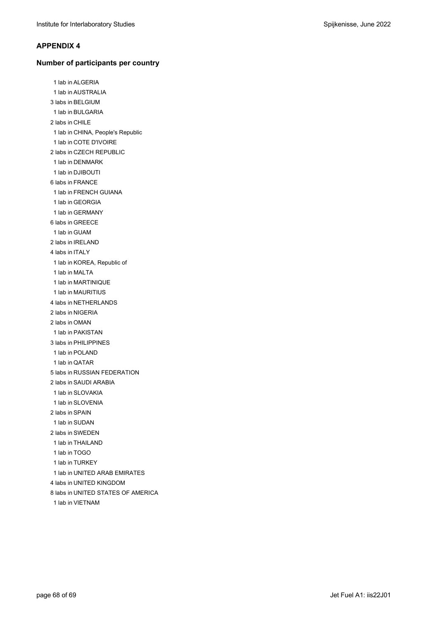#### **Number of participants per country**

1 lab in ALGERIA 1 lab in AUSTRALIA 3 labs in BELGIUM 1 lab in BULGARIA 2 labs in CHILE 1 lab in CHINA, People's Republic 1 lab in COTE D'IVOIRE 2 labs in CZECH REPUBLIC 1 lab in DENMARK 1 lab in DJIBOUTI 6 labs in FRANCE 1 lab in FRENCH GUIANA 1 lab in GEORGIA 1 lab in GERMANY 6 labs in GREECE 1 lab in GUAM 2 labs in IRELAND 4 labs in ITALY 1 lab in KOREA, Republic of 1 lab in MALTA 1 lab in MARTINIQUE 1 lab in MAURITIUS 4 labs in NETHERLANDS 2 labs in NIGERIA 2 labs in OMAN 1 lab in PAKISTAN 3 labs in PHILIPPINES 1 lab in POLAND 1 lab in QATAR 5 labs in RUSSIAN FEDERATION 2 labs in SAUDI ARABIA 1 lab in SLOVAKIA 1 lab in SLOVENIA 2 labs in SPAIN 1 lab in SUDAN 2 labs in SWEDEN 1 lab in THAILAND 1 lab in TOGO 1 lab in TURKEY 1 lab in UNITED ARAB EMIRATES 4 labs in UNITED KINGDOM 8 labs in UNITED STATES OF AMERICA 1 lab in VIETNAM